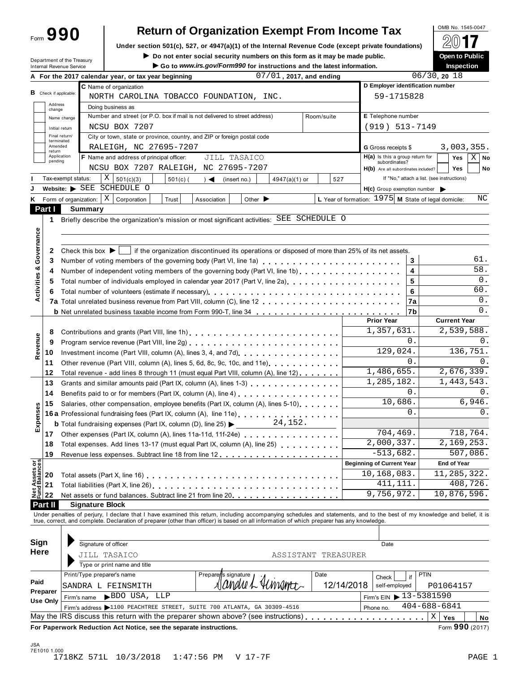Form **990**

# **Return of Organization Exempt From Income Tax**<br>section 501(c). 527. or 4947(a)(1) of the Internal Revenue Code (except private foundations)  $\bigotimes_{\mathbb{Z}} \mathbb{C}$

Under section 501(c), 527, or 4947(a)(1) of the Internal Revenue Code (except private foundations)

Under section 501(c), 527, or 4947(a)(1) or the Internal Revenue Code (except private foundations)<br>Department of the Treasury **Department of the Treasury Department of the Treasury Department of the Treasury** 

| <b>Open to Public</b> |
|-----------------------|
| Inonootian            |

|                                |                   | Department of the Treasury<br>Internal Revenue Service |         | $\blacktriangleright$ Do not enter social security numbers on this form as it may be made public.                                                                                                                                 | Go to www.irs.gov/Form990 for instructions and the latest information. |                             |                            |            |            |                                                                                                               |                   | <b>Open to Public</b><br><b>Inspection</b> |             |
|--------------------------------|-------------------|--------------------------------------------------------|---------|-----------------------------------------------------------------------------------------------------------------------------------------------------------------------------------------------------------------------------------|------------------------------------------------------------------------|-----------------------------|----------------------------|------------|------------|---------------------------------------------------------------------------------------------------------------|-------------------|--------------------------------------------|-------------|
|                                |                   |                                                        |         | A For the 2017 calendar year, or tax year beginning                                                                                                                                                                               |                                                                        |                             | $07/01$ , 2017, and ending |            |            |                                                                                                               |                   | 06/30, 2018                                |             |
|                                |                   |                                                        |         | C Name of organization                                                                                                                                                                                                            |                                                                        |                             |                            |            |            | D Employer identification number                                                                              |                   |                                            |             |
| <b>B</b> Check if applicable:  |                   |                                                        |         | NORTH CAROLINA TOBACCO FOUNDATION, INC.                                                                                                                                                                                           |                                                                        |                             |                            |            |            | 59-1715828                                                                                                    |                   |                                            |             |
|                                | Address<br>change |                                                        |         | Doing business as                                                                                                                                                                                                                 |                                                                        |                             |                            |            |            |                                                                                                               |                   |                                            |             |
|                                |                   | Name change                                            |         | Number and street (or P.O. box if mail is not delivered to street address)                                                                                                                                                        |                                                                        |                             |                            | Room/suite |            | E Telephone number                                                                                            |                   |                                            |             |
|                                |                   | Initial return                                         |         | NCSU BOX 7207                                                                                                                                                                                                                     |                                                                        |                             |                            |            |            | $(919) 513 - 7149$                                                                                            |                   |                                            |             |
|                                |                   | Final return/                                          |         | City or town, state or province, country, and ZIP or foreign postal code                                                                                                                                                          |                                                                        |                             |                            |            |            |                                                                                                               |                   |                                            |             |
|                                | Amended           | terminated                                             |         | RALEIGH, NC 27695-7207                                                                                                                                                                                                            |                                                                        |                             |                            |            |            | G Gross receipts \$                                                                                           |                   | 3,003,355.                                 |             |
|                                | return            | Application                                            |         | F Name and address of principal officer:                                                                                                                                                                                          | JILL TASAICO                                                           |                             |                            |            |            | $H(a)$ is this a group return for                                                                             |                   | Yes                                        | $X \mid$ No |
|                                | pending           |                                                        |         | NCSU BOX 7207 RALEIGH, NC 27695-7207                                                                                                                                                                                              |                                                                        |                             |                            |            |            | subordinates?<br>H(b) Are all subordinates included?                                                          |                   | <b>Yes</b>                                 | No          |
|                                |                   | Tax-exempt status:                                     |         | ΧI<br>501(c)(3)<br>$501(c)$ (                                                                                                                                                                                                     | $\rightarrow$                                                          |                             |                            |            | 527        |                                                                                                               |                   | If "No," attach a list. (see instructions) |             |
|                                |                   |                                                        |         | Website: SEE SCHEDULE O                                                                                                                                                                                                           |                                                                        | (insert no.)                | 4947(a)(1) or              |            |            |                                                                                                               |                   |                                            |             |
|                                |                   | Form of organization:   X                              |         | Corporation                                                                                                                                                                                                                       |                                                                        |                             |                            |            |            | $H(c)$ Group exemption number $\blacktriangleright$<br>L Year of formation: $1975$ M State of legal domicile: |                   |                                            | NC          |
| ĸ                              |                   |                                                        |         | Trust                                                                                                                                                                                                                             | Association                                                            | Other $\blacktriangleright$ |                            |            |            |                                                                                                               |                   |                                            |             |
|                                | Part I            |                                                        | Summary |                                                                                                                                                                                                                                   |                                                                        |                             |                            |            |            |                                                                                                               |                   |                                            |             |
|                                | 1                 |                                                        |         | Briefly describe the organization's mission or most significant activities: SEE SCHEDULE O                                                                                                                                        |                                                                        |                             |                            |            |            |                                                                                                               |                   |                                            |             |
|                                |                   |                                                        |         |                                                                                                                                                                                                                                   |                                                                        |                             |                            |            |            |                                                                                                               |                   |                                            |             |
| Activities & Governance        |                   |                                                        |         |                                                                                                                                                                                                                                   |                                                                        |                             |                            |            |            |                                                                                                               |                   |                                            |             |
|                                | 2                 | Check this box $\blacktriangleright$                   |         | if the organization discontinued its operations or disposed of more than 25% of its net assets.                                                                                                                                   |                                                                        |                             |                            |            |            |                                                                                                               |                   |                                            |             |
|                                | 3                 |                                                        |         | Number of voting members of the governing body (Part VI, line 1a)                                                                                                                                                                 |                                                                        |                             |                            |            |            |                                                                                                               | 3                 |                                            | 61.         |
|                                | 4                 |                                                        |         | Number of independent voting members of the governing body (Part VI, line 1b)                                                                                                                                                     |                                                                        |                             |                            |            |            |                                                                                                               | 4                 |                                            | 58.         |
|                                | 5                 |                                                        |         | Total number of individuals employed in calendar year 2017 (Part V, line 2a)                                                                                                                                                      |                                                                        |                             |                            |            |            |                                                                                                               | 5                 |                                            | 0.          |
|                                | 6                 |                                                        |         |                                                                                                                                                                                                                                   |                                                                        |                             |                            |            |            |                                                                                                               | 6                 |                                            | 60.         |
|                                |                   |                                                        |         |                                                                                                                                                                                                                                   |                                                                        |                             |                            |            |            |                                                                                                               | 7a                |                                            | 0.          |
|                                |                   |                                                        |         | <b>b</b> Net unrelated business taxable income from Form 990-T, line 34                                                                                                                                                           |                                                                        |                             |                            |            |            |                                                                                                               | 7b                |                                            | 0.          |
|                                |                   |                                                        |         |                                                                                                                                                                                                                                   |                                                                        |                             |                            |            |            | <b>Prior Year</b>                                                                                             |                   | <b>Current Year</b>                        |             |
|                                | 8                 |                                                        |         | Contributions and grants (Part VIII, line 1h)                                                                                                                                                                                     |                                                                        |                             |                            |            |            | 1,357,631.                                                                                                    |                   | 2,539,588.                                 |             |
| Revenue                        | 9                 |                                                        |         |                                                                                                                                                                                                                                   |                                                                        |                             |                            |            |            |                                                                                                               | 0.                |                                            | 0.          |
|                                | 10                |                                                        |         | Investment income (Part VIII, column (A), lines 3, 4, and 7d)<br>[2012]                                                                                                                                                           |                                                                        |                             |                            |            |            | 129,024.                                                                                                      |                   |                                            | 136,751.    |
|                                | 11                |                                                        |         | Other revenue (Part VIII, column (A), lines 5, 6d, 8c, 9c, 10c, and 11e)                                                                                                                                                          |                                                                        |                             |                            |            |            |                                                                                                               | 0.                |                                            | 0.          |
|                                | 12                |                                                        |         | Total revenue - add lines 8 through 11 (must equal Part VIII, column (A), line 12)                                                                                                                                                |                                                                        |                             |                            |            |            | 1,486,655.                                                                                                    |                   | 2,676,339.                                 |             |
|                                | 13                |                                                        |         | Grants and similar amounts paid (Part IX, column (A), lines 1-3)                                                                                                                                                                  |                                                                        |                             |                            |            |            | $\overline{1}$ , 285, 182.                                                                                    |                   | 1,443,543.                                 |             |
|                                | 14                |                                                        |         | Benefits paid to or for members (Part IX, column (A), line 4) [10] cases is a contract to or formula and the s                                                                                                                    |                                                                        |                             |                            |            |            |                                                                                                               | 0.                |                                            | 0.          |
|                                | 15                |                                                        |         | Salaries, other compensation, employee benefits (Part IX, column (A), lines 5-10)                                                                                                                                                 |                                                                        |                             |                            |            |            | 10,686.                                                                                                       |                   |                                            | 6,946.      |
| Expenses                       |                   |                                                        |         |                                                                                                                                                                                                                                   |                                                                        |                             |                            |            |            |                                                                                                               | 0.                |                                            | 0.          |
|                                |                   |                                                        |         | <b>b</b> Total fundraising expenses (Part IX, column (D), line 25) $\blacktriangleright$                                                                                                                                          |                                                                        |                             | 24,152.                    |            |            |                                                                                                               |                   |                                            |             |
|                                | 17 <sup>7</sup>   |                                                        |         | Other expenses (Part IX, column (A), lines 11a-11d, 11f-24e)                                                                                                                                                                      |                                                                        |                             |                            |            |            | 704,469.                                                                                                      |                   |                                            | 718,764.    |
|                                | 18                |                                                        |         | Total expenses. Add lines 13-17 (must equal Part IX, column (A), line 25) [100]                                                                                                                                                   |                                                                        |                             |                            |            |            | 2,000,337.                                                                                                    |                   | 2,169,253.                                 |             |
|                                | 19                |                                                        |         | Revenue less expenses. Subtract line 18 from line 12                                                                                                                                                                              |                                                                        |                             |                            |            |            | $-513,682.$                                                                                                   |                   |                                            | 507,086.    |
|                                |                   |                                                        |         |                                                                                                                                                                                                                                   |                                                                        |                             |                            |            |            | <b>Beginning of Current Year</b>                                                                              |                   | <b>End of Year</b>                         |             |
| Net Assets or<br>Fund Balances | 20                |                                                        |         |                                                                                                                                                                                                                                   |                                                                        |                             |                            |            |            | 10,168,083.                                                                                                   |                   | 11,285,322.                                |             |
|                                | 21                |                                                        |         |                                                                                                                                                                                                                                   |                                                                        |                             |                            |            |            | 411, 111.                                                                                                     |                   |                                            | 408,726.    |
|                                | 22                |                                                        |         | Net assets or fund balances. Subtract line 21 from line 20.                                                                                                                                                                       |                                                                        |                             |                            |            |            | 9,756,972.                                                                                                    |                   | 10,876,596.                                |             |
|                                | Part II           |                                                        |         | <b>Signature Block</b>                                                                                                                                                                                                            |                                                                        |                             |                            |            |            |                                                                                                               |                   |                                            |             |
|                                |                   |                                                        |         | Under penalties of perjury, I declare that I have examined this return, including accompanying schedules and statements, and to the best of my knowledge and belief, it is<br>true, correct, and complete. Declaration of prepare |                                                                        |                             |                            |            |            |                                                                                                               |                   |                                            |             |
|                                |                   |                                                        |         |                                                                                                                                                                                                                                   |                                                                        |                             |                            |            |            |                                                                                                               |                   |                                            |             |
|                                |                   |                                                        |         |                                                                                                                                                                                                                                   |                                                                        |                             |                            |            |            |                                                                                                               |                   |                                            |             |
| <b>Sign</b>                    |                   |                                                        |         | Signature of officer                                                                                                                                                                                                              |                                                                        |                             |                            |            |            | Date                                                                                                          |                   |                                            |             |
| <b>Here</b>                    |                   |                                                        |         | JILL TASAICO                                                                                                                                                                                                                      |                                                                        |                             | ASSISTANT TREASURER        |            |            |                                                                                                               |                   |                                            |             |
|                                |                   |                                                        |         | Type or print name and title                                                                                                                                                                                                      |                                                                        |                             |                            |            |            |                                                                                                               |                   |                                            |             |
|                                |                   |                                                        |         | Print/Type preparer's name                                                                                                                                                                                                        | Preparen                                                               | 's signature                |                            | Date       |            | Check                                                                                                         | <b>PTIN</b><br>if |                                            |             |
| Paid                           |                   |                                                        |         | SANDRA L FEINSMITH                                                                                                                                                                                                                |                                                                        |                             | 4Cmantet                   |            | 12/14/2018 | self-employed                                                                                                 |                   | P01064157                                  |             |
|                                | Preparer          |                                                        |         | BDO USA, LLP                                                                                                                                                                                                                      |                                                                        |                             |                            |            |            | Firm's EIN ▶ 13-5381590                                                                                       |                   |                                            |             |
|                                | Use Only          | Firm's name                                            |         |                                                                                                                                                                                                                                   |                                                                        |                             |                            |            |            |                                                                                                               |                   | $404 - 688 - 6841$                         |             |
|                                |                   |                                                        |         | Firm's address >1100 PEACHTREE STREET, SUITE 700 ATLANTA, GA 30309-4516                                                                                                                                                           |                                                                        |                             |                            |            |            | Phone no.                                                                                                     |                   |                                            |             |
|                                |                   |                                                        |         | May the IRS discuss this return with the preparer shown above? (see instructions)                                                                                                                                                 |                                                                        |                             |                            |            |            | .                                                                                                             |                   | $\mathbf X$<br>Yes                         | No          |
|                                |                   |                                                        |         | For Paperwork Reduction Act Notice, see the separate instructions.                                                                                                                                                                |                                                                        |                             |                            |            |            |                                                                                                               |                   | Form 990 (2017)                            |             |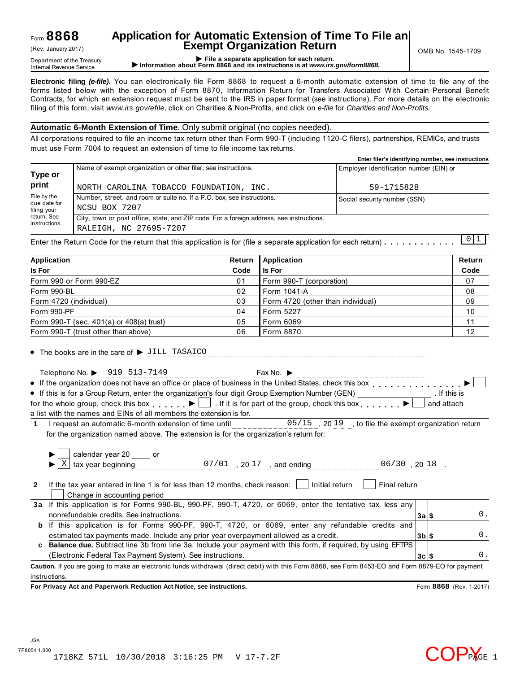### Form **8868**

## **Application for Automatic Extension of Time To File an Exempt Organization Return** (Rev. January 2017) OMB No. 1545-1709

Department of the Treasury<br>Department of the Treasury<br>Internal Revenue Service **CONFICE 1999 File a separate application for each return.**<br>Internal Revenue Service **CONFICE 1999 File a separate application for each return.** 

**Electronic filing** *(e-file)***.** You can electronically file Form 8868 to request a 6-month automatic extension of time to file any of the forms listed below with the exception of Form 8870, Information Return for Transfers Associated With Certain Personal Benefit Contracts, for which an extension request must be sent to the IRS in paper format (see instructions). For more details on the electronic filing of this form, visit *www.irs.gov/efile*, click on Charities & Non-Profits, and click on *e-file* for *Charities and Non-Profits.*

#### **Automatic 6-Month Extension of Time.** Only submit original (no copies needed).

All corporations required to file an income tax return other than Form 990-T (including 1120-C filers), partnerships, REMICs, and trusts must use Form 7004 to request an extension of time to file income tax returns.

|                             |                                                                                          | Enter filer's identifying number, see instructions |
|-----------------------------|------------------------------------------------------------------------------------------|----------------------------------------------------|
| Type or                     | Name of exempt organization or other filer, see instructions.                            | Employer identification number (EIN) or            |
| print                       | NORTH CAROLINA TOBACCO FOUNDATION, INC.                                                  | 59-1715828                                         |
| File by the                 | Number, street, and room or suite no. If a P.O. box, see instructions.                   | Social security number (SSN)                       |
| due date for<br>filing your | NCSU BOX 7207                                                                            |                                                    |
| return. See                 | City, town or post office, state, and ZIP code. For a foreign address, see instructions. |                                                    |
| instructions.               | RALEIGH, NC 27695-7207                                                                   |                                                    |

Enter the Return Code for the return that this application is for (file a separate application for each return)  $\dots \dots \dots$  $\sqrt{011}$ 

| Application                                  | Return | <b>Application</b>                | Return |
|----------------------------------------------|--------|-----------------------------------|--------|
| <b>Is For</b>                                | Code   | <b>Is For</b>                     | Code   |
| Form 990 or Form 990-EZ                      | 01     | Form 990-T (corporation)          | 07     |
| Form 990-BL                                  | 02     | Form 1041-A                       | 08     |
| Form 4720 (individual)                       | 03     | Form 4720 (other than individual) | 09     |
| Form 990-PF                                  | 04     | Form 5227                         | 10     |
| Form 990-T (sec. $401(a)$ or $408(a)$ trust) | 05     | Form 6069                         | 11     |
| Form 990-T (trust other than above)          | 06     | Form 8870                         | 12     |

 $\bullet$  The books are in the care of  $\triangleright$  JILL TASAICO

|                                                                                                   |  | Telephone No. ▶ 919 513-7149                                        | Fax No. $\blacktriangleright$                                                                           |  |            |  |
|---------------------------------------------------------------------------------------------------|--|---------------------------------------------------------------------|---------------------------------------------------------------------------------------------------------|--|------------|--|
|                                                                                                   |  |                                                                     |                                                                                                         |  |            |  |
|                                                                                                   |  |                                                                     | • If the organization does not have an office or place of business in the United States, check this box |  |            |  |
| • If this is for a Group Return, enter the organization's four digit Group Exemption Number (GEN) |  |                                                                     |                                                                                                         |  |            |  |
|                                                                                                   |  |                                                                     | for the whole group, check this box $\bullet$ . If it is for part of the group, check this box          |  | and attach |  |
|                                                                                                   |  | a list with the names and EINs of all members the extension is for. |                                                                                                         |  |            |  |

| 1 I request an automatic 6-month extension of time until                              |  | $05/15$ , 20 $19$ , to file the exempt organization return |
|---------------------------------------------------------------------------------------|--|------------------------------------------------------------|
| for the organization named above. The extension is for the organization's return for: |  |                                                            |

|              | calendar year 20 _____ or<br>tax year beginning<br>07/01, 2017, and ending<br>$06/30$ , 20 18.                                                     |          |  |            |  |  |
|--------------|----------------------------------------------------------------------------------------------------------------------------------------------------|----------|--|------------|--|--|
| $\mathbf{2}$ | Initial return<br>If the tax year entered in line 1 is for less than 12 months, check reason:<br>Final return<br>Change in accounting period       |          |  |            |  |  |
| За           | If this application is for Forms 990-BL, 990-PF, 990-T, 4720, or 6069, enter the tentative tax, less any                                           |          |  |            |  |  |
|              | nonrefundable credits. See instructions.                                                                                                           | 3a S     |  | 0.         |  |  |
| b            | this application is for Forms 990-PF, 990-T, 4720, or 6069, enter any refundable credits and                                                       |          |  |            |  |  |
|              | estimated tax payments made. Include any prior year overpayment allowed as a credit.                                                               | $3b$ \$  |  | 0.         |  |  |
| C            | Balance due. Subtract line 3b from line 3a. Include your payment with this form, if required, by using EFTPS                                       |          |  |            |  |  |
|              | (Electronic Federal Tax Payment System). See instructions.                                                                                         | $3c$ $s$ |  | $\Omega$ . |  |  |
|              | Caution. If you are going to make an electronic funds withdrawal (direct debit) with this Form 8868, see Form 8453-EO and Form 8879-EO for payment |          |  |            |  |  |
|              | instructions.                                                                                                                                      |          |  |            |  |  |

**For Privacy Act and Paperwork Reduction Act Notice, see instructions.** Form **8868** (Rev. 1-2017)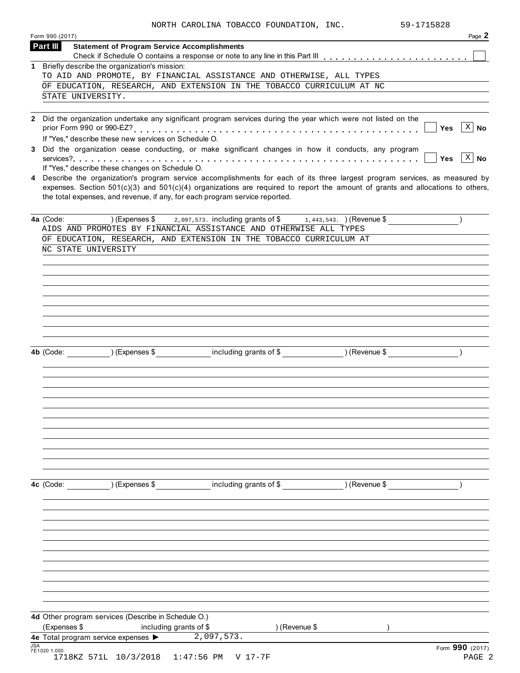| Form 990 (2017)            |                                                      | NORTH CAROLINA TOBACCO FOUNDATION, INC.                                                                                                                                                                                                                                                                                                         |               | 59-1715828<br>Page 2      |
|----------------------------|------------------------------------------------------|-------------------------------------------------------------------------------------------------------------------------------------------------------------------------------------------------------------------------------------------------------------------------------------------------------------------------------------------------|---------------|---------------------------|
| Part III                   | <b>Statement of Program Service Accomplishments</b>  |                                                                                                                                                                                                                                                                                                                                                 |               |                           |
|                            |                                                      |                                                                                                                                                                                                                                                                                                                                                 |               |                           |
|                            | 1 Briefly describe the organization's mission:       | TO AID AND PROMOTE, BY FINANCIAL ASSISTANCE AND OTHERWISE, ALL TYPES                                                                                                                                                                                                                                                                            |               |                           |
|                            |                                                      | OF EDUCATION, RESEARCH, AND EXTENSION IN THE TOBACCO CURRICULUM AT NC                                                                                                                                                                                                                                                                           |               |                           |
| STATE UNIVERSITY.          |                                                      |                                                                                                                                                                                                                                                                                                                                                 |               |                           |
|                            |                                                      |                                                                                                                                                                                                                                                                                                                                                 |               |                           |
|                            | If "Yes," describe these new services on Schedule O. | 2 Did the organization undertake any significant program services during the year which were not listed on the                                                                                                                                                                                                                                  |               | $\overline{X}$ No<br>Yes  |
|                            |                                                      | 3 Did the organization cease conducting, or make significant changes in how it conducts, any program                                                                                                                                                                                                                                            |               |                           |
|                            |                                                      |                                                                                                                                                                                                                                                                                                                                                 |               | $X \mid No$<br>Yes        |
| 4                          | If "Yes," describe these changes on Schedule O.      | Describe the organization's program service accomplishments for each of its three largest program services, as measured by<br>expenses. Section $501(c)(3)$ and $501(c)(4)$ organizations are required to report the amount of grants and allocations to others,<br>the total expenses, and revenue, if any, for each program service reported. |               |                           |
| 4a (Code:                  | ) (Expenses \$                                       | 2,097,573. including grants of \$1,443,543. ) (Revenue \$<br>AIDS AND PROMOTES BY FINANCIAL ASSISTANCE AND OTHERWISE ALL TYPES                                                                                                                                                                                                                  |               |                           |
| NC STATE UNIVERSITY        |                                                      | OF EDUCATION, RESEARCH, AND EXTENSION IN THE TOBACCO CURRICULUM AT                                                                                                                                                                                                                                                                              |               |                           |
|                            |                                                      |                                                                                                                                                                                                                                                                                                                                                 |               |                           |
|                            |                                                      |                                                                                                                                                                                                                                                                                                                                                 |               |                           |
|                            |                                                      |                                                                                                                                                                                                                                                                                                                                                 |               |                           |
|                            |                                                      |                                                                                                                                                                                                                                                                                                                                                 |               |                           |
|                            |                                                      |                                                                                                                                                                                                                                                                                                                                                 |               |                           |
|                            |                                                      |                                                                                                                                                                                                                                                                                                                                                 |               |                           |
|                            |                                                      |                                                                                                                                                                                                                                                                                                                                                 |               |                           |
|                            | ) (Expenses \$                                       |                                                                                                                                                                                                                                                                                                                                                 | ) (Revenue \$ |                           |
| 4b (Code:                  |                                                      | including grants of \$                                                                                                                                                                                                                                                                                                                          |               |                           |
|                            |                                                      |                                                                                                                                                                                                                                                                                                                                                 |               |                           |
|                            |                                                      |                                                                                                                                                                                                                                                                                                                                                 |               |                           |
|                            |                                                      |                                                                                                                                                                                                                                                                                                                                                 |               |                           |
|                            |                                                      |                                                                                                                                                                                                                                                                                                                                                 |               |                           |
|                            |                                                      |                                                                                                                                                                                                                                                                                                                                                 |               |                           |
|                            |                                                      |                                                                                                                                                                                                                                                                                                                                                 |               |                           |
|                            |                                                      |                                                                                                                                                                                                                                                                                                                                                 |               |                           |
|                            |                                                      |                                                                                                                                                                                                                                                                                                                                                 |               |                           |
|                            |                                                      |                                                                                                                                                                                                                                                                                                                                                 |               |                           |
| 4c (Code:                  | ) (Expenses \$                                       | including grants of \$                                                                                                                                                                                                                                                                                                                          | ) (Revenue \$ |                           |
|                            |                                                      |                                                                                                                                                                                                                                                                                                                                                 |               |                           |
|                            |                                                      |                                                                                                                                                                                                                                                                                                                                                 |               |                           |
|                            |                                                      |                                                                                                                                                                                                                                                                                                                                                 |               |                           |
|                            |                                                      |                                                                                                                                                                                                                                                                                                                                                 |               |                           |
|                            |                                                      |                                                                                                                                                                                                                                                                                                                                                 |               |                           |
|                            |                                                      |                                                                                                                                                                                                                                                                                                                                                 |               |                           |
|                            |                                                      |                                                                                                                                                                                                                                                                                                                                                 |               |                           |
|                            |                                                      |                                                                                                                                                                                                                                                                                                                                                 |               |                           |
|                            |                                                      |                                                                                                                                                                                                                                                                                                                                                 |               |                           |
|                            |                                                      |                                                                                                                                                                                                                                                                                                                                                 |               |                           |
|                            | 4d Other program services (Describe in Schedule O.)  |                                                                                                                                                                                                                                                                                                                                                 |               |                           |
| (Expenses \$               | including grants of \$                               | ) (Revenue \$                                                                                                                                                                                                                                                                                                                                   |               |                           |
|                            | 4e Total program service expenses >                  | 2,097,573.                                                                                                                                                                                                                                                                                                                                      |               |                           |
| <b>JSA</b><br>7E1020 1.000 | 1718KZ 571L 10/3/2018                                | $1:47:56$ PM<br>V 17-7F                                                                                                                                                                                                                                                                                                                         |               | Form 990 (2017)<br>PAGE 2 |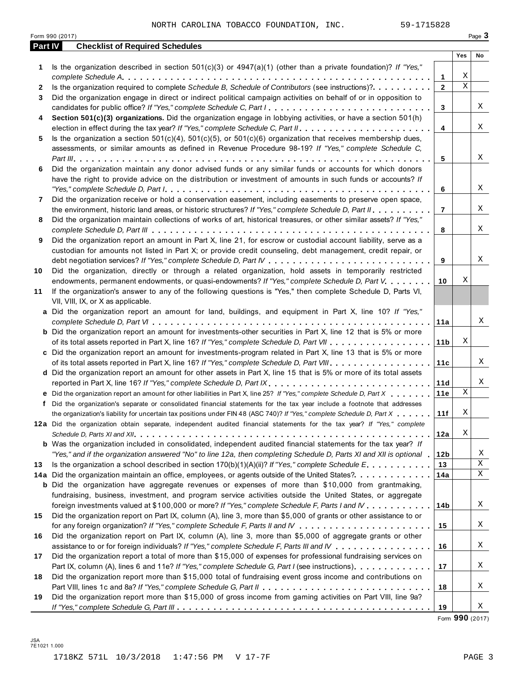|    | 59-1715828<br>NORTH CAROLINA TOBACCO FOUNDATION, INC.<br>Form 990 (2017)                                                                                                                                                                                                                                                                                                                      |                 |             | Page 3 |
|----|-----------------------------------------------------------------------------------------------------------------------------------------------------------------------------------------------------------------------------------------------------------------------------------------------------------------------------------------------------------------------------------------------|-----------------|-------------|--------|
|    | <b>Checklist of Required Schedules</b><br><b>Part IV</b>                                                                                                                                                                                                                                                                                                                                      |                 |             |        |
|    |                                                                                                                                                                                                                                                                                                                                                                                               |                 | Yes         | No     |
| 1  | Is the organization described in section $501(c)(3)$ or $4947(a)(1)$ (other than a private foundation)? If "Yes,"                                                                                                                                                                                                                                                                             |                 |             |        |
|    |                                                                                                                                                                                                                                                                                                                                                                                               | 1               | Χ           |        |
| 2  | Is the organization required to complete Schedule B, Schedule of Contributors (see instructions)?.                                                                                                                                                                                                                                                                                            | $\mathbf{2}$    | $\mathbf X$ |        |
| 3  | Did the organization engage in direct or indirect political campaign activities on behalf of or in opposition to                                                                                                                                                                                                                                                                              |                 |             |        |
|    | candidates for public office? If "Yes," complete Schedule C, Part I.                                                                                                                                                                                                                                                                                                                          | 3               |             | Χ      |
| 4  | Section 501(c)(3) organizations. Did the organization engage in lobbying activities, or have a section 501(h)                                                                                                                                                                                                                                                                                 |                 |             |        |
|    |                                                                                                                                                                                                                                                                                                                                                                                               | 4               |             | Χ      |
| 5  | Is the organization a section $501(c)(4)$ , $501(c)(5)$ , or $501(c)(6)$ organization that receives membership dues,                                                                                                                                                                                                                                                                          |                 |             |        |
|    | assessments, or similar amounts as defined in Revenue Procedure 98-19? If "Yes," complete Schedule C,                                                                                                                                                                                                                                                                                         |                 |             |        |
|    |                                                                                                                                                                                                                                                                                                                                                                                               | 5               |             | Χ      |
| 6  | Did the organization maintain any donor advised funds or any similar funds or accounts for which donors                                                                                                                                                                                                                                                                                       |                 |             |        |
|    | have the right to provide advice on the distribution or investment of amounts in such funds or accounts? If                                                                                                                                                                                                                                                                                   |                 |             |        |
|    | "Yes," complete Schedule D, Part $l_1, \ldots, l_k, \ldots, l_k, \ldots, l_k, \ldots, l_k, \ldots, l_k, \ldots, l_k, \ldots, l_k, \ldots, l_k, \ldots, l_k, \ldots, l_k, \ldots, l_k, \ldots, l_k, \ldots, l_k, \ldots, l_k, \ldots, l_k, \ldots, l_k, \ldots, l_k, \ldots, l_k, \ldots, l_k, \ldots, l_k, \ldots, l_k, \ldots, l_k, \ldots, l_k, \ldots, l_k, \ldots, l_k, \ldots, l_k, \ld$ | 6               |             | Χ      |
| 7  | Did the organization receive or hold a conservation easement, including easements to preserve open space,                                                                                                                                                                                                                                                                                     |                 |             |        |
|    | the environment, historic land areas, or historic structures? If "Yes," complete Schedule D, Part II.                                                                                                                                                                                                                                                                                         | $\overline{7}$  |             | Χ      |
| 8  | Did the organization maintain collections of works of art, historical treasures, or other similar assets? If "Yes,"                                                                                                                                                                                                                                                                           |                 |             |        |
|    |                                                                                                                                                                                                                                                                                                                                                                                               | 8               |             | Χ      |
| 9  | Did the organization report an amount in Part X, line 21, for escrow or custodial account liability, serve as a                                                                                                                                                                                                                                                                               |                 |             |        |
|    | custodian for amounts not listed in Part X; or provide credit counseling, debt management, credit repair, or                                                                                                                                                                                                                                                                                  |                 |             |        |
|    |                                                                                                                                                                                                                                                                                                                                                                                               | 9               |             | Χ      |
| 10 | Did the organization, directly or through a related organization, hold assets in temporarily restricted                                                                                                                                                                                                                                                                                       |                 |             |        |
|    | endowments, permanent endowments, or quasi-endowments? If "Yes," complete Schedule D, Part V.                                                                                                                                                                                                                                                                                                 | 10              | Χ           |        |
| 11 | If the organization's answer to any of the following questions is "Yes," then complete Schedule D, Parts VI,                                                                                                                                                                                                                                                                                  |                 |             |        |
|    | VII, VIII, IX, or X as applicable.                                                                                                                                                                                                                                                                                                                                                            |                 |             |        |
|    | a Did the organization report an amount for land, buildings, and equipment in Part X, line 10? If "Yes,"                                                                                                                                                                                                                                                                                      |                 |             |        |
|    |                                                                                                                                                                                                                                                                                                                                                                                               | 11a             |             | Χ      |
|    | <b>b</b> Did the organization report an amount for investments-other securities in Part X, line 12 that is 5% or more                                                                                                                                                                                                                                                                         |                 |             |        |
|    |                                                                                                                                                                                                                                                                                                                                                                                               | 11 <sub>b</sub> | Χ           |        |
|    | c Did the organization report an amount for investments-program related in Part X, line 13 that is 5% or more                                                                                                                                                                                                                                                                                 |                 |             |        |
|    |                                                                                                                                                                                                                                                                                                                                                                                               | 11c             |             | Χ      |
|    | d Did the organization report an amount for other assets in Part X, line 15 that is 5% or more of its total assets                                                                                                                                                                                                                                                                            |                 |             |        |
|    | reported in Part X, line 16? If "Yes," complete Schedule D, Part IX.                                                                                                                                                                                                                                                                                                                          | 11d             |             | X      |
|    | e Did the organization report an amount for other liabilities in Part X, line 25? If "Yes," complete Schedule D, Part X                                                                                                                                                                                                                                                                       | 11e             | $\mathbf X$ |        |
|    | f Did the organization's separate or consolidated financial statements for the tax year include a footnote that addresses                                                                                                                                                                                                                                                                     |                 |             |        |
|    |                                                                                                                                                                                                                                                                                                                                                                                               | 11f             | Χ           |        |
|    | the organization's liability for uncertain tax positions under FIN 48 (ASC 740)? If "Yes," complete Schedule D, Part X                                                                                                                                                                                                                                                                        |                 |             |        |
|    | 12a Did the organization obtain separate, independent audited financial statements for the tax year? If "Yes," complete                                                                                                                                                                                                                                                                       |                 | Χ           |        |
|    |                                                                                                                                                                                                                                                                                                                                                                                               | 12a             |             |        |
|    | <b>b</b> Was the organization included in consolidated, independent audited financial statements for the tax year? If                                                                                                                                                                                                                                                                         |                 |             | Χ      |
|    | "Yes," and if the organization answered "No" to line 12a, then completing Schedule D, Parts XI and XII is optional                                                                                                                                                                                                                                                                            | 12b             |             | Χ      |
| 13 | Is the organization a school described in section $170(b)(1)(A)(ii)?$ If "Yes," complete Schedule E.                                                                                                                                                                                                                                                                                          | 13              |             | Χ      |
|    | 14a Did the organization maintain an office, employees, or agents outside of the United States?                                                                                                                                                                                                                                                                                               | 14a             |             |        |
|    | <b>b</b> Did the organization have aggregate revenues or expenses of more than \$10,000 from grantmaking,                                                                                                                                                                                                                                                                                     |                 |             |        |
|    | fundraising, business, investment, and program service activities outside the United States, or aggregate                                                                                                                                                                                                                                                                                     |                 |             |        |
|    | foreign investments valued at \$100,000 or more? If "Yes," complete Schedule F, Parts I and IV                                                                                                                                                                                                                                                                                                | 14b             |             | Χ      |
| 15 | Did the organization report on Part IX, column (A), line 3, more than \$5,000 of grants or other assistance to or                                                                                                                                                                                                                                                                             |                 |             |        |
|    |                                                                                                                                                                                                                                                                                                                                                                                               | 15              |             | Χ      |
| 16 | Did the organization report on Part IX, column (A), line 3, more than \$5,000 of aggregate grants or other                                                                                                                                                                                                                                                                                    |                 |             |        |
|    | assistance to or for foreign individuals? If "Yes," complete Schedule F, Parts III and IV                                                                                                                                                                                                                                                                                                     | 16              |             | Χ      |
| 17 | Did the organization report a total of more than \$15,000 of expenses for professional fundraising services on                                                                                                                                                                                                                                                                                |                 |             |        |
|    | Part IX, column (A), lines 6 and 11e? If "Yes," complete Schedule G, Part I (see instructions)                                                                                                                                                                                                                                                                                                | 17              |             | Χ      |
| 18 | Did the organization report more than \$15,000 total of fundraising event gross income and contributions on                                                                                                                                                                                                                                                                                   |                 |             |        |
|    |                                                                                                                                                                                                                                                                                                                                                                                               | 18              |             | Χ      |
|    | Did the organization report more than \$15,000 of gross income from gaming activities on Part VIII, line 9a?                                                                                                                                                                                                                                                                                  |                 |             |        |
| 19 |                                                                                                                                                                                                                                                                                                                                                                                               |                 |             |        |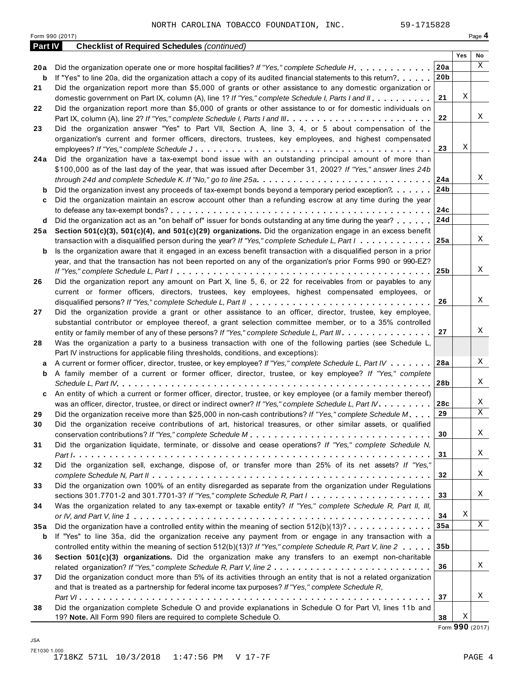|         | NORTH CAROLINA TOBACCO FOUNDATION, INC.<br>59-1715828                                                                                                                                                               |                 |     |        |
|---------|---------------------------------------------------------------------------------------------------------------------------------------------------------------------------------------------------------------------|-----------------|-----|--------|
|         | Form 990 (2017)                                                                                                                                                                                                     |                 |     | Page 4 |
| Part IV | <b>Checklist of Required Schedules (continued)</b>                                                                                                                                                                  |                 |     |        |
|         |                                                                                                                                                                                                                     |                 | Yes | No     |
| 20 a    | Did the organization operate one or more hospital facilities? If "Yes," complete Schedule H.                                                                                                                        | 20a             |     | X      |
| b       | If "Yes" to line 20a, did the organization attach a copy of its audited financial statements to this return?                                                                                                        | 20 <sub>b</sub> |     |        |
| 21      | Did the organization report more than \$5,000 of grants or other assistance to any domestic organization or                                                                                                         |                 |     |        |
|         | domestic government on Part IX, column (A), line 1? If "Yes," complete Schedule I, Parts I and II.                                                                                                                  | 21              | Χ   |        |
| 22      | Did the organization report more than \$5,000 of grants or other assistance to or for domestic individuals on                                                                                                       |                 |     |        |
|         | Part IX, column (A), line 2? If "Yes," complete Schedule I, Parts I and III.                                                                                                                                        | 22              |     | Χ      |
| 23      | Did the organization answer "Yes" to Part VII, Section A, line 3, 4, or 5 about compensation of the                                                                                                                 |                 |     |        |
|         | organization's current and former officers, directors, trustees, key employees, and highest compensated                                                                                                             |                 |     |        |
|         |                                                                                                                                                                                                                     | 23              | Χ   |        |
| 24 a    | Did the organization have a tax-exempt bond issue with an outstanding principal amount of more than                                                                                                                 |                 |     |        |
|         | \$100,000 as of the last day of the year, that was issued after December 31, 2002? If "Yes," answer lines 24b                                                                                                       |                 |     |        |
|         | through 24d and complete Schedule K. If "No," go to line 25a $\ldots \ldots \ldots \ldots \ldots \ldots \ldots \ldots \ldots \ldots$                                                                                | 24a             |     | Χ      |
| b       | Did the organization invest any proceeds of tax-exempt bonds beyond a temporary period exception?                                                                                                                   | 24 <sub>b</sub> |     |        |
| c       | Did the organization maintain an escrow account other than a refunding escrow at any time during the year                                                                                                           |                 |     |        |
|         |                                                                                                                                                                                                                     | 24c             |     |        |
| d       | Did the organization act as an "on behalf of" issuer for bonds outstanding at any time during the year?                                                                                                             | 24d             |     |        |
| 25 a    | Section 501(c)(3), 501(c)(4), and 501(c)(29) organizations. Did the organization engage in an excess benefit                                                                                                        |                 |     | Χ      |
|         | transaction with a disqualified person during the year? If "Yes," complete Schedule L, Part I                                                                                                                       | 25a             |     |        |
| b       | Is the organization aware that it engaged in an excess benefit transaction with a disqualified person in a prior                                                                                                    |                 |     |        |
|         | year, and that the transaction has not been reported on any of the organization's prior Forms 990 or 990-EZ?                                                                                                        | 25 <sub>b</sub> |     | X      |
|         |                                                                                                                                                                                                                     |                 |     |        |
| 26      | Did the organization report any amount on Part X, line 5, 6, or 22 for receivables from or payables to any                                                                                                          |                 |     |        |
|         | current or former officers, directors, trustees, key employees, highest compensated employees, or                                                                                                                   | 26              |     | Χ      |
|         |                                                                                                                                                                                                                     |                 |     |        |
| 27      | Did the organization provide a grant or other assistance to an officer, director, trustee, key employee,<br>substantial contributor or employee thereof, a grant selection committee member, or to a 35% controlled |                 |     |        |
|         | entity or family member of any of these persons? If "Yes," complete Schedule L, Part III.                                                                                                                           | 27              |     | Χ      |
| 28      | Was the organization a party to a business transaction with one of the following parties (see Schedule L,                                                                                                           |                 |     |        |
|         | Part IV instructions for applicable filing thresholds, conditions, and exceptions):                                                                                                                                 |                 |     |        |
| а       | A current or former officer, director, trustee, or key employee? If "Yes," complete Schedule L, Part IV                                                                                                             | 28a             |     | Χ      |
| b       | A family member of a current or former officer, director, trustee, or key employee? If "Yes," complete                                                                                                              |                 |     |        |
|         |                                                                                                                                                                                                                     | 28b             |     | Χ      |
| c       | An entity of which a current or former officer, director, trustee, or key employee (or a family member thereof)                                                                                                     |                 |     |        |
|         | was an officer, director, trustee, or direct or indirect owner? If "Yes," complete Schedule L, Part IV.                                                                                                             | 28c             |     | Χ      |
| 29      | Did the organization receive more than \$25,000 in non-cash contributions? If "Yes," complete Schedule M.                                                                                                           | 29              |     | X      |
| 30      | Did the organization receive contributions of art, historical treasures, or other similar assets, or qualified                                                                                                      |                 |     |        |
|         |                                                                                                                                                                                                                     | 30              |     | Χ      |
| 31      | Did the organization liquidate, terminate, or dissolve and cease operations? If "Yes," complete Schedule N,                                                                                                         |                 |     |        |
|         |                                                                                                                                                                                                                     | 31              |     | X      |
| 32      | Did the organization sell, exchange, dispose of, or transfer more than 25% of its net assets? If "Yes,"                                                                                                             |                 |     |        |
|         |                                                                                                                                                                                                                     | 32              |     | Χ      |
| 33      | Did the organization own 100% of an entity disregarded as separate from the organization under Regulations                                                                                                          |                 |     |        |
|         |                                                                                                                                                                                                                     | 33              |     | X      |
| 34      | Was the organization related to any tax-exempt or taxable entity? If "Yes," complete Schedule R, Part II, III,                                                                                                      |                 |     |        |
|         |                                                                                                                                                                                                                     | 34              | Χ   |        |
| 35 a    | Did the organization have a controlled entity within the meaning of section $512(b)(13)? \ldots \ldots \ldots \ldots$                                                                                               | 35a             |     | X      |
| b       | If "Yes" to line 35a, did the organization receive any payment from or engage in any transaction with a                                                                                                             |                 |     |        |
|         | controlled entity within the meaning of section 512(b)(13)? If "Yes," complete Schedule R, Part V, line 2                                                                                                           | 35 <sub>b</sub> |     |        |
| 36      | Section 501(c)(3) organizations. Did the organization make any transfers to an exempt non-charitable                                                                                                                |                 |     |        |
|         |                                                                                                                                                                                                                     | 36              |     | X      |
| 37      | Did the organization conduct more than 5% of its activities through an entity that is not a related organization                                                                                                    |                 |     |        |
|         | and that is treated as a partnership for federal income tax purposes? If "Yes," complete Schedule R,                                                                                                                |                 |     |        |
|         |                                                                                                                                                                                                                     | 37              |     | X      |
| 38      | Did the organization complete Schedule O and provide explanations in Schedule O for Part VI, lines 11b and                                                                                                          |                 |     |        |
|         | 19? Note. All Form 990 filers are required to complete Schedule O.                                                                                                                                                  | 38              | Χ   |        |

Form **990** (2017)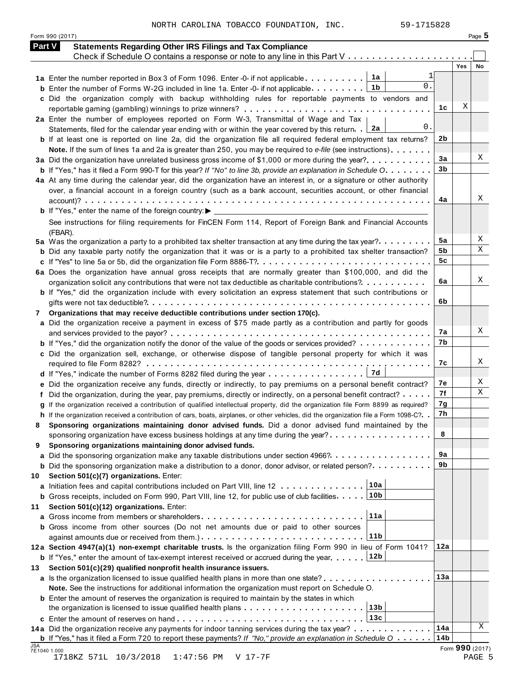|               | NORTH CAROLINA TOBACCO FOUNDATION, INC.<br>59-1715828                                                                                                                                                                                                |                        |                 |          |
|---------------|------------------------------------------------------------------------------------------------------------------------------------------------------------------------------------------------------------------------------------------------------|------------------------|-----------------|----------|
| <b>Part V</b> | Form 990 (2017)<br><b>Statements Regarding Other IRS Filings and Tax Compliance</b>                                                                                                                                                                  |                        |                 | Page $5$ |
|               |                                                                                                                                                                                                                                                      |                        |                 |          |
|               | 1a<br>1a Enter the number reported in Box 3 of Form 1096. Enter -0- if not applicable                                                                                                                                                                |                        | <b>Yes</b>      | No       |
|               | $\Omega$ .<br>1b<br><b>b</b> Enter the number of Forms W-2G included in line 1a. Enter -0- if not applicable.                                                                                                                                        |                        |                 |          |
|               | c Did the organization comply with backup withholding rules for reportable payments to vendors and                                                                                                                                                   |                        |                 |          |
|               |                                                                                                                                                                                                                                                      | 1с                     | Χ               |          |
|               | 2a Enter the number of employees reported on Form W-3, Transmittal of Wage and Tax  <br>0.<br>Statements, filed for the calendar year ending with or within the year covered by this return. $2a$                                                    |                        |                 |          |
|               | <b>b</b> If at least one is reported on line 2a, did the organization file all required federal employment tax returns?                                                                                                                              | 2b                     |                 |          |
|               | Note. If the sum of lines 1a and 2a is greater than 250, you may be required to e-file (see instructions)                                                                                                                                            |                        |                 |          |
|               | 3a Did the organization have unrelated business gross income of \$1,000 or more during the year?                                                                                                                                                     | 3a                     |                 | Χ        |
|               | <b>b</b> If "Yes," has it filed a Form 990-T for this year? If "No" to line 3b, provide an explanation in Schedule O.                                                                                                                                | 3 <sub>b</sub>         |                 |          |
|               | 4a At any time during the calendar year, did the organization have an interest in, or a signature or other authority<br>over, a financial account in a foreign country (such as a bank account, securities account, or other financial               |                        |                 | Χ        |
|               |                                                                                                                                                                                                                                                      | 4a                     |                 |          |
|               | See instructions for filing requirements for FinCEN Form 114, Report of Foreign Bank and Financial Accounts                                                                                                                                          |                        |                 |          |
|               | (FBAR).                                                                                                                                                                                                                                              |                        |                 | Χ        |
|               | 5a Was the organization a party to a prohibited tax shelter transaction at any time during the tax year?<br><b>b</b> Did any taxable party notify the organization that it was or is a party to a prohibited tax shelter transaction?                | 5a<br>5b               |                 | Χ        |
|               |                                                                                                                                                                                                                                                      | 5 <sub>c</sub>         |                 |          |
|               | 6a Does the organization have annual gross receipts that are normally greater than \$100,000, and did the                                                                                                                                            |                        |                 |          |
|               | organization solicit any contributions that were not tax deductible as charitable contributions?                                                                                                                                                     | 6a                     |                 | Χ        |
|               | <b>b</b> If "Yes," did the organization include with every solicitation an express statement that such contributions or                                                                                                                              | 6b                     |                 |          |
| $7^{\circ}$   | Organizations that may receive deductible contributions under section 170(c).                                                                                                                                                                        |                        |                 |          |
|               | a Did the organization receive a payment in excess of \$75 made partly as a contribution and partly for goods                                                                                                                                        |                        |                 |          |
|               |                                                                                                                                                                                                                                                      | 7а                     |                 | Χ        |
|               | <b>b</b> If "Yes," did the organization notify the donor of the value of the goods or services provided?<br>c Did the organization sell, exchange, or otherwise dispose of tangible personal property for which it was                               | 7b                     |                 |          |
|               |                                                                                                                                                                                                                                                      | 7c                     |                 | Χ        |
|               | 7d<br><b>d</b> If "Yes," indicate the number of Forms 8282 filed during the year $\ldots \ldots \ldots \ldots \ldots$                                                                                                                                |                        |                 |          |
|               | e Did the organization receive any funds, directly or indirectly, to pay premiums on a personal benefit contract?                                                                                                                                    | 7e                     |                 | Χ<br>Χ   |
|               | f Did the organization, during the year, pay premiums, directly or indirectly, on a personal benefit contract?<br>g If the organization received a contribution of qualified intellectual property, did the organization file Form 8899 as required? | 7f<br>7g               |                 |          |
|               | h If the organization received a contribution of cars, boats, airplanes, or other vehicles, did the organization file a Form 1098-C?. .                                                                                                              | 7h                     |                 |          |
| 8             | Sponsoring organizations maintaining donor advised funds. Did a donor advised fund maintained by the                                                                                                                                                 |                        |                 |          |
|               | sponsoring organization have excess business holdings at any time during the year?                                                                                                                                                                   | 8                      |                 |          |
| 9             | Sponsoring organizations maintaining donor advised funds.<br>a Did the sponsoring organization make any taxable distributions under section 4966?                                                                                                    | 9a                     |                 |          |
|               | <b>b</b> Did the sponsoring organization make a distribution to a donor, donor advisor, or related person?                                                                                                                                           | 9b                     |                 |          |
| 10            | Section 501(c)(7) organizations. Enter:                                                                                                                                                                                                              |                        |                 |          |
|               | 10a<br>a Initiation fees and capital contributions included on Part VIII, line 12                                                                                                                                                                    |                        |                 |          |
|               | 10b<br><b>b</b> Gross receipts, included on Form 990, Part VIII, line 12, for public use of club facilities.<br>Section 501(c)(12) organizations. Enter:                                                                                             |                        |                 |          |
| 11            | 11a<br>a Gross income from members or shareholders                                                                                                                                                                                                   |                        |                 |          |
|               | <b>b</b> Gross income from other sources (Do not net amounts due or paid to other sources                                                                                                                                                            |                        |                 |          |
|               | 11b<br>against amounts due or received from them.) $\ldots \ldots \ldots \ldots \ldots \ldots \ldots \ldots \ldots$                                                                                                                                  |                        |                 |          |
|               | 12a Section 4947(a)(1) non-exempt charitable trusts. Is the organization filing Form 990 in lieu of Form 1041?<br><b>b</b> If "Yes," enter the amount of tax-exempt interest received or accrued during the year [12b                                | 12a                    |                 |          |
| 13            | Section 501(c)(29) qualified nonprofit health insurance issuers.                                                                                                                                                                                     |                        |                 |          |
|               | <b>a</b> Is the organization licensed to issue qualified health plans in more than one state? <b>.</b>                                                                                                                                               | 13a                    |                 |          |
|               | Note. See the instructions for additional information the organization must report on Schedule O.<br><b>b</b> Enter the amount of reserves the organization is required to maintain by the states in which                                           |                        |                 |          |
|               | 13 <sub>b</sub>                                                                                                                                                                                                                                      |                        |                 |          |
|               | 13c                                                                                                                                                                                                                                                  |                        |                 |          |
|               | 14a Did the organization receive any payments for indoor tanning services during the tax year?                                                                                                                                                       | 14a<br>14 <sub>b</sub> |                 | Χ        |
| <b>JSA</b>    | <b>b</b> If "Yes," has it filed a Form 720 to report these payments? If "No," provide an explanation in Schedule O $\ldots \ldots$<br>7E1040 1.000                                                                                                   |                        | Form 990 (2017) |          |
|               | 1718KZ 571L 10/3/2018<br>$1:47:56$ PM<br>V 17-7F                                                                                                                                                                                                     |                        |                 | PAGE 5   |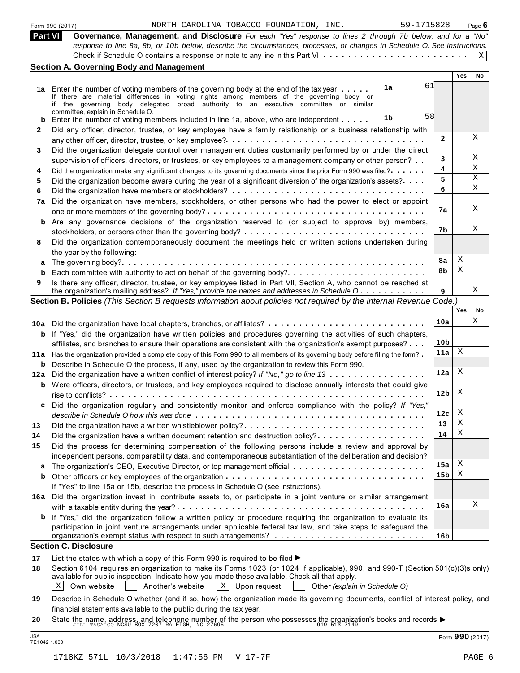|  |  | Form 990 (2017) |  |
|--|--|-----------------|--|
|--|--|-----------------|--|

#### Form 990 (2017) Page **6** NORTH CAROLINA TOBACCO FOUNDATION, INC. 59-1715828

| Form 990 (2017) |                                                                                                                                                                                                                                         | NORTH CAROLINA TOBACCO FOUNDATION, INC. |  | 59-1715828 | Page $6$ |
|-----------------|-----------------------------------------------------------------------------------------------------------------------------------------------------------------------------------------------------------------------------------------|-----------------------------------------|--|------------|----------|
| Part VI         | Governance, Management, and Disclosure For each "Yes" response to lines 2 through 7b below, and for a "No"<br>response to line 8a, 8b, or 10b below, describe the circumstances, processes, or changes in Schedule O. See instructions. |                                         |  |            |          |
|                 | <b>Section A. Governing Body and Management</b>                                                                                                                                                                                         |                                         |  |            |          |
|                 |                                                                                                                                                                                                                                         |                                         |  |            |          |

| Part VI      | Governance, Management, and Disclosure For each "Yes" response to lines 2 through 7b below, and for a "No"                                                                                                                                                                                                                                     |                 |            |                  |
|--------------|------------------------------------------------------------------------------------------------------------------------------------------------------------------------------------------------------------------------------------------------------------------------------------------------------------------------------------------------|-----------------|------------|------------------|
|              | response to line 8a, 8b, or 10b below, describe the circumstances, processes, or changes in Schedule O. See instructions.                                                                                                                                                                                                                      |                 |            |                  |
|              | Check if Schedule O contains a response or note to any line in this Part VI $\dots \dots \dots \dots \dots \dots \dots \dots \dots$                                                                                                                                                                                                            |                 |            | $X \vert$        |
|              | <b>Section A. Governing Body and Management</b>                                                                                                                                                                                                                                                                                                |                 |            |                  |
|              |                                                                                                                                                                                                                                                                                                                                                |                 | Yes        | No               |
|              | 61<br>1a<br>1a Enter the number of voting members of the governing body at the end of the tax year<br>If there are material differences in voting rights among members of the governing body, or<br>if the governing body delegated broad authority to an executive committee or similar<br>committee, explain in Schedule O.                  |                 |            |                  |
| b            | 58<br>1b<br>Enter the number of voting members included in line 1a, above, who are independent                                                                                                                                                                                                                                                 |                 |            |                  |
| $\mathbf{2}$ | Did any officer, director, trustee, or key employee have a family relationship or a business relationship with                                                                                                                                                                                                                                 | $\mathbf{2}$    |            | Χ                |
| 3            | Did the organization delegate control over management duties customarily performed by or under the direct                                                                                                                                                                                                                                      |                 |            |                  |
|              | supervision of officers, directors, or trustees, or key employees to a management company or other person?                                                                                                                                                                                                                                     | 3<br>4          |            | Χ<br>$\mathbf X$ |
| 4            | Did the organization make any significant changes to its governing documents since the prior Form 990 was filed?                                                                                                                                                                                                                               |                 |            | X                |
| 5            | Did the organization become aware during the year of a significant diversion of the organization's assets?                                                                                                                                                                                                                                     | 5               |            | X                |
| 6            |                                                                                                                                                                                                                                                                                                                                                | 6               |            |                  |
| 7a           | Did the organization have members, stockholders, or other persons who had the power to elect or appoint                                                                                                                                                                                                                                        | 7a              |            | Χ                |
| b            | Are any governance decisions of the organization reserved to (or subject to approval by) members,                                                                                                                                                                                                                                              |                 |            |                  |
|              |                                                                                                                                                                                                                                                                                                                                                | 7b              |            | Χ                |
| 8            | Did the organization contemporaneously document the meetings held or written actions undertaken during                                                                                                                                                                                                                                         |                 |            |                  |
|              | the year by the following:                                                                                                                                                                                                                                                                                                                     |                 |            |                  |
| а            |                                                                                                                                                                                                                                                                                                                                                | 8a              | Χ          |                  |
|              |                                                                                                                                                                                                                                                                                                                                                | 8b              | Χ          |                  |
| 9            | Is there any officer, director, trustee, or key employee listed in Part VII, Section A, who cannot be reached at<br>the organization's mailing address? If "Yes," provide the names and addresses in Schedule O                                                                                                                                | 9               |            | Χ                |
|              | Section B. Policies (This Section B requests information about policies not required by the Internal Revenue Code.)                                                                                                                                                                                                                            |                 |            |                  |
|              |                                                                                                                                                                                                                                                                                                                                                |                 | <b>Yes</b> | No               |
|              | 10a Did the organization have local chapters, branches, or affiliates?                                                                                                                                                                                                                                                                         | 10a             |            | Χ                |
|              | <b>b</b> If "Yes," did the organization have written policies and procedures governing the activities of such chapters,                                                                                                                                                                                                                        |                 |            |                  |
|              | affiliates, and branches to ensure their operations are consistent with the organization's exempt purposes?                                                                                                                                                                                                                                    | 10 <sub>b</sub> |            |                  |
|              | 11a Has the organization provided a complete copy of this Form 990 to all members of its governing body before filing the form?                                                                                                                                                                                                                | 11a             | Χ          |                  |
| b            | Describe in Schedule O the process, if any, used by the organization to review this Form 990.                                                                                                                                                                                                                                                  |                 |            |                  |
|              | 12a Did the organization have a written conflict of interest policy? If "No," go to line 13                                                                                                                                                                                                                                                    | 12a             | Χ          |                  |
|              | <b>b</b> Were officers, directors, or trustees, and key employees required to disclose annually interests that could give                                                                                                                                                                                                                      | 12 <sub>b</sub> | X          |                  |
|              | Did the organization regularly and consistently monitor and enforce compliance with the policy? If "Yes,"                                                                                                                                                                                                                                      |                 |            |                  |
| c            |                                                                                                                                                                                                                                                                                                                                                | 12c             | X          |                  |
| 13           | Did the organization have a written whistleblower policy?                                                                                                                                                                                                                                                                                      | 13              | Χ          |                  |
| 14           | Did the organization have a written document retention and destruction policy?                                                                                                                                                                                                                                                                 | 14              | Χ          |                  |
| 15           | Did the process for determining compensation of the following persons include a review and approval by                                                                                                                                                                                                                                         |                 |            |                  |
|              | independent persons, comparability data, and contemporaneous substantiation of the deliberation and decision?                                                                                                                                                                                                                                  |                 |            |                  |
| a            | The organization's CEO, Executive Director, or top management official                                                                                                                                                                                                                                                                         | 15a             | X          |                  |
| b            |                                                                                                                                                                                                                                                                                                                                                | 15 <sub>b</sub> | Χ          |                  |
|              | If "Yes" to line 15a or 15b, describe the process in Schedule O (see instructions).                                                                                                                                                                                                                                                            |                 |            |                  |
|              | 16a Did the organization invest in, contribute assets to, or participate in a joint venture or similar arrangement                                                                                                                                                                                                                             |                 |            |                  |
|              |                                                                                                                                                                                                                                                                                                                                                | 16a             |            | Χ                |
| b            | If "Yes," did the organization follow a written policy or procedure requiring the organization to evaluate its<br>participation in joint venture arrangements under applicable federal tax law, and take steps to safeguard the                                                                                                                |                 |            |                  |
|              | <b>Section C. Disclosure</b>                                                                                                                                                                                                                                                                                                                   | 16 <sub>b</sub> |            |                  |
|              |                                                                                                                                                                                                                                                                                                                                                |                 |            |                  |
| 17           | List the states with which a copy of this Form 990 is required to be filed $\blacktriangleright$                                                                                                                                                                                                                                               |                 |            |                  |
| 18           | Section 6104 requires an organization to make its Forms 1023 (or 1024 if applicable), 990, and 990-T (Section 501(c)(3)s only)<br>available for public inspection. Indicate how you made these available. Check all that apply.<br>Own website<br>$\vert X \vert$<br>Another's website<br> X <br>Upon request<br>Other (explain in Schedule O) |                 |            |                  |

**19** Describe in Schedule O whether (and if so, how) the organization made its governing documents, conflict of interest policy, and financial statements available to the public during the tax year.

**20** Imancial statements available to the public during the tax year.<br>State the name, address, and telephone number of the person who possesses the organization's books and records:<br> $\frac{J\text{ILL} \text{TSAICO NCSU BOX} \text{ROX } 7207 \text{ RALEIGH}, \text{NC }$ 

JSA Form **<sup>990</sup>** (2017) 7E1042 1.000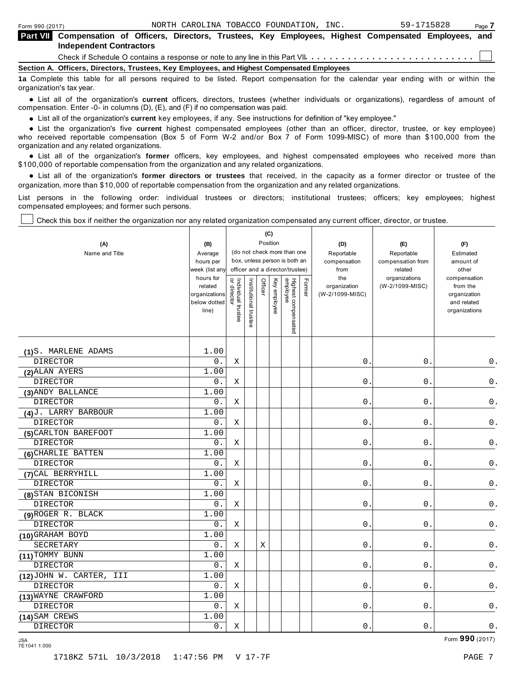| Form 990 (2017) |                                                                                                                                                               |  |  | NORTH CAROLINA TOBACCO FOUNDATION, INC. |  | 59-1715828 | Page 7 |
|-----------------|---------------------------------------------------------------------------------------------------------------------------------------------------------------|--|--|-----------------------------------------|--|------------|--------|
| <b>Part VII</b> | Compensation of Officers, Directors, Trustees, Key Employees, Highest Compensated Employees,<br><b>Independent Contractors</b>                                |  |  |                                         |  |            | and    |
|                 |                                                                                                                                                               |  |  |                                         |  |            |        |
|                 | Section A. Officers, Directors, Trustees, Key Employees, and Highest Compensated Employees                                                                    |  |  |                                         |  |            |        |
|                 | 1a Complete this table for all persons required to be listed. Report compensation for the calendar year ending with or within the<br>organization's tax year. |  |  |                                         |  |            |        |

anization's lax year.<br>● List all of the organization's **current** officers, directors, trustees (whether individuals or organizations), regardless of amount of<br>nnensation Enter -0- in columns (D) (E) and (E) if no compensa compensation. Enter -0- in columns (D), (E), and (F) if no compensation was paid.

**■** List all of the organization's **current** key employees, if any. See instructions for definition of "key employee."<br>■ List the experimetiscle five evenent birbed expressed explores (other than an efficer director t

**Example in the organization's current** key employees, if any, see instructions for definition of key employee.<br>• List the organization's five **current** highest compensated employees (other than an officer, director, trust who received reportable compensation (Box 5 of Form W-2 and/or Box 7 of Form 1099-MISC) of more than \$100,000 from the

organization and any related organizations.<br>● List all of the organization's **former** officers, key employees, and highest compensated employees who received more than<br>\$1.00,000 of reportable componention from the erganiz \$100,000 of reportable compensation from the organization and any related organizations.

% List all of the organization's **former directors or trustees** that received, in the capacity as a former director or trustee of the organization, more than \$10,000 of reportable compensation from the organization and any related organizations.

List persons in the following order: individual trustees or directors; institutional trustees; officers; key employees; highest compensated employees; and former such persons.

Т

Check this box if neither the organization nor any related organization compensated any current officer, director, or trustee.

| (A)<br>Name and Title    | (B)<br>Average<br>hours per<br>week (list any<br>hours for<br>related<br>organizations<br>below dotted<br>line) | Individual trustee<br>or director | Institutional trustee | (C)<br>Officer | Position<br>Key employee | (do not check more than one<br>box, unless person is both an<br>officer and a director/trustee)<br>Highest compensated<br>employee | Former | (D)<br>Reportable<br>compensation<br>from<br>the<br>organization<br>(W-2/1099-MISC) | (E)<br>Reportable<br>compensation from<br>related<br>organizations<br>(W-2/1099-MISC) | (F)<br>Estimated<br>amount of<br>other<br>compensation<br>from the<br>organization<br>and related<br>organizations |
|--------------------------|-----------------------------------------------------------------------------------------------------------------|-----------------------------------|-----------------------|----------------|--------------------------|------------------------------------------------------------------------------------------------------------------------------------|--------|-------------------------------------------------------------------------------------|---------------------------------------------------------------------------------------|--------------------------------------------------------------------------------------------------------------------|
|                          |                                                                                                                 |                                   |                       |                |                          |                                                                                                                                    |        |                                                                                     |                                                                                       |                                                                                                                    |
| (1)S. MARLENE ADAMS      | 1.00                                                                                                            |                                   |                       |                |                          |                                                                                                                                    |        |                                                                                     |                                                                                       |                                                                                                                    |
| <b>DIRECTOR</b>          | 0.                                                                                                              | Χ                                 |                       |                |                          |                                                                                                                                    |        | 0.                                                                                  | 0.                                                                                    | $0$ .                                                                                                              |
| (2) ALAN AYERS           | 1.00                                                                                                            |                                   |                       |                |                          |                                                                                                                                    |        |                                                                                     |                                                                                       |                                                                                                                    |
| DIRECTOR                 | $0$ .                                                                                                           | Χ                                 |                       |                |                          |                                                                                                                                    |        | $0$ .                                                                               | $0$ .                                                                                 | $\mathsf 0$ .                                                                                                      |
| (3) ANDY BALLANCE        | 1.00                                                                                                            |                                   |                       |                |                          |                                                                                                                                    |        |                                                                                     |                                                                                       |                                                                                                                    |
| <b>DIRECTOR</b>          | 0.                                                                                                              | Χ                                 |                       |                |                          |                                                                                                                                    |        | $0$ .                                                                               | $0$ .                                                                                 | $\mathsf 0$ .                                                                                                      |
| (4) J. LARRY BARBOUR     | 1.00                                                                                                            |                                   |                       |                |                          |                                                                                                                                    |        |                                                                                     |                                                                                       |                                                                                                                    |
| <b>DIRECTOR</b>          | 0.                                                                                                              | Χ                                 |                       |                |                          |                                                                                                                                    |        | О.                                                                                  | $0$ .                                                                                 | $\mathsf 0$ .                                                                                                      |
| (5) CARLTON BAREFOOT     | 1.00                                                                                                            |                                   |                       |                |                          |                                                                                                                                    |        |                                                                                     |                                                                                       |                                                                                                                    |
| <b>DIRECTOR</b>          | 0.                                                                                                              | Χ                                 |                       |                |                          |                                                                                                                                    |        | 0.                                                                                  | $\mathsf 0$ .                                                                         | 0.                                                                                                                 |
| (6) CHARLIE BATTEN       | 1.00                                                                                                            |                                   |                       |                |                          |                                                                                                                                    |        |                                                                                     |                                                                                       |                                                                                                                    |
| <b>DIRECTOR</b>          | 0.                                                                                                              | Χ                                 |                       |                |                          |                                                                                                                                    |        | 0.                                                                                  | 0.                                                                                    | 0.                                                                                                                 |
| (7) CAL BERRYHILL        | 1.00                                                                                                            |                                   |                       |                |                          |                                                                                                                                    |        |                                                                                     |                                                                                       |                                                                                                                    |
| <b>DIRECTOR</b>          | 0.                                                                                                              | Χ                                 |                       |                |                          |                                                                                                                                    |        | $\mathsf{O}$ .                                                                      | $0$ .                                                                                 | $0$ .                                                                                                              |
| (8) STAN BICONISH        | 1.00                                                                                                            |                                   |                       |                |                          |                                                                                                                                    |        |                                                                                     |                                                                                       |                                                                                                                    |
| <b>DIRECTOR</b>          | 0.                                                                                                              | Χ                                 |                       |                |                          |                                                                                                                                    |        | 0.                                                                                  | $0$ .                                                                                 | $0$ .                                                                                                              |
| (9) ROGER R. BLACK       | 1.00                                                                                                            |                                   |                       |                |                          |                                                                                                                                    |        |                                                                                     |                                                                                       |                                                                                                                    |
| <b>DIRECTOR</b>          | $0$ .                                                                                                           | Χ                                 |                       |                |                          |                                                                                                                                    |        | $\mathsf{O}$ .                                                                      | $0$ .                                                                                 | $0$ .                                                                                                              |
| (10) GRAHAM BOYD         | 1.00                                                                                                            |                                   |                       |                |                          |                                                                                                                                    |        |                                                                                     |                                                                                       |                                                                                                                    |
| SECRETARY                | $0$ .                                                                                                           | Χ                                 |                       | Χ              |                          |                                                                                                                                    |        | $0$ .                                                                               | $0$ .                                                                                 | $\mathsf 0$ .                                                                                                      |
| (11) TOMMY BUNN          | 1.00                                                                                                            |                                   |                       |                |                          |                                                                                                                                    |        |                                                                                     |                                                                                       |                                                                                                                    |
| DIRECTOR                 | $0$ .                                                                                                           | Χ                                 |                       |                |                          |                                                                                                                                    |        | $0$ .                                                                               | 0.                                                                                    | 0.                                                                                                                 |
| (12) JOHN W. CARTER, III | 1.00                                                                                                            |                                   |                       |                |                          |                                                                                                                                    |        |                                                                                     |                                                                                       |                                                                                                                    |
| <b>DIRECTOR</b>          | 0.                                                                                                              | Χ                                 |                       |                |                          |                                                                                                                                    |        | 0.                                                                                  | $0$ .                                                                                 | 0.                                                                                                                 |
| (13) WAYNE CRAWFORD      | 1.00                                                                                                            |                                   |                       |                |                          |                                                                                                                                    |        |                                                                                     |                                                                                       |                                                                                                                    |
| <b>DIRECTOR</b>          | $0$ .                                                                                                           | Χ                                 |                       |                |                          |                                                                                                                                    |        | $0$ .                                                                               | $0$ .                                                                                 | $0$ .                                                                                                              |
| (14) SAM CREWS           | 1.00                                                                                                            |                                   |                       |                |                          |                                                                                                                                    |        |                                                                                     |                                                                                       |                                                                                                                    |
| <b>DIRECTOR</b>          | $\overline{0}$ .                                                                                                | Χ                                 |                       |                |                          |                                                                                                                                    |        | $0$ .                                                                               | $0$ .                                                                                 | $0$ .                                                                                                              |

JSA Form **990** (2017) 7E1041 1.000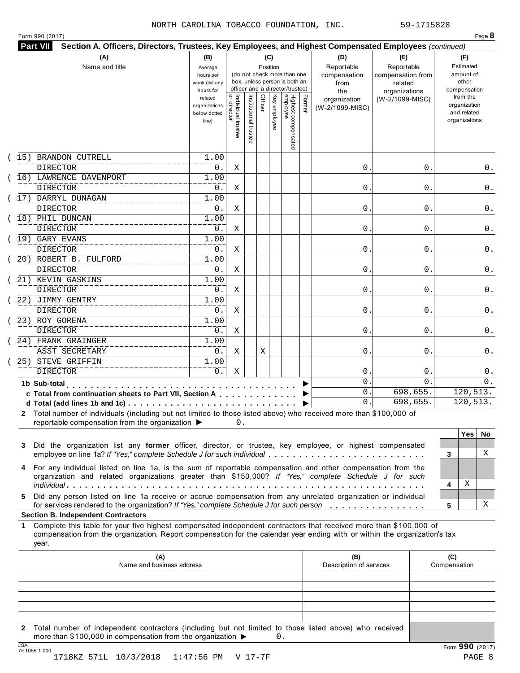| Form 990 (2017) |  |  |  |
|-----------------|--|--|--|
|-----------------|--|--|--|

| Form 990 (2017)<br>Part VII<br>Section A. Officers, Directors, Trustees, Key Employees, and Highest Compensated Employees (continued)                                                                                                                                                                       |                                                                                                                 |                                     |                      |                                            |                                                                                                 |        |                                                                                     |                                                                                       |   | Page 8                                                                                                             |
|-------------------------------------------------------------------------------------------------------------------------------------------------------------------------------------------------------------------------------------------------------------------------------------------------------------|-----------------------------------------------------------------------------------------------------------------|-------------------------------------|----------------------|--------------------------------------------|-------------------------------------------------------------------------------------------------|--------|-------------------------------------------------------------------------------------|---------------------------------------------------------------------------------------|---|--------------------------------------------------------------------------------------------------------------------|
| (A)<br>Name and title                                                                                                                                                                                                                                                                                       | (B)<br>Average<br>hours per<br>week (list any<br>hours for<br>related<br>organizations<br>below dotted<br>line) | Individual trustee<br>  or director | Institutional truste | (C)<br>Position<br>Officer<br>Key employee | (do not check more than one<br>box, unless person is both an<br>officer and a director/trustee) | Former | (D)<br>Reportable<br>compensation<br>from<br>the<br>organization<br>(W-2/1099-MISC) | (E)<br>Reportable<br>compensation from<br>related<br>organizations<br>(W-2/1099-MISC) |   | (F)<br>Estimated<br>amount of<br>other<br>compensation<br>from the<br>organization<br>and related<br>organizations |
|                                                                                                                                                                                                                                                                                                             |                                                                                                                 |                                     |                      |                                            | Highest compensated<br>employee                                                                 |        |                                                                                     |                                                                                       |   |                                                                                                                    |
| 15) BRANDON CUTRELL<br>DIRECTOR                                                                                                                                                                                                                                                                             | 1.00<br>0.                                                                                                      | Χ                                   |                      |                                            |                                                                                                 |        | $\mathbf 0$                                                                         |                                                                                       | 0 | 0.                                                                                                                 |
| 16) LAWRENCE DAVENPORT<br><b>DIRECTOR</b>                                                                                                                                                                                                                                                                   | 1.00<br>0.                                                                                                      | Χ                                   |                      |                                            |                                                                                                 |        | $\mathsf{0}$ .                                                                      |                                                                                       | 0 | 0.                                                                                                                 |
| 17) DARRYL DUNAGAN<br><b>DIRECTOR</b>                                                                                                                                                                                                                                                                       | 1.00<br>0.                                                                                                      | Χ                                   |                      |                                            |                                                                                                 |        | $\mathsf{0}$ .                                                                      |                                                                                       | 0 | 0.                                                                                                                 |
| 18) PHIL DUNCAN<br><b>DIRECTOR</b>                                                                                                                                                                                                                                                                          | 1.00<br>0.                                                                                                      | Χ                                   |                      |                                            |                                                                                                 |        | $\mathsf{0}$ .                                                                      |                                                                                       | 0 | 0.                                                                                                                 |
| (19) GARY EVANS<br>DIRECTOR                                                                                                                                                                                                                                                                                 | 1.00<br>0.                                                                                                      | Χ                                   |                      |                                            |                                                                                                 |        | $\mathsf{0}$ .                                                                      |                                                                                       | 0 | 0.                                                                                                                 |
| 20) ROBERT B. FULFORD<br>DIRECTOR                                                                                                                                                                                                                                                                           | 1.00<br>0.                                                                                                      | Χ                                   |                      |                                            |                                                                                                 |        | 0.                                                                                  |                                                                                       | 0 | 0.                                                                                                                 |
| 21) KEVIN GASKINS<br><b>DIRECTOR</b>                                                                                                                                                                                                                                                                        | 1.00<br>0.                                                                                                      | Χ                                   |                      |                                            |                                                                                                 |        | 0.                                                                                  |                                                                                       | 0 | 0.                                                                                                                 |
| 22) JIMMY GENTRY<br><b>DIRECTOR</b>                                                                                                                                                                                                                                                                         | 1.00<br>0.                                                                                                      | Χ                                   |                      |                                            |                                                                                                 |        | 0.                                                                                  |                                                                                       | 0 | 0.                                                                                                                 |
| 23) ROY GORENA<br><b>DIRECTOR</b>                                                                                                                                                                                                                                                                           | 1.00<br>0.                                                                                                      | Χ                                   |                      |                                            |                                                                                                 |        | 0.                                                                                  |                                                                                       | 0 | 0.                                                                                                                 |
| 24) FRANK GRAINGER<br>ASST SECRETARY                                                                                                                                                                                                                                                                        | 1.00<br>$0$ .                                                                                                   | Χ                                   |                      | Χ                                          |                                                                                                 |        | 0.                                                                                  |                                                                                       | 0 | 0.                                                                                                                 |
| 25) STEVE GRIFFIN<br><b>DIRECTOR</b>                                                                                                                                                                                                                                                                        | 1.00<br>0.                                                                                                      | Χ                                   |                      |                                            |                                                                                                 |        | 0                                                                                   |                                                                                       | 0 | $0$ .                                                                                                              |
| 1b Sub-total<br>c Total from continuation sheets to Part VII, Section A                                                                                                                                                                                                                                     |                                                                                                                 |                                     |                      |                                            |                                                                                                 |        | 0.<br>0.                                                                            | 698,655.                                                                              | 0 | 0.<br>120,513.                                                                                                     |
| 2 Total number of individuals (including but not limited to those listed above) who received more than \$100,000 of<br>reportable compensation from the organization $\blacktriangleright$                                                                                                                  |                                                                                                                 | 0.                                  |                      |                                            |                                                                                                 |        | 0.                                                                                  | 698,655.                                                                              |   | 120,513.                                                                                                           |
| Did the organization list any former officer, director, or trustee, key employee, or highest compensated<br>3<br>employee on line 1a? If "Yes," complete Schedule J for such individual                                                                                                                     |                                                                                                                 |                                     |                      |                                            |                                                                                                 |        |                                                                                     |                                                                                       |   | <b>Yes</b><br>No.<br>X<br>3                                                                                        |
| For any individual listed on line 1a, is the sum of reportable compensation and other compensation from the<br>4<br>organization and related organizations greater than \$150,000? If "Yes," complete Schedule J for such                                                                                   |                                                                                                                 |                                     |                      |                                            |                                                                                                 |        |                                                                                     |                                                                                       |   | X<br>4                                                                                                             |
| Did any person listed on line 1a receive or accrue compensation from any unrelated organization or individual<br>5.<br>for services rendered to the organization? If "Yes," complete Schedule J for such person                                                                                             |                                                                                                                 |                                     |                      |                                            |                                                                                                 |        |                                                                                     |                                                                                       |   | Χ<br>5                                                                                                             |
| <b>Section B. Independent Contractors</b><br>Complete this table for your five highest compensated independent contractors that received more than \$100,000 of<br>1<br>compensation from the organization. Report compensation for the calendar year ending with or within the organization's tax<br>year. |                                                                                                                 |                                     |                      |                                            |                                                                                                 |        |                                                                                     |                                                                                       |   |                                                                                                                    |
| (A)<br>Name and business address                                                                                                                                                                                                                                                                            |                                                                                                                 |                                     |                      |                                            |                                                                                                 |        | (B)<br>Description of services                                                      |                                                                                       |   | (C)<br>Compensation                                                                                                |

**2** Total number of independent contractors (including but not limited to those listed above) who received more than \$100,000 in compensation from the organization  $\blacktriangleright$  $0.$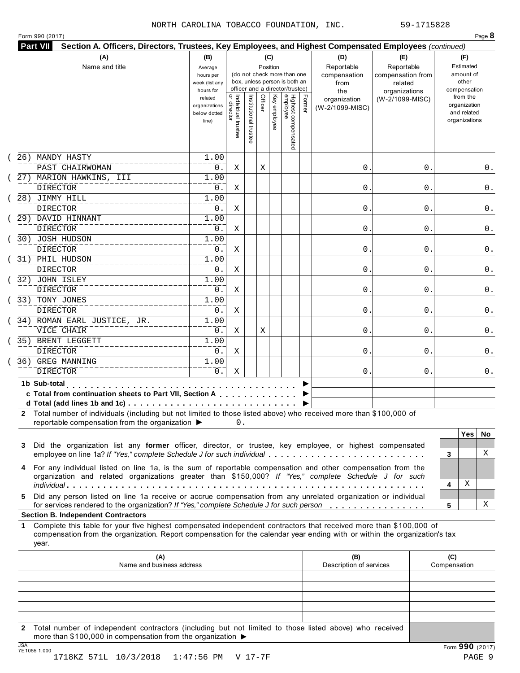|  | Form 990 (2017) |  |
|--|-----------------|--|
|  |                 |  |

|         | (A)<br>Name and title                                                                                                                                                                                                                                                                                                                                        | (B)<br>Average<br>hours per<br>week (list any<br>hours for |                                     |                      | (C)     | Position     | (do not check more than one<br>box, unless person is both an<br>officer and a director/trustee) |        | (D)<br>Reportable<br>compensation<br>from<br>the | (E)<br>Reportable<br>compensation from<br>related<br>organizations | (F)<br>Estimated<br>amount of<br>other<br>compensation   |
|---------|--------------------------------------------------------------------------------------------------------------------------------------------------------------------------------------------------------------------------------------------------------------------------------------------------------------------------------------------------------------|------------------------------------------------------------|-------------------------------------|----------------------|---------|--------------|-------------------------------------------------------------------------------------------------|--------|--------------------------------------------------|--------------------------------------------------------------------|----------------------------------------------------------|
|         |                                                                                                                                                                                                                                                                                                                                                              | related<br>organizations<br>below dotted<br>line)          | Individual trustee<br>  or director | Institutional truste | Officer | Key employee | Highest compensated<br>employee                                                                 | Former | organization<br>(W-2/1099-MISC)                  | (W-2/1099-MISC)                                                    | from the<br>organization<br>and related<br>organizations |
|         | 26) MANDY HASTY                                                                                                                                                                                                                                                                                                                                              | 1.00                                                       |                                     |                      |         |              |                                                                                                 |        |                                                  |                                                                    |                                                          |
|         | PAST CHAIRWOMAN                                                                                                                                                                                                                                                                                                                                              | 0.                                                         | Χ                                   |                      | Χ       |              |                                                                                                 |        | $\mathbf 0$                                      | 0                                                                  | 0.                                                       |
|         | 27) MARION HAWKINS, III<br>DIRECTOR                                                                                                                                                                                                                                                                                                                          | 1.00                                                       |                                     |                      |         |              |                                                                                                 |        | $\mathsf{0}$ .                                   |                                                                    |                                                          |
|         | 28) JIMMY HILL                                                                                                                                                                                                                                                                                                                                               | 0.<br>1.00                                                 | Χ                                   |                      |         |              |                                                                                                 |        |                                                  | 0                                                                  | 0.                                                       |
|         | <b>DIRECTOR</b>                                                                                                                                                                                                                                                                                                                                              | 0.                                                         | Χ                                   |                      |         |              |                                                                                                 |        | 0.                                               | 0                                                                  | 0.                                                       |
|         | 29) DAVID HINNANT                                                                                                                                                                                                                                                                                                                                            | 1.00                                                       |                                     |                      |         |              |                                                                                                 |        |                                                  |                                                                    |                                                          |
|         | DIRECTOR                                                                                                                                                                                                                                                                                                                                                     | 0.                                                         | Χ                                   |                      |         |              |                                                                                                 |        | $\mathsf{0}$ .                                   | 0                                                                  | 0.                                                       |
|         | 30) JOSH HUDSON                                                                                                                                                                                                                                                                                                                                              | 1.00                                                       |                                     |                      |         |              |                                                                                                 |        |                                                  |                                                                    |                                                          |
|         | <b>DIRECTOR</b>                                                                                                                                                                                                                                                                                                                                              | 0.                                                         | Χ                                   |                      |         |              |                                                                                                 |        | $\mathsf{0}$ .                                   | 0                                                                  | 0.                                                       |
|         | 31) PHIL HUDSON                                                                                                                                                                                                                                                                                                                                              | 1.00                                                       |                                     |                      |         |              |                                                                                                 |        |                                                  |                                                                    |                                                          |
|         | <b>DIRECTOR</b>                                                                                                                                                                                                                                                                                                                                              | 0.                                                         | Χ                                   |                      |         |              |                                                                                                 |        | 0.                                               | 0                                                                  | 0.                                                       |
|         | 32) JOHN ISLEY                                                                                                                                                                                                                                                                                                                                               | 1.00                                                       |                                     |                      |         |              |                                                                                                 |        |                                                  |                                                                    |                                                          |
|         | <b>DIRECTOR</b><br>33) TONY JONES                                                                                                                                                                                                                                                                                                                            | 0.<br>1.00                                                 | Χ                                   |                      |         |              |                                                                                                 |        | 0.                                               | 0                                                                  | 0.                                                       |
|         | <b>DIRECTOR</b>                                                                                                                                                                                                                                                                                                                                              | 0.                                                         | Χ                                   |                      |         |              |                                                                                                 |        | 0.                                               | 0                                                                  | 0.                                                       |
|         | 34) ROMAN EARL JUSTICE, JR.                                                                                                                                                                                                                                                                                                                                  | 1.00                                                       |                                     |                      |         |              |                                                                                                 |        |                                                  |                                                                    |                                                          |
|         | VICE CHAIR                                                                                                                                                                                                                                                                                                                                                   | 0.                                                         | Χ                                   |                      | Χ       |              |                                                                                                 |        | 0.                                               | 0                                                                  | 0.                                                       |
|         | 35) BRENT LEGGETT                                                                                                                                                                                                                                                                                                                                            | 1.00                                                       |                                     |                      |         |              |                                                                                                 |        |                                                  |                                                                    |                                                          |
|         | <b>DIRECTOR</b>                                                                                                                                                                                                                                                                                                                                              | 0.                                                         | Χ                                   |                      |         |              |                                                                                                 |        | 0.                                               | 0                                                                  | 0.                                                       |
|         | 36) GREG MANNING                                                                                                                                                                                                                                                                                                                                             | 1.00                                                       |                                     |                      |         |              |                                                                                                 |        |                                                  |                                                                    |                                                          |
|         | <b>DIRECTOR</b>                                                                                                                                                                                                                                                                                                                                              | $0$ .                                                      | Χ                                   |                      |         |              |                                                                                                 |        | $\mathbf 0$ .                                    | 0                                                                  | 0.                                                       |
|         | 1b Sub-total<br>c Total from continuation sheets to Part VII, Section A                                                                                                                                                                                                                                                                                      |                                                            |                                     |                      |         |              |                                                                                                 |        |                                                  |                                                                    |                                                          |
| 3       | 2 Total number of individuals (including but not limited to those listed above) who received more than \$100,000 of<br>reportable compensation from the organization ▶<br>Did the organization list any former officer, director, or trustee, key employee, or highest compensated<br>employee on line 1a? If "Yes," complete Schedule J for such individual |                                                            | 0.                                  |                      |         |              |                                                                                                 |        |                                                  |                                                                    | Yes<br>No.<br>X<br>3                                     |
| 4<br>5. | For any individual listed on line 1a, is the sum of reportable compensation and other compensation from the<br>organization and related organizations greater than \$150,000? If "Yes," complete Schedule J for such<br>Did any person listed on line 1a receive or accrue compensation from any unrelated organization or individual                        |                                                            |                                     |                      |         |              |                                                                                                 |        |                                                  |                                                                    | X<br>4                                                   |
|         | for services rendered to the organization? If "Yes," complete Schedule J for such person<br><b>Section B. Independent Contractors</b>                                                                                                                                                                                                                        |                                                            |                                     |                      |         |              |                                                                                                 |        |                                                  |                                                                    | Χ<br>5                                                   |
| 1       | Complete this table for your five highest compensated independent contractors that received more than \$100,000 of<br>compensation from the organization. Report compensation for the calendar year ending with or within the organization's tax<br>year.                                                                                                    |                                                            |                                     |                      |         |              |                                                                                                 |        |                                                  |                                                                    |                                                          |
|         | (A)<br>Name and business address                                                                                                                                                                                                                                                                                                                             |                                                            |                                     |                      |         |              |                                                                                                 |        | (B)<br>Description of services                   |                                                                    | (C)<br>Compensation                                      |
|         |                                                                                                                                                                                                                                                                                                                                                              |                                                            |                                     |                      |         |              |                                                                                                 |        |                                                  |                                                                    |                                                          |
|         |                                                                                                                                                                                                                                                                                                                                                              |                                                            |                                     |                      |         |              |                                                                                                 |        |                                                  |                                                                    |                                                          |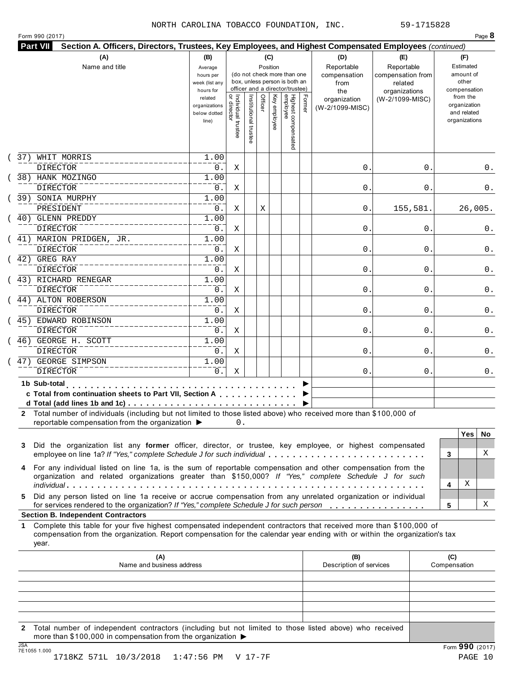|  | Form 990 (2017) |  |
|--|-----------------|--|
|  |                 |  |

| Highest compensated<br>employee<br>  Individual trustee<br>  or director<br>Institutional truste<br>Officer<br>Key employee<br>Former<br>related<br>(W-2/1099-MISC)<br>organization<br>organizations<br>(W-2/1099-MISC)<br>below dotted<br>line)<br>WHIT MORRIS<br>1.00<br>37)<br><b>DIRECTOR</b><br>0.<br>$\mathbf 0$<br>Χ<br>0<br>38) HANK MOZINGO<br>1.00<br><b>DIRECTOR</b><br>0.<br>$\mathsf{0}$ .<br>Χ<br>0<br>SONIA MURPHY<br>1.00<br>39)<br>PRESIDENT<br>0.<br>Χ<br>0.<br>155,581.<br>Χ<br>40) GLENN PREDDY<br>1.00<br><b>DIRECTOR</b><br>0.<br>$\mathbf 0$<br>Χ<br>0<br>(41) MARION PRIDGEN, JR.<br>1.00<br><b>DIRECTOR</b><br>0.<br>$\mathsf{0}$ .<br>Χ<br>0<br>$(42)$ GREG RAY<br>1.00<br><b>DIRECTOR</b><br>0.<br>0.<br>0<br>Χ<br>(43) RICHARD RENEGAR<br>1.00<br><b>DIRECTOR</b><br>0.<br>0.<br>0<br>Χ<br>44) ALTON ROBERSON<br>1.00<br><b>DIRECTOR</b><br>0.<br>$\mathsf{0}$ .<br>Χ<br>0<br>45) EDWARD ROBINSON<br>1.00<br><b>DIRECTOR</b><br>0.<br>0.<br>Χ<br>0<br>46) GEORGE H. SCOTT<br>1.00<br><b>DIRECTOR</b><br>$\mathbf{0}$<br>0.<br>0<br>Χ<br>47) GEORGE SIMPSON<br>1.00<br><b>DIRECTOR</b><br>$0$ .<br>Χ<br>$\mathbf 0$ .<br>0<br>1b Sub-total<br>c Total from continuation sheets to Part VII, Section A<br>2 Total number of individuals (including but not limited to those listed above) who received more than \$100,000 of<br>reportable compensation from the organization ▶<br>0.<br>Did the organization list any former officer, director, or trustee, key employee, or highest compensated<br>3<br>employee on line 1a? If "Yes," complete Schedule J for such individual<br>3<br>For any individual listed on line 1a, is the sum of reportable compensation and other compensation from the<br>4<br>organization and related organizations greater than \$150,000? If "Yes," complete Schedule J for such<br>4<br>Did any person listed on line 1a receive or accrue compensation from any unrelated organization or individual<br>5.<br>for services rendered to the organization? If "Yes," complete Schedule J for such person<br>5<br><b>Section B. Independent Contractors</b><br>Complete this table for your five highest compensated independent contractors that received more than \$100,000 of<br>1<br>compensation from the organization. Report compensation for the calendar year ending with or within the organization's tax<br>year.<br>(A)<br>(B)<br>(C)<br>Description of services<br>Name and business address<br>Compensation | (A)<br>Name and title | (B)<br>Average<br>hours per<br>week (list any<br>hours for |  | (C)<br>Position | (do not check more than one<br>box, unless person is both an<br>officer and a director/trustee) |  | (D)<br>Reportable<br>compensation<br>from<br>the | (E)<br>Reportable<br>compensation from<br>related<br>organizations | (F)<br>Estimated<br>amount of<br>other<br>compensation   |
|----------------------------------------------------------------------------------------------------------------------------------------------------------------------------------------------------------------------------------------------------------------------------------------------------------------------------------------------------------------------------------------------------------------------------------------------------------------------------------------------------------------------------------------------------------------------------------------------------------------------------------------------------------------------------------------------------------------------------------------------------------------------------------------------------------------------------------------------------------------------------------------------------------------------------------------------------------------------------------------------------------------------------------------------------------------------------------------------------------------------------------------------------------------------------------------------------------------------------------------------------------------------------------------------------------------------------------------------------------------------------------------------------------------------------------------------------------------------------------------------------------------------------------------------------------------------------------------------------------------------------------------------------------------------------------------------------------------------------------------------------------------------------------------------------------------------------------------------------------------------------------------------------------------------------------------------------------------------------------------------------------------------------------------------------------------------------------------------------------------------------------------------------------------------------------------------------------------------------------------------------------------------------------------------------------------------------------------------------------------------------------------------------------------------------------------------------------------------------------------|-----------------------|------------------------------------------------------------|--|-----------------|-------------------------------------------------------------------------------------------------|--|--------------------------------------------------|--------------------------------------------------------------------|----------------------------------------------------------|
|                                                                                                                                                                                                                                                                                                                                                                                                                                                                                                                                                                                                                                                                                                                                                                                                                                                                                                                                                                                                                                                                                                                                                                                                                                                                                                                                                                                                                                                                                                                                                                                                                                                                                                                                                                                                                                                                                                                                                                                                                                                                                                                                                                                                                                                                                                                                                                                                                                                                                        |                       |                                                            |  |                 |                                                                                                 |  |                                                  |                                                                    | from the<br>organization<br>and related<br>organizations |
|                                                                                                                                                                                                                                                                                                                                                                                                                                                                                                                                                                                                                                                                                                                                                                                                                                                                                                                                                                                                                                                                                                                                                                                                                                                                                                                                                                                                                                                                                                                                                                                                                                                                                                                                                                                                                                                                                                                                                                                                                                                                                                                                                                                                                                                                                                                                                                                                                                                                                        |                       |                                                            |  |                 |                                                                                                 |  |                                                  |                                                                    |                                                          |
|                                                                                                                                                                                                                                                                                                                                                                                                                                                                                                                                                                                                                                                                                                                                                                                                                                                                                                                                                                                                                                                                                                                                                                                                                                                                                                                                                                                                                                                                                                                                                                                                                                                                                                                                                                                                                                                                                                                                                                                                                                                                                                                                                                                                                                                                                                                                                                                                                                                                                        |                       |                                                            |  |                 |                                                                                                 |  |                                                  |                                                                    | 0.                                                       |
|                                                                                                                                                                                                                                                                                                                                                                                                                                                                                                                                                                                                                                                                                                                                                                                                                                                                                                                                                                                                                                                                                                                                                                                                                                                                                                                                                                                                                                                                                                                                                                                                                                                                                                                                                                                                                                                                                                                                                                                                                                                                                                                                                                                                                                                                                                                                                                                                                                                                                        |                       |                                                            |  |                 |                                                                                                 |  |                                                  |                                                                    | 0.                                                       |
|                                                                                                                                                                                                                                                                                                                                                                                                                                                                                                                                                                                                                                                                                                                                                                                                                                                                                                                                                                                                                                                                                                                                                                                                                                                                                                                                                                                                                                                                                                                                                                                                                                                                                                                                                                                                                                                                                                                                                                                                                                                                                                                                                                                                                                                                                                                                                                                                                                                                                        |                       |                                                            |  |                 |                                                                                                 |  |                                                  |                                                                    |                                                          |
|                                                                                                                                                                                                                                                                                                                                                                                                                                                                                                                                                                                                                                                                                                                                                                                                                                                                                                                                                                                                                                                                                                                                                                                                                                                                                                                                                                                                                                                                                                                                                                                                                                                                                                                                                                                                                                                                                                                                                                                                                                                                                                                                                                                                                                                                                                                                                                                                                                                                                        |                       |                                                            |  |                 |                                                                                                 |  |                                                  |                                                                    | 26,005.                                                  |
|                                                                                                                                                                                                                                                                                                                                                                                                                                                                                                                                                                                                                                                                                                                                                                                                                                                                                                                                                                                                                                                                                                                                                                                                                                                                                                                                                                                                                                                                                                                                                                                                                                                                                                                                                                                                                                                                                                                                                                                                                                                                                                                                                                                                                                                                                                                                                                                                                                                                                        |                       |                                                            |  |                 |                                                                                                 |  |                                                  |                                                                    |                                                          |
|                                                                                                                                                                                                                                                                                                                                                                                                                                                                                                                                                                                                                                                                                                                                                                                                                                                                                                                                                                                                                                                                                                                                                                                                                                                                                                                                                                                                                                                                                                                                                                                                                                                                                                                                                                                                                                                                                                                                                                                                                                                                                                                                                                                                                                                                                                                                                                                                                                                                                        |                       |                                                            |  |                 |                                                                                                 |  |                                                  |                                                                    | 0.                                                       |
|                                                                                                                                                                                                                                                                                                                                                                                                                                                                                                                                                                                                                                                                                                                                                                                                                                                                                                                                                                                                                                                                                                                                                                                                                                                                                                                                                                                                                                                                                                                                                                                                                                                                                                                                                                                                                                                                                                                                                                                                                                                                                                                                                                                                                                                                                                                                                                                                                                                                                        |                       |                                                            |  |                 |                                                                                                 |  |                                                  |                                                                    |                                                          |
|                                                                                                                                                                                                                                                                                                                                                                                                                                                                                                                                                                                                                                                                                                                                                                                                                                                                                                                                                                                                                                                                                                                                                                                                                                                                                                                                                                                                                                                                                                                                                                                                                                                                                                                                                                                                                                                                                                                                                                                                                                                                                                                                                                                                                                                                                                                                                                                                                                                                                        |                       |                                                            |  |                 |                                                                                                 |  |                                                  |                                                                    | 0.                                                       |
|                                                                                                                                                                                                                                                                                                                                                                                                                                                                                                                                                                                                                                                                                                                                                                                                                                                                                                                                                                                                                                                                                                                                                                                                                                                                                                                                                                                                                                                                                                                                                                                                                                                                                                                                                                                                                                                                                                                                                                                                                                                                                                                                                                                                                                                                                                                                                                                                                                                                                        |                       |                                                            |  |                 |                                                                                                 |  |                                                  |                                                                    |                                                          |
|                                                                                                                                                                                                                                                                                                                                                                                                                                                                                                                                                                                                                                                                                                                                                                                                                                                                                                                                                                                                                                                                                                                                                                                                                                                                                                                                                                                                                                                                                                                                                                                                                                                                                                                                                                                                                                                                                                                                                                                                                                                                                                                                                                                                                                                                                                                                                                                                                                                                                        |                       |                                                            |  |                 |                                                                                                 |  |                                                  |                                                                    | 0.                                                       |
|                                                                                                                                                                                                                                                                                                                                                                                                                                                                                                                                                                                                                                                                                                                                                                                                                                                                                                                                                                                                                                                                                                                                                                                                                                                                                                                                                                                                                                                                                                                                                                                                                                                                                                                                                                                                                                                                                                                                                                                                                                                                                                                                                                                                                                                                                                                                                                                                                                                                                        |                       |                                                            |  |                 |                                                                                                 |  |                                                  |                                                                    |                                                          |
|                                                                                                                                                                                                                                                                                                                                                                                                                                                                                                                                                                                                                                                                                                                                                                                                                                                                                                                                                                                                                                                                                                                                                                                                                                                                                                                                                                                                                                                                                                                                                                                                                                                                                                                                                                                                                                                                                                                                                                                                                                                                                                                                                                                                                                                                                                                                                                                                                                                                                        |                       |                                                            |  |                 |                                                                                                 |  |                                                  |                                                                    | 0.                                                       |
|                                                                                                                                                                                                                                                                                                                                                                                                                                                                                                                                                                                                                                                                                                                                                                                                                                                                                                                                                                                                                                                                                                                                                                                                                                                                                                                                                                                                                                                                                                                                                                                                                                                                                                                                                                                                                                                                                                                                                                                                                                                                                                                                                                                                                                                                                                                                                                                                                                                                                        |                       |                                                            |  |                 |                                                                                                 |  |                                                  |                                                                    | 0.                                                       |
|                                                                                                                                                                                                                                                                                                                                                                                                                                                                                                                                                                                                                                                                                                                                                                                                                                                                                                                                                                                                                                                                                                                                                                                                                                                                                                                                                                                                                                                                                                                                                                                                                                                                                                                                                                                                                                                                                                                                                                                                                                                                                                                                                                                                                                                                                                                                                                                                                                                                                        |                       |                                                            |  |                 |                                                                                                 |  |                                                  |                                                                    |                                                          |
|                                                                                                                                                                                                                                                                                                                                                                                                                                                                                                                                                                                                                                                                                                                                                                                                                                                                                                                                                                                                                                                                                                                                                                                                                                                                                                                                                                                                                                                                                                                                                                                                                                                                                                                                                                                                                                                                                                                                                                                                                                                                                                                                                                                                                                                                                                                                                                                                                                                                                        |                       |                                                            |  |                 |                                                                                                 |  |                                                  |                                                                    | 0.                                                       |
|                                                                                                                                                                                                                                                                                                                                                                                                                                                                                                                                                                                                                                                                                                                                                                                                                                                                                                                                                                                                                                                                                                                                                                                                                                                                                                                                                                                                                                                                                                                                                                                                                                                                                                                                                                                                                                                                                                                                                                                                                                                                                                                                                                                                                                                                                                                                                                                                                                                                                        |                       |                                                            |  |                 |                                                                                                 |  |                                                  |                                                                    |                                                          |
|                                                                                                                                                                                                                                                                                                                                                                                                                                                                                                                                                                                                                                                                                                                                                                                                                                                                                                                                                                                                                                                                                                                                                                                                                                                                                                                                                                                                                                                                                                                                                                                                                                                                                                                                                                                                                                                                                                                                                                                                                                                                                                                                                                                                                                                                                                                                                                                                                                                                                        |                       |                                                            |  |                 |                                                                                                 |  |                                                  |                                                                    | 0.                                                       |
|                                                                                                                                                                                                                                                                                                                                                                                                                                                                                                                                                                                                                                                                                                                                                                                                                                                                                                                                                                                                                                                                                                                                                                                                                                                                                                                                                                                                                                                                                                                                                                                                                                                                                                                                                                                                                                                                                                                                                                                                                                                                                                                                                                                                                                                                                                                                                                                                                                                                                        |                       |                                                            |  |                 |                                                                                                 |  |                                                  |                                                                    |                                                          |
|                                                                                                                                                                                                                                                                                                                                                                                                                                                                                                                                                                                                                                                                                                                                                                                                                                                                                                                                                                                                                                                                                                                                                                                                                                                                                                                                                                                                                                                                                                                                                                                                                                                                                                                                                                                                                                                                                                                                                                                                                                                                                                                                                                                                                                                                                                                                                                                                                                                                                        |                       |                                                            |  |                 |                                                                                                 |  |                                                  |                                                                    | 0.                                                       |
|                                                                                                                                                                                                                                                                                                                                                                                                                                                                                                                                                                                                                                                                                                                                                                                                                                                                                                                                                                                                                                                                                                                                                                                                                                                                                                                                                                                                                                                                                                                                                                                                                                                                                                                                                                                                                                                                                                                                                                                                                                                                                                                                                                                                                                                                                                                                                                                                                                                                                        |                       |                                                            |  |                 |                                                                                                 |  |                                                  |                                                                    |                                                          |
|                                                                                                                                                                                                                                                                                                                                                                                                                                                                                                                                                                                                                                                                                                                                                                                                                                                                                                                                                                                                                                                                                                                                                                                                                                                                                                                                                                                                                                                                                                                                                                                                                                                                                                                                                                                                                                                                                                                                                                                                                                                                                                                                                                                                                                                                                                                                                                                                                                                                                        |                       |                                                            |  |                 |                                                                                                 |  |                                                  |                                                                    | Yes<br>No.<br>X                                          |
|                                                                                                                                                                                                                                                                                                                                                                                                                                                                                                                                                                                                                                                                                                                                                                                                                                                                                                                                                                                                                                                                                                                                                                                                                                                                                                                                                                                                                                                                                                                                                                                                                                                                                                                                                                                                                                                                                                                                                                                                                                                                                                                                                                                                                                                                                                                                                                                                                                                                                        |                       |                                                            |  |                 |                                                                                                 |  |                                                  |                                                                    | X                                                        |
|                                                                                                                                                                                                                                                                                                                                                                                                                                                                                                                                                                                                                                                                                                                                                                                                                                                                                                                                                                                                                                                                                                                                                                                                                                                                                                                                                                                                                                                                                                                                                                                                                                                                                                                                                                                                                                                                                                                                                                                                                                                                                                                                                                                                                                                                                                                                                                                                                                                                                        |                       |                                                            |  |                 |                                                                                                 |  |                                                  |                                                                    | Χ                                                        |
|                                                                                                                                                                                                                                                                                                                                                                                                                                                                                                                                                                                                                                                                                                                                                                                                                                                                                                                                                                                                                                                                                                                                                                                                                                                                                                                                                                                                                                                                                                                                                                                                                                                                                                                                                                                                                                                                                                                                                                                                                                                                                                                                                                                                                                                                                                                                                                                                                                                                                        |                       |                                                            |  |                 |                                                                                                 |  |                                                  |                                                                    |                                                          |
|                                                                                                                                                                                                                                                                                                                                                                                                                                                                                                                                                                                                                                                                                                                                                                                                                                                                                                                                                                                                                                                                                                                                                                                                                                                                                                                                                                                                                                                                                                                                                                                                                                                                                                                                                                                                                                                                                                                                                                                                                                                                                                                                                                                                                                                                                                                                                                                                                                                                                        |                       |                                                            |  |                 |                                                                                                 |  |                                                  |                                                                    |                                                          |
|                                                                                                                                                                                                                                                                                                                                                                                                                                                                                                                                                                                                                                                                                                                                                                                                                                                                                                                                                                                                                                                                                                                                                                                                                                                                                                                                                                                                                                                                                                                                                                                                                                                                                                                                                                                                                                                                                                                                                                                                                                                                                                                                                                                                                                                                                                                                                                                                                                                                                        |                       |                                                            |  |                 |                                                                                                 |  |                                                  |                                                                    |                                                          |
|                                                                                                                                                                                                                                                                                                                                                                                                                                                                                                                                                                                                                                                                                                                                                                                                                                                                                                                                                                                                                                                                                                                                                                                                                                                                                                                                                                                                                                                                                                                                                                                                                                                                                                                                                                                                                                                                                                                                                                                                                                                                                                                                                                                                                                                                                                                                                                                                                                                                                        |                       |                                                            |  |                 |                                                                                                 |  |                                                  |                                                                    |                                                          |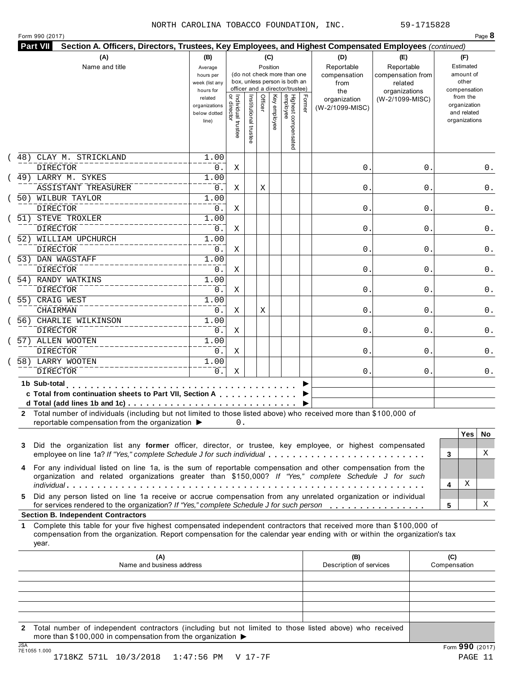|  | Form 990 (2017) |  |
|--|-----------------|--|

|                                                        | (A)<br>Name and title                                                                                                                                                                                                                                                                                                                                                                                                             | (B)<br>Average<br>hours per<br>week (list any<br>hours for |                                     |                      | (C)<br>Position         | (do not check more than one<br>box, unless person is both an<br>officer and a director/trustee) |        | (D)<br>Reportable<br>compensation<br>from<br>the | (E)<br>Reportable<br>compensation from<br>related<br>organizations | (F)<br>Estimated<br>amount of<br>other<br>compensation   |
|--------------------------------------------------------|-----------------------------------------------------------------------------------------------------------------------------------------------------------------------------------------------------------------------------------------------------------------------------------------------------------------------------------------------------------------------------------------------------------------------------------|------------------------------------------------------------|-------------------------------------|----------------------|-------------------------|-------------------------------------------------------------------------------------------------|--------|--------------------------------------------------|--------------------------------------------------------------------|----------------------------------------------------------|
|                                                        |                                                                                                                                                                                                                                                                                                                                                                                                                                   | related<br>organizations<br>below dotted<br>line)          | Individual trustee<br>  or director | Institutional truste | Officer<br>Key employee | Highest compensated<br>employee                                                                 | Former | organization<br>(W-2/1099-MISC)                  | (W-2/1099-MISC)                                                    | from the<br>organization<br>and related<br>organizations |
| 48)<br><b>DIRECTOR</b>                                 | CLAY M. STRICKLAND                                                                                                                                                                                                                                                                                                                                                                                                                | 1.00                                                       |                                     |                      |                         |                                                                                                 |        | $\mathbf 0$                                      |                                                                    | 0.                                                       |
| 49) LARRY M. SYKES                                     | ASSISTANT TREASURER                                                                                                                                                                                                                                                                                                                                                                                                               | 0.<br>1.00<br>0.                                           | Χ<br>Χ                              |                      | Χ                       |                                                                                                 |        | 0.                                               | 0<br>0                                                             | 0.                                                       |
| 50) WILBUR TAYLOR<br><b>DIRECTOR</b>                   |                                                                                                                                                                                                                                                                                                                                                                                                                                   | 1.00<br>0.                                                 | Χ                                   |                      |                         |                                                                                                 |        | 0.                                               | 0                                                                  | 0.                                                       |
| 51) STEVE TROXLER<br>DIRECTOR                          |                                                                                                                                                                                                                                                                                                                                                                                                                                   | 1.00<br>0.                                                 | Χ                                   |                      |                         |                                                                                                 |        | $\mathsf{0}$ .                                   | 0                                                                  | 0.                                                       |
| <b>DIRECTOR</b>                                        | 52) WILLIAM UPCHURCH                                                                                                                                                                                                                                                                                                                                                                                                              | 1.00<br>0.                                                 | Χ                                   |                      |                         |                                                                                                 |        | $\mathsf{0}$ .                                   | 0                                                                  | 0.                                                       |
| 53) DAN WAGSTAFF<br><b>DIRECTOR</b>                    |                                                                                                                                                                                                                                                                                                                                                                                                                                   | 1.00<br>0.                                                 | Χ                                   |                      |                         |                                                                                                 |        | 0.                                               | 0                                                                  | 0.                                                       |
| 54) RANDY WATKINS<br><b>DIRECTOR</b><br>55) CRAIG WEST |                                                                                                                                                                                                                                                                                                                                                                                                                                   | 1.00<br>0.<br>1.00                                         | Χ                                   |                      |                         |                                                                                                 |        | 0.                                               | 0                                                                  | 0.                                                       |
| <b>CHAIRMAN</b>                                        | 56) CHARLIE WILKINSON                                                                                                                                                                                                                                                                                                                                                                                                             | 0.<br>1.00                                                 | Χ                                   |                      | Χ                       |                                                                                                 |        | 0.                                               | 0                                                                  | 0.                                                       |
| DIRECTOR<br>57) ALLEN WOOTEN                           |                                                                                                                                                                                                                                                                                                                                                                                                                                   | 0.<br>1.00                                                 | Χ                                   |                      |                         |                                                                                                 |        | 0.                                               | 0                                                                  | 0.                                                       |
| <b>DIRECTOR</b><br>58) LARRY WOOTEN                    |                                                                                                                                                                                                                                                                                                                                                                                                                                   | 0.<br>1.00                                                 | Χ                                   |                      |                         |                                                                                                 |        | 0.                                               | 0                                                                  | 0.                                                       |
| <b>DIRECTOR</b><br>1b Sub-total                        | c Total from continuation sheets to Part VII, Section A                                                                                                                                                                                                                                                                                                                                                                           | $0$ .                                                      | Χ                                   |                      |                         |                                                                                                 |        | $\mathbf 0$ .                                    | 0                                                                  | 0.                                                       |
| 3                                                      | 2 Total number of individuals (including but not limited to those listed above) who received more than \$100,000 of<br>reportable compensation from the organization ▶<br>Did the organization list any former officer, director, or trustee, key employee, or highest compensated<br>employee on line 1a? If "Yes," complete Schedule J for such individual                                                                      |                                                            | 0.                                  |                      |                         |                                                                                                 |        |                                                  |                                                                    | Yes<br>No.<br>X<br>3                                     |
| 4<br>5.                                                | For any individual listed on line 1a, is the sum of reportable compensation and other compensation from the<br>organization and related organizations greater than \$150,000? If "Yes," complete Schedule J for such<br>Did any person listed on line 1a receive or accrue compensation from any unrelated organization or individual<br>for services rendered to the organization? If "Yes," complete Schedule J for such person |                                                            |                                     |                      |                         |                                                                                                 |        |                                                  |                                                                    | X<br>4<br>Χ<br>5                                         |
| 1                                                      | <b>Section B. Independent Contractors</b><br>Complete this table for your five highest compensated independent contractors that received more than \$100,000 of<br>compensation from the organization. Report compensation for the calendar year ending with or within the organization's tax                                                                                                                                     |                                                            |                                     |                      |                         |                                                                                                 |        |                                                  |                                                                    |                                                          |
| year.                                                  | (A)                                                                                                                                                                                                                                                                                                                                                                                                                               |                                                            |                                     |                      |                         |                                                                                                 |        | (B)<br>Description of services                   |                                                                    | (C)<br>Compensation                                      |
|                                                        | Name and business address                                                                                                                                                                                                                                                                                                                                                                                                         |                                                            |                                     |                      |                         |                                                                                                 |        |                                                  |                                                                    |                                                          |

JSA Form **990** (2017) 7E1055 1.000 1718KZ 571L 10/3/2018 1:47:56 PM V 17-7F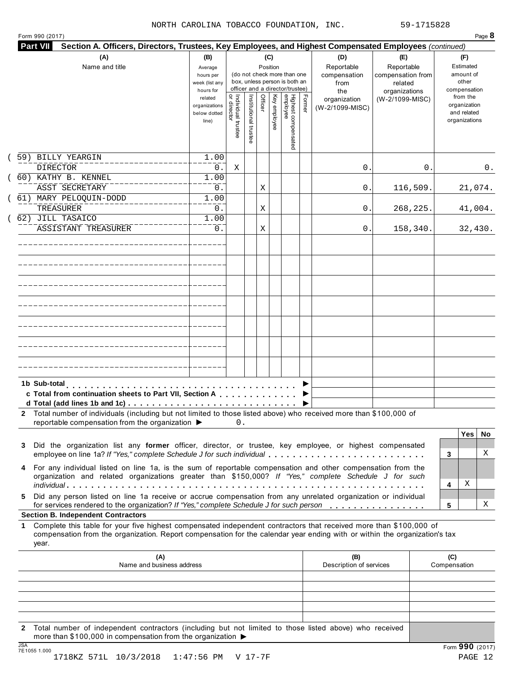|  | Form 990 (2017) |  |
|--|-----------------|--|
|  |                 |  |

|     | (A)<br>Name and title                                                                                                                 | (B)<br>(C)<br>Position<br>Average<br>(do not check more than one<br>hours per<br>box, unless person is both an<br>week (list any<br>officer and a director/trustee)<br>hours for |                                           |                       |         |              |                                 |        | (D)<br>Reportable<br>compensation<br>from<br>the | (E)<br>Reportable<br>compensation from<br>related<br>organizations | (F)<br>Estimated<br>amount of<br>other<br>compensation   |
|-----|---------------------------------------------------------------------------------------------------------------------------------------|----------------------------------------------------------------------------------------------------------------------------------------------------------------------------------|-------------------------------------------|-----------------------|---------|--------------|---------------------------------|--------|--------------------------------------------------|--------------------------------------------------------------------|----------------------------------------------------------|
|     |                                                                                                                                       | related<br>organizations<br>below dotted<br>line)                                                                                                                                | <br>  Individual trustee<br>  or director | Institutional trustee | Officer | Key employee | Highest compensated<br>employee | Former | organization<br>(W-2/1099-MISC)                  | (W-2/1099-MISC)                                                    | from the<br>organization<br>and related<br>organizations |
| 59) | BILLY YEARGIN                                                                                                                         | 1.00                                                                                                                                                                             |                                           |                       |         |              |                                 |        |                                                  |                                                                    |                                                          |
|     | <b>DIRECTOR</b><br>60) KATHY B. KENNEL                                                                                                | $0$ .<br>1.00                                                                                                                                                                    | Χ                                         |                       |         |              |                                 |        | $\mathbf 0$                                      | 0                                                                  | 0.                                                       |
|     | ASST SECRETARY                                                                                                                        | 0.                                                                                                                                                                               |                                           |                       | Χ       |              |                                 |        | 0.                                               | 116,509.                                                           | 21,074.                                                  |
|     | 61) MARY PELOQUIN-DODD                                                                                                                | 1.00                                                                                                                                                                             |                                           |                       |         |              |                                 |        |                                                  |                                                                    |                                                          |
|     | TREASURER                                                                                                                             | 0.                                                                                                                                                                               |                                           |                       | Χ       |              |                                 |        | $\mathbf 0$ .                                    | 268,225.                                                           | 41,004.                                                  |
|     | 62) JILL TASAICO                                                                                                                      | 1.00                                                                                                                                                                             |                                           |                       |         |              |                                 |        |                                                  |                                                                    |                                                          |
|     | ASSISTANT TREASURER                                                                                                                   | 0.                                                                                                                                                                               |                                           |                       | Χ       |              |                                 |        | 0.                                               | 158,340.                                                           | 32,430.                                                  |
|     |                                                                                                                                       |                                                                                                                                                                                  |                                           |                       |         |              |                                 |        |                                                  |                                                                    |                                                          |
|     |                                                                                                                                       |                                                                                                                                                                                  |                                           |                       |         |              |                                 |        |                                                  |                                                                    |                                                          |
|     |                                                                                                                                       |                                                                                                                                                                                  |                                           |                       |         |              |                                 |        |                                                  |                                                                    |                                                          |
|     |                                                                                                                                       |                                                                                                                                                                                  |                                           |                       |         |              |                                 |        |                                                  |                                                                    |                                                          |
|     |                                                                                                                                       |                                                                                                                                                                                  |                                           |                       |         |              |                                 |        |                                                  |                                                                    |                                                          |
|     |                                                                                                                                       |                                                                                                                                                                                  |                                           |                       |         |              |                                 |        |                                                  |                                                                    |                                                          |
|     |                                                                                                                                       |                                                                                                                                                                                  |                                           |                       |         |              |                                 |        |                                                  |                                                                    |                                                          |
|     |                                                                                                                                       |                                                                                                                                                                                  |                                           |                       |         |              |                                 |        |                                                  |                                                                    |                                                          |
|     |                                                                                                                                       |                                                                                                                                                                                  |                                           |                       |         |              |                                 |        |                                                  |                                                                    |                                                          |
|     |                                                                                                                                       |                                                                                                                                                                                  |                                           |                       |         |              |                                 |        |                                                  |                                                                    |                                                          |
|     |                                                                                                                                       |                                                                                                                                                                                  |                                           |                       |         |              |                                 |        |                                                  |                                                                    |                                                          |
|     |                                                                                                                                       |                                                                                                                                                                                  |                                           |                       |         |              |                                 |        |                                                  |                                                                    |                                                          |
|     | 1b Sub-total                                                                                                                          |                                                                                                                                                                                  |                                           |                       |         |              |                                 |        |                                                  |                                                                    |                                                          |
|     | c Total from continuation sheets to Part VII, Section A                                                                               |                                                                                                                                                                                  |                                           |                       |         |              |                                 |        |                                                  |                                                                    |                                                          |
|     | 2 Total number of individuals (including but not limited to those listed above) who received more than \$100,000 of                   |                                                                                                                                                                                  |                                           |                       |         |              |                                 |        |                                                  |                                                                    |                                                          |
|     | reportable compensation from the organization ▶                                                                                       |                                                                                                                                                                                  | 0.                                        |                       |         |              |                                 |        |                                                  |                                                                    |                                                          |
|     |                                                                                                                                       |                                                                                                                                                                                  |                                           |                       |         |              |                                 |        |                                                  |                                                                    | Yes<br>No.                                               |
| 3   | Did the organization list any former officer, director, or trustee, key employee, or highest compensated                              |                                                                                                                                                                                  |                                           |                       |         |              |                                 |        |                                                  |                                                                    |                                                          |
|     | employee on line 1a? If "Yes," complete Schedule J for such individual                                                                |                                                                                                                                                                                  |                                           |                       |         |              |                                 |        |                                                  |                                                                    | X<br>3                                                   |
|     | For any individual listed on line 1a, is the sum of reportable compensation and other compensation from the                           |                                                                                                                                                                                  |                                           |                       |         |              |                                 |        |                                                  |                                                                    |                                                          |
|     | organization and related organizations greater than \$150,000? If "Yes," complete Schedule J for such                                 |                                                                                                                                                                                  |                                           |                       |         |              |                                 |        |                                                  |                                                                    | X<br>4                                                   |
| 4   |                                                                                                                                       |                                                                                                                                                                                  |                                           |                       |         |              |                                 |        |                                                  |                                                                    |                                                          |
|     |                                                                                                                                       |                                                                                                                                                                                  |                                           |                       |         |              |                                 |        |                                                  |                                                                    | Χ<br>5                                                   |
| 5.  | Did any person listed on line 1a receive or accrue compensation from any unrelated organization or individual                         |                                                                                                                                                                                  |                                           |                       |         |              |                                 |        |                                                  |                                                                    |                                                          |
|     | for services rendered to the organization? If "Yes," complete Schedule J for such person<br><b>Section B. Independent Contractors</b> |                                                                                                                                                                                  |                                           |                       |         |              |                                 |        |                                                  |                                                                    |                                                          |
|     | Complete this table for your five highest compensated independent contractors that received more than \$100,000 of                    |                                                                                                                                                                                  |                                           |                       |         |              |                                 |        |                                                  |                                                                    |                                                          |
|     | compensation from the organization. Report compensation for the calendar year ending with or within the organization's tax            |                                                                                                                                                                                  |                                           |                       |         |              |                                 |        |                                                  |                                                                    |                                                          |
| 1   | year.                                                                                                                                 |                                                                                                                                                                                  |                                           |                       |         |              |                                 |        |                                                  |                                                                    |                                                          |
|     | (A)<br>Name and business address                                                                                                      |                                                                                                                                                                                  |                                           |                       |         |              |                                 |        | (B)<br>Description of services                   |                                                                    | (C)<br>Compensation                                      |
|     |                                                                                                                                       |                                                                                                                                                                                  |                                           |                       |         |              |                                 |        |                                                  |                                                                    |                                                          |
|     |                                                                                                                                       |                                                                                                                                                                                  |                                           |                       |         |              |                                 |        |                                                  |                                                                    |                                                          |
|     |                                                                                                                                       |                                                                                                                                                                                  |                                           |                       |         |              |                                 |        |                                                  |                                                                    |                                                          |
|     |                                                                                                                                       |                                                                                                                                                                                  |                                           |                       |         |              |                                 |        |                                                  |                                                                    |                                                          |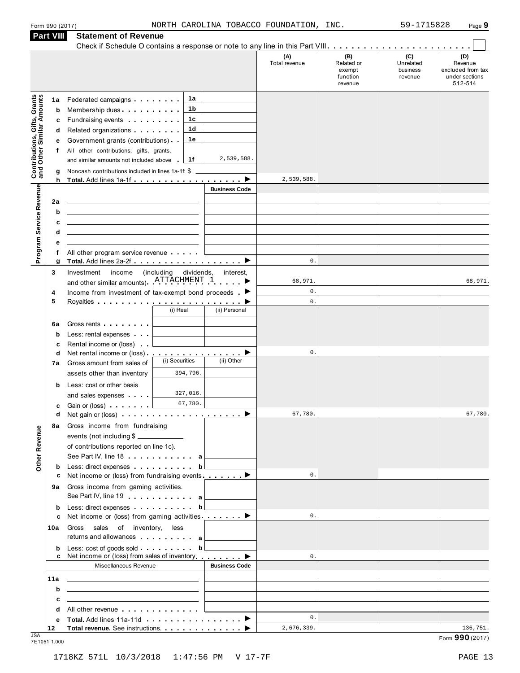|  | Form 990 (2017 |
|--|----------------|
|  |                |

| Form 990 (2017)                                                       | NORTH CAROLINA TOBACCO FOUNDATION, INC.                                                                                                                                                                                                   |                                                                                                                                                                                                                                                                                                                                                                                  |            | 59-1715828          | Page 9                              |
|-----------------------------------------------------------------------|-------------------------------------------------------------------------------------------------------------------------------------------------------------------------------------------------------------------------------------------|----------------------------------------------------------------------------------------------------------------------------------------------------------------------------------------------------------------------------------------------------------------------------------------------------------------------------------------------------------------------------------|------------|---------------------|-------------------------------------|
| Part VIII                                                             | <b>Statement of Revenue</b>                                                                                                                                                                                                               |                                                                                                                                                                                                                                                                                                                                                                                  |            |                     |                                     |
|                                                                       |                                                                                                                                                                                                                                           |                                                                                                                                                                                                                                                                                                                                                                                  |            | (C)                 |                                     |
|                                                                       |                                                                                                                                                                                                                                           | Total revenue                                                                                                                                                                                                                                                                                                                                                                    | Related or | Unrelated           | (D)<br>Revenue                      |
|                                                                       |                                                                                                                                                                                                                                           |                                                                                                                                                                                                                                                                                                                                                                                  | exempt     | business<br>revenue | excluded from tax<br>under sections |
|                                                                       |                                                                                                                                                                                                                                           |                                                                                                                                                                                                                                                                                                                                                                                  | revenue    |                     | 512-514                             |
|                                                                       |                                                                                                                                                                                                                                           |                                                                                                                                                                                                                                                                                                                                                                                  |            |                     |                                     |
| 1a                                                                    | Federated campaigns <b>Exercise Services</b><br>Membership dues <b>All Accords</b> Membership dues                                                                                                                                        |                                                                                                                                                                                                                                                                                                                                                                                  |            |                     |                                     |
| b<br>с                                                                | Fundraising events <b>Exercises</b>                                                                                                                                                                                                       |                                                                                                                                                                                                                                                                                                                                                                                  |            |                     |                                     |
| d                                                                     | 1d<br>Related organizations <b>contains</b> and the set of the set of the set of the set of the set of the set of the set of the set of the set of the set of the set of the set of the set of the set of the set of the set of the set o |                                                                                                                                                                                                                                                                                                                                                                                  |            |                     |                                     |
| <b>Contributions, Gifts, Grants</b><br>and Other Similar Amounts<br>е | 1е<br>Government grants (contributions)                                                                                                                                                                                                   |                                                                                                                                                                                                                                                                                                                                                                                  |            |                     |                                     |
| f                                                                     | All other contributions, gifts, grants,                                                                                                                                                                                                   |                                                                                                                                                                                                                                                                                                                                                                                  |            |                     |                                     |
|                                                                       | 2,539,588.<br>1f<br>and similar amounts not included above                                                                                                                                                                                |                                                                                                                                                                                                                                                                                                                                                                                  |            |                     |                                     |
| g                                                                     | Noncash contributions included in lines 1a-1f: \$                                                                                                                                                                                         |                                                                                                                                                                                                                                                                                                                                                                                  |            |                     |                                     |
| h                                                                     | Total. Add lines 1a-1f                                                                                                                                                                                                                    | 2,539,588                                                                                                                                                                                                                                                                                                                                                                        |            |                     |                                     |
|                                                                       |                                                                                                                                                                                                                                           |                                                                                                                                                                                                                                                                                                                                                                                  |            |                     |                                     |
| 2a                                                                    |                                                                                                                                                                                                                                           |                                                                                                                                                                                                                                                                                                                                                                                  |            |                     |                                     |
| b                                                                     |                                                                                                                                                                                                                                           |                                                                                                                                                                                                                                                                                                                                                                                  |            |                     |                                     |
| c                                                                     |                                                                                                                                                                                                                                           |                                                                                                                                                                                                                                                                                                                                                                                  |            |                     |                                     |
| d                                                                     |                                                                                                                                                                                                                                           |                                                                                                                                                                                                                                                                                                                                                                                  |            |                     |                                     |
| е<br>f                                                                |                                                                                                                                                                                                                                           |                                                                                                                                                                                                                                                                                                                                                                                  |            |                     |                                     |
| g                                                                     | Total. Add lines 2a-2f ▶                                                                                                                                                                                                                  | $\mathbf{0}$ .                                                                                                                                                                                                                                                                                                                                                                   |            |                     |                                     |
| 3                                                                     | Investment<br>income<br>interest,                                                                                                                                                                                                         |                                                                                                                                                                                                                                                                                                                                                                                  |            |                     |                                     |
|                                                                       | and other similar amounts). ATTACHMENT 1                                                                                                                                                                                                  | 68,971.                                                                                                                                                                                                                                                                                                                                                                          |            |                     | 68,971.                             |
| 4                                                                     | Income from investment of tax-exempt bond proceeds $\blacktriangleright$                                                                                                                                                                  | 0.                                                                                                                                                                                                                                                                                                                                                                               |            |                     |                                     |
| 5                                                                     |                                                                                                                                                                                                                                           | (B)<br>(A)<br>function<br>1a<br>1b<br>1c<br><b>Business Code</b><br>All other program service revenue<br>(including)<br>dividends,<br>$\mathbf{0}$ .<br>(i) Real<br>(ii) Personal<br>$\mathbf 0$ .<br>Net rental income or (loss) ▶<br>(i) Securities<br>(ii) Other<br>394,796.<br>327,016.<br>67,780.<br>67,780.<br>$\mathbf{0}$ .<br>Less: direct expenses b<br>$\mathbf{0}$ . |            |                     |                                     |
|                                                                       |                                                                                                                                                                                                                                           |                                                                                                                                                                                                                                                                                                                                                                                  |            |                     |                                     |
| 6a                                                                    | Gross rents <b>contains the container</b>                                                                                                                                                                                                 |                                                                                                                                                                                                                                                                                                                                                                                  |            |                     |                                     |
| b                                                                     | Less: rental expenses                                                                                                                                                                                                                     |                                                                                                                                                                                                                                                                                                                                                                                  |            |                     |                                     |
| c                                                                     | Rental income or (loss)                                                                                                                                                                                                                   |                                                                                                                                                                                                                                                                                                                                                                                  |            |                     |                                     |
| d<br>7a                                                               | Gross amount from sales of                                                                                                                                                                                                                |                                                                                                                                                                                                                                                                                                                                                                                  |            |                     |                                     |
|                                                                       | assets other than inventory                                                                                                                                                                                                               |                                                                                                                                                                                                                                                                                                                                                                                  |            |                     |                                     |
|                                                                       | Less: cost or other basis                                                                                                                                                                                                                 |                                                                                                                                                                                                                                                                                                                                                                                  |            |                     |                                     |
| b                                                                     | and sales expenses                                                                                                                                                                                                                        |                                                                                                                                                                                                                                                                                                                                                                                  |            |                     |                                     |
| c                                                                     | Gain or (loss) $\cdots$                                                                                                                                                                                                                   |                                                                                                                                                                                                                                                                                                                                                                                  |            |                     |                                     |
| d                                                                     |                                                                                                                                                                                                                                           |                                                                                                                                                                                                                                                                                                                                                                                  |            |                     | 67,780.                             |
| 8а                                                                    | Gross income from fundraising                                                                                                                                                                                                             |                                                                                                                                                                                                                                                                                                                                                                                  |            |                     |                                     |
|                                                                       | events (not including \$                                                                                                                                                                                                                  |                                                                                                                                                                                                                                                                                                                                                                                  |            |                     |                                     |
|                                                                       | of contributions reported on line 1c).                                                                                                                                                                                                    |                                                                                                                                                                                                                                                                                                                                                                                  |            |                     |                                     |
|                                                                       | See Part IV, line 18 and the set of the set of the set of the set of the set of the set of the set of the set of the set of the set of the set of the set of the set of the set of the set of the set of the set of the set of            |                                                                                                                                                                                                                                                                                                                                                                                  |            |                     |                                     |
| b                                                                     | Less: direct expenses b                                                                                                                                                                                                                   |                                                                                                                                                                                                                                                                                                                                                                                  |            |                     |                                     |
| c                                                                     | Net income or (loss) from fundraising events _________ ▶                                                                                                                                                                                  |                                                                                                                                                                                                                                                                                                                                                                                  |            |                     |                                     |
| 9а                                                                    | Gross income from gaming activities.                                                                                                                                                                                                      |                                                                                                                                                                                                                                                                                                                                                                                  |            |                     |                                     |
|                                                                       | See Part IV, line 19                                                                                                                                                                                                                      |                                                                                                                                                                                                                                                                                                                                                                                  |            |                     |                                     |
| b<br>c                                                                | Net income or (loss) from gaming activities <u>.</u> ▶                                                                                                                                                                                    |                                                                                                                                                                                                                                                                                                                                                                                  |            |                     |                                     |
| 10a                                                                   | sales of inventory, less<br>Gross                                                                                                                                                                                                         |                                                                                                                                                                                                                                                                                                                                                                                  |            |                     |                                     |
|                                                                       | returns and allowances and allowances                                                                                                                                                                                                     |                                                                                                                                                                                                                                                                                                                                                                                  |            |                     |                                     |
| b                                                                     |                                                                                                                                                                                                                                           |                                                                                                                                                                                                                                                                                                                                                                                  |            |                     |                                     |
|                                                                       |                                                                                                                                                                                                                                           | $\mathbf{0}$ .                                                                                                                                                                                                                                                                                                                                                                   |            |                     |                                     |
|                                                                       | <b>Business Code</b><br>Miscellaneous Revenue                                                                                                                                                                                             |                                                                                                                                                                                                                                                                                                                                                                                  |            |                     |                                     |
| 11a                                                                   |                                                                                                                                                                                                                                           |                                                                                                                                                                                                                                                                                                                                                                                  |            |                     |                                     |
| b                                                                     | <u> 1989 - Johann Stein, mars an deutscher Stein († 1958)</u>                                                                                                                                                                             |                                                                                                                                                                                                                                                                                                                                                                                  |            |                     |                                     |
| с                                                                     |                                                                                                                                                                                                                                           |                                                                                                                                                                                                                                                                                                                                                                                  |            |                     |                                     |
| d                                                                     | All other revenue entitled and a series of the series of the series of the series of the series of the series                                                                                                                             | $\mathbf{0}$ .                                                                                                                                                                                                                                                                                                                                                                   |            |                     |                                     |
| е                                                                     | Total, Add lines 11a-11d <b>Contract Contract Contract Property</b>                                                                                                                                                                       | 2,676,339.                                                                                                                                                                                                                                                                                                                                                                       |            |                     | 136,751.                            |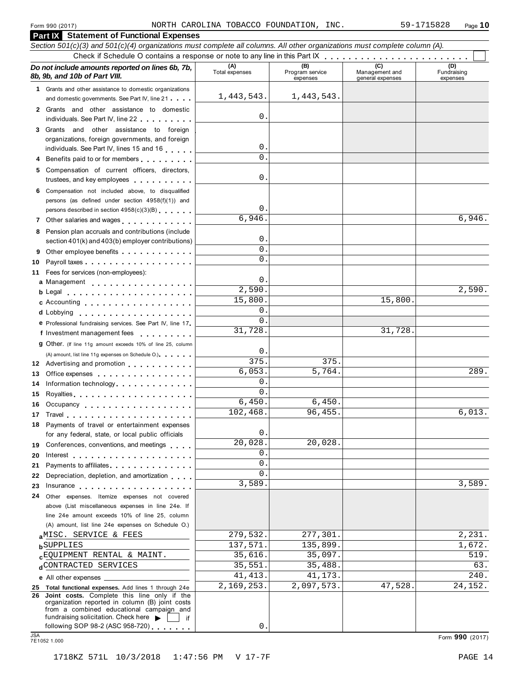**Part IX** Statement of Functional Expenses

#### *Section 501(c)(3) and 501(c)(4) organizations must complete all columns. All other organizations must complete column (A).* Form 990 (2017)<br>
Check if Schedule O contains a response or note to any line in this Part IX<br>
Check if Schedule O contains a response or note to any line in this Part IX<br> **Do not include amounts reported on lines 6b, 7b,** *B B (B) B B, 8b, 9b, and 10b of Part VIII. 8b, 9b, 9b, and 10b of Part VIII. Program service B, 9b, 9d, and 10b of Part VIII.* expenses Management and general expenses (D)<br>Fundraising expenses **1** Grants and other assistance to domestic organizations For Statement of Punctional Experise<br>ion  $501(c)(3)$  and  $501(c)(4)$  organizations mu<br>Check if Schedule O contains a res<br>oot include amounts reported on lines 6b, 7b,<br>b, and 10b of Part VIII.<br>Grants and other assistance to do **2** Grants and other assistance to domestic Finding a respective to serious the serious of contains a respection of **b**, **7b**, **b**, **9b**, and **10b of Part VIII.**<br>
1 Grants and other assistance to domestic organizations and domestic governments. See Part IV, line 21<br> organizations, foreign governments, and foreign Frants and other assistance to domestic organizations<br>
2 Grants and other assistance to domestic<br>
individuals. See Part IV, line 22<br>
3 Grants and other assistance to foreign<br>
organizations, foreign governments, and foreign individuals. See Part IV, line 22<br> **3** Grants and other assistance to foreign<br>
organizations, foreign governments, and foreign<br>
individuals. See Part IV, lines 15 and 16<br> **4** Benefits paid to or for members<br>
5 Compensation persons (as defined under section 4958(f)(1)) and persons described in section 4958(c)(3)(B) M municipals of the rattitical of the relationships and the same of the compensation of current officers, directors, trustees, and key employees<br>
6 Compensation not included above, to disqualified persons (as defined under section 401(k) and 403(b) employer contributions) **9** Other employee benefits Payroll taxes . . . . . . . . . . . . . . . . . . Fees for services (non-employees): **11** 6 Compensation not included above, to disqualified<br>persons (as defined under section  $4958(f)(1)$ ) and<br>persons described in section  $4958(c)(3)(B)$ <br>7 Other salaries and wages<br>8 Pension plan accruals and contributions (include<br> m m m m m m m m m m m m m m m m m m **a** Management<br>**b** Legal b Legal . . . . . . . . . . . . . . . . . . c Accounting . . . . . . . . . . . . . **c** Accounting<br>**d** Lobbying **12** (A) amount, list line 11g expenses on Schedule O.) m m m m m m Advertising and promotion **13** Office expenses **14** Information technology **15 16** Occupancy **17** Travel 18 Payments of travel or entertainment expenses **19** Conferences, conventions, and meetings **20** Interest **21** Payments to affiliates **22** Depreciation, depletion, and amortization **23** Payments of travel or entertainment expenses<br>
for any federal, state, or local public officials<br> **23** Interest<br> **24** Payments to affiliates<br> **23** Depreciation, depletion, and amortization<br> **23** Insurance 24 Other expenses. Itemize expenses not covered **e** Professional fundraising services. See Part IV, line 17 f Investment management fees **g** Other. (If line 11g amount exceeds 10% of line 25, column m m m m m m m m m m m m m m m m m m m m m m m m m m m m m m m m m m m m m m m m m m m m m m m m m m m m m m m m m m m m m m m m m m m m m m m m m m m Professional fundraising services. See Part IV, line 17 <sup>m</sup> Fees for services (non-employees).<br>
Legal<br>
Accounting<br>
Lobbying<br>
Professional fundraising services. See Part IV, line 17.<br>
Investment management fees<br>
Other. (If line 11g amount exceeds 10% of line 25, column m m m m m m m m m m m m m m m m m m m m m m m m m m m Protessional tundraising services. See Part IV, line 17.<br>Investment management fees<br>Other. (if line 11g amount exceeds 10% of line 25, column<br>(A) amount, list line 11g expenses on Schedule O.).<br>Advertising and promotion<br>Of m m m m m m m m m m m m m m m m m m m m m m m m m m m m m m m m m m m m m m (A) amount, list line 11g expenses on Schedule O.)<br>
Advertising and promotion<br>
Office expenses<br>
Information technology<br>
Royalties<br>
Decupancy<br>
Decupancy<br>
Travel<br>
Payments of travel or entertainment expenses<br>
for any fadoral for any federal, state, or local public officials m m m m m m m m m m m m m m m m m m m m m m m m m m m m m m m m m m m m m m m m m m m m m m m m m m m m m m m m m Other expenses. Itemize expenses not covered above (List miscellaneous expenses in line 24e. If line 24e amount exceeds 10% of line 25, column (A) amount, list line 24e expenses on Schedule O.) **b**SUPPLIES **c** <u>EQUIFMENT RENTAL & MAINT. 35,616.</u> 35,097.<br>d<sup>C</sup>ONTRACTED SERVICES 35,551. 35,488. 63. **e** All other expenses **25 Total functional expenses.** Add lines 1 through 24e **25 Total functional expenses.** Add lines 1 through 24e<br>**26 Joint costs.** Complete this line only if the<br>cordination reported in column (B) joint costs organization reported in column (B) joint costs from a combined educational campaign and fundraising solicitation. Check here  $\blacktriangleright \begin{array}{c} \square \\ \square \end{array}$  if following SOP 98-2 (ASC 958-720) Form 990 (2017)<br>
Form 990 (2017)<br>
The All other expenses. Add lines 1 through 24e<br>
26 Joint costs. Complete this line only if the<br>
organization reported in column (B) joint costs<br>
from a combined educational campaign and<br> 1,443,543. 1,443,543. 0. 0.  $\mathbf{0}$ . 0. 0. 6,946. 6,946. 0. 0.  $\Omega$  $\Omega$  $2,590.$  2,590. 15,800. 15,800. 0. 0. 31,728. 31,728.  $\Omega$ 375. 375.  $6,053.$   $5,764.$   $289.$ 0. 0. 6,450. 6,450. 102,468. 96,455. 6,013.  $\Omega$ 20,028. 20,028. 0.  $\overline{0}$ . 0.  $3,589.$  3,589. **a** MISC. SERVICE & FEES 279,532. 277,301. 2.231. SUPPLIES 137,571. 135,899. 1,672. EQUIPMENT RENTAL & MAINT. 35,616. 35,097. 519. 41,413. 41,173. 240. 2,169,253. 2,097,573. 47,528. 24,152. 0.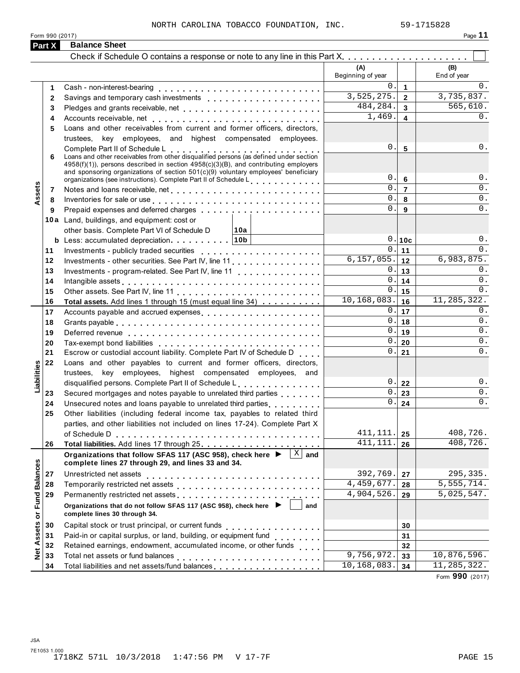| 11 آ<br>-2<br>ı |  |
|-----------------|--|
|                 |  |

|                           | Form 990 (2017) | NORTH CAROLINA TOBACCO FOUNDATION, INC.                                                                                                                                                                                                                                                                                                                                        |                          |                     | 59-1715828<br>Page 11 |
|---------------------------|-----------------|--------------------------------------------------------------------------------------------------------------------------------------------------------------------------------------------------------------------------------------------------------------------------------------------------------------------------------------------------------------------------------|--------------------------|---------------------|-----------------------|
|                           | Part X          | <b>Balance Sheet</b>                                                                                                                                                                                                                                                                                                                                                           |                          |                     |                       |
|                           |                 |                                                                                                                                                                                                                                                                                                                                                                                |                          |                     |                       |
|                           |                 |                                                                                                                                                                                                                                                                                                                                                                                | (A)<br>Beginning of year |                     | (B)<br>End of year    |
|                           | 1.              |                                                                                                                                                                                                                                                                                                                                                                                | $0$ .                    | $\mathbf{1}$        | $0$ .                 |
|                           | $\mathbf{2}$    |                                                                                                                                                                                                                                                                                                                                                                                | 3,525,275.               | $\overline{2}$      | 3,735,837.            |
|                           | 3               | Pledges and grants receivable, net enterpresent resources and grants receivable.                                                                                                                                                                                                                                                                                               | 484,284.                 | $\overline{3}$      | 565,610.              |
|                           | 4               |                                                                                                                                                                                                                                                                                                                                                                                | 1,469.                   | 4                   | $0$ .                 |
|                           | 5               | Loans and other receivables from current and former officers, directors,                                                                                                                                                                                                                                                                                                       |                          |                     |                       |
|                           |                 | trustees, key employees, and highest compensated employees.                                                                                                                                                                                                                                                                                                                    |                          |                     |                       |
|                           | 6               | Complete Part II of Schedule L<br>Loans and other receivables from other disqualified persons (as defined under section<br>$4958(f)(1)$ , persons described in section $4958(c)(3)(B)$ , and contributing employers<br>and sponsoring organizations of section 501(c)(9) voluntary employees' beneficiary<br>organizations (see instructions). Complete Part II of Schedule L. | $0$ .<br>0.1             | $5\phantom{1}$<br>6 | $0$ .<br>$0$ .        |
|                           | 7               | Notes and loans receivable, net entering contacts of the state of the state of the state of the state of the s                                                                                                                                                                                                                                                                 | 0.                       | $\overline{7}$      | $0$ .                 |
| Assets                    | 8               | Inventories for sale or use enterpreteral and and an enterpreteral interventional intervention of the state of                                                                                                                                                                                                                                                                 | 0.                       | 8                   | 0.                    |
|                           | 9               | Prepaid expenses and deferred charges                                                                                                                                                                                                                                                                                                                                          | 0.                       | $\mathbf{9}$        | $0$ .                 |
|                           |                 | 10a Land, buildings, and equipment: cost or                                                                                                                                                                                                                                                                                                                                    |                          |                     |                       |
|                           |                 | other basis. Complete Part VI of Schedule D<br>∣10a ∣                                                                                                                                                                                                                                                                                                                          |                          |                     |                       |
|                           |                 |                                                                                                                                                                                                                                                                                                                                                                                |                          | 0.10c               | 0.                    |
|                           | 11              | Investments - publicly traded securities                                                                                                                                                                                                                                                                                                                                       |                          | 0.111               | 0.                    |
|                           | 12              | Investments - other securities. See Part IV, line 11.                                                                                                                                                                                                                                                                                                                          | 6, 157, 055.             | 12                  | 6,983,875.            |
|                           | 13              | Investments - program-related. See Part IV, line 11                                                                                                                                                                                                                                                                                                                            | 0.1                      | 13                  | $0$ .                 |
|                           | 14              |                                                                                                                                                                                                                                                                                                                                                                                | $0$ .                    | 14                  | $0$ .                 |
|                           | 15              |                                                                                                                                                                                                                                                                                                                                                                                |                          | $0.1$ 15            | 0.                    |
|                           | 16              | Total assets. Add lines 1 through 15 (must equal line 34)                                                                                                                                                                                                                                                                                                                      | 10, 168, 083.            | 16                  | 11, 285, 322.         |
|                           | 17              | Accounts payable and accrued expenses                                                                                                                                                                                                                                                                                                                                          | 0.1                      | 17                  | $0$ .                 |
|                           | 18              |                                                                                                                                                                                                                                                                                                                                                                                |                          | $0.1$ 18            | $0$ .                 |
|                           | 19              |                                                                                                                                                                                                                                                                                                                                                                                |                          | 0.119               | 0.                    |
|                           | 20              |                                                                                                                                                                                                                                                                                                                                                                                | 0.1                      | 20                  | $0$ .                 |
|                           | 21              | Escrow or custodial account liability. Complete Part IV of Schedule D                                                                                                                                                                                                                                                                                                          | 0.                       | 21                  | $0$ .                 |
| lities                    | 22              | Loans and other payables to current and former officers, directors,                                                                                                                                                                                                                                                                                                            |                          |                     |                       |
|                           |                 | trustees, key employees, highest compensated employees, and                                                                                                                                                                                                                                                                                                                    |                          |                     |                       |
| Liabil                    |                 | disqualified persons. Complete Part II of Schedule L.                                                                                                                                                                                                                                                                                                                          | 0.                       | 22                  | 0.                    |
|                           | 23              | Secured mortgages and notes payable to unrelated third parties                                                                                                                                                                                                                                                                                                                 | 0.                       | 23                  | $\mathsf 0$ .         |
|                           | 24              | Unsecured notes and loans payable to unrelated third parties<br>                                                                                                                                                                                                                                                                                                               | 0.                       | 24                  | $0$ .                 |
|                           | 25              | Other liabilities (including federal income tax, payables to related third                                                                                                                                                                                                                                                                                                     |                          |                     |                       |
|                           |                 | parties, and other liabilities not included on lines 17-24). Complete Part X                                                                                                                                                                                                                                                                                                   |                          |                     |                       |
|                           |                 |                                                                                                                                                                                                                                                                                                                                                                                | 411,111.                 | 25                  | 408,726.              |
|                           | 26              |                                                                                                                                                                                                                                                                                                                                                                                | 411, 111.                | 26                  | 408, 726.             |
|                           |                 | Organizations that follow SFAS 117 (ASC 958), check here ▶<br>and<br>complete lines 27 through 29, and lines 33 and 34.                                                                                                                                                                                                                                                        |                          |                     |                       |
|                           |                 | Unrestricted net assets                                                                                                                                                                                                                                                                                                                                                        | 392,769.                 | 27                  | 295,335.              |
|                           | 27<br>28        |                                                                                                                                                                                                                                                                                                                                                                                | 4,459,677.               | 28                  | 5, 555, 714.          |
|                           | 29              | Permanently restricted net assets<br>intervals and intervals are not as a set of the set of assets are not as a set of the set of the set of the set of the set of the set of the set of the set of the set of the set of the se                                                                                                                                               | 4,904,526.               | 29                  | 5,025,547.            |
| <b>Fund Balances</b><br>ŏ |                 | Organizations that do not follow SFAS 117 (ASC 958), check here ▶<br>and<br>complete lines 30 through 34.                                                                                                                                                                                                                                                                      |                          |                     |                       |
|                           | 30              | Capital stock or trust principal, or current funds                                                                                                                                                                                                                                                                                                                             |                          | 30                  |                       |
|                           | 31              | .                                                                                                                                                                                                                                                                                                                                                                              |                          | 31                  |                       |
|                           | 32              | Retained earnings, endowment, accumulated income, or other funds                                                                                                                                                                                                                                                                                                               |                          | 32                  |                       |
| Net Assets                | 33              |                                                                                                                                                                                                                                                                                                                                                                                | 9,756,972.               | 33                  | 10,876,596.           |
|                           | 34              | Total liabilities and net assets/fund balances [1] [1] [1] Total liabilities and net assets/fund balances                                                                                                                                                                                                                                                                      | 10, 168, 083.            | 34                  | 11, 285, 322.         |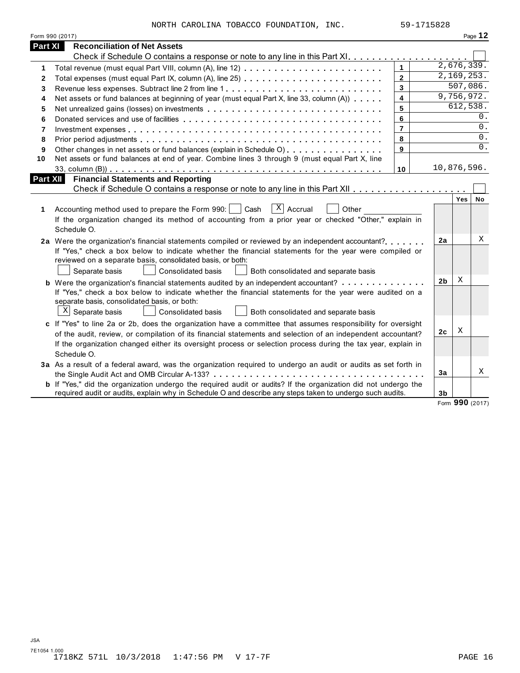|                 | NORTH CAROLINA TOBACCO FOUNDATION, INC.                                                                                                                                                                                       | 59-1715828              |                |            |                  |
|-----------------|-------------------------------------------------------------------------------------------------------------------------------------------------------------------------------------------------------------------------------|-------------------------|----------------|------------|------------------|
| Form 990 (2017) |                                                                                                                                                                                                                               |                         |                |            | Page $12$        |
| Part XI         | <b>Reconciliation of Net Assets</b>                                                                                                                                                                                           |                         |                |            |                  |
|                 |                                                                                                                                                                                                                               |                         |                |            |                  |
| 1               | Total revenue (must equal Part VIII, column (A), line 12)                                                                                                                                                                     | $\mathbf{1}$            |                | 2,676,339. |                  |
| 2               | Total expenses (must equal Part IX, column (A), line 25)                                                                                                                                                                      | $\overline{2}$          |                | 2,169,253. |                  |
| 3               | Revenue less expenses. Subtract line 2 from line 1                                                                                                                                                                            | $\overline{\mathbf{3}}$ |                | 507,086.   |                  |
| 4               | Net assets or fund balances at beginning of year (must equal Part X, line 33, column (A))                                                                                                                                     | $\overline{\mathbf{4}}$ |                | 9,756,972. |                  |
| 5               |                                                                                                                                                                                                                               | 5                       |                | 612,538.   |                  |
| 6               |                                                                                                                                                                                                                               | 6                       |                |            | 0.               |
| 7               |                                                                                                                                                                                                                               | $\overline{7}$          |                |            | 0.               |
| 8               |                                                                                                                                                                                                                               | 8                       |                |            | $\overline{0}$ . |
| 9               | Other changes in net assets or fund balances (explain in Schedule O)                                                                                                                                                          | 9                       |                |            | 0.               |
| 10              | Net assets or fund balances at end of year. Combine lines 3 through 9 (must equal Part X, line                                                                                                                                |                         |                |            |                  |
|                 |                                                                                                                                                                                                                               | 10                      | 10,876,596.    |            |                  |
| Part XII        | <b>Financial Statements and Reporting</b>                                                                                                                                                                                     |                         |                |            |                  |
|                 |                                                                                                                                                                                                                               |                         |                | Yes        |                  |
| 1               | $\lceil x \rceil$ Accrual<br>Accounting method used to prepare the Form 990:  <br>Cash<br>Other<br>If the organization changed its method of accounting from a prior year or checked "Other," explain in<br>Schedule O.       |                         |                |            |                  |
|                 | 2a Were the organization's financial statements compiled or reviewed by an independent accountant?                                                                                                                            |                         | 2a             |            | X                |
|                 | If "Yes," check a box below to indicate whether the financial statements for the year were compiled or<br>reviewed on a separate basis, consolidated basis, or both:                                                          |                         |                |            |                  |
|                 | Separate basis<br><b>Consolidated basis</b><br>Both consolidated and separate basis                                                                                                                                           |                         |                |            |                  |
|                 | <b>b</b> Were the organization's financial statements audited by an independent accountant?                                                                                                                                   |                         | 2 <sub>b</sub> | X          |                  |
|                 | If "Yes," check a box below to indicate whether the financial statements for the year were audited on a<br>separate basis, consolidated basis, or both:                                                                       |                         |                |            |                  |
|                 | $\mathbf{x}$<br>Separate basis<br>Consolidated basis<br>Both consolidated and separate basis                                                                                                                                  |                         |                |            |                  |
|                 | c If "Yes" to line 2a or 2b, does the organization have a committee that assumes responsibility for oversight<br>of the audit, review, or compilation of its financial statements and selection of an independent accountant? |                         | 2 <sub>c</sub> | Χ          |                  |
|                 | If the organization changed either its oversight process or selection process during the tax year, explain in<br>Schedule O.                                                                                                  |                         |                |            |                  |
|                 | 3a As a result of a federal award, was the organization required to undergo an audit or audits as set forth in                                                                                                                |                         |                |            |                  |
|                 |                                                                                                                                                                                                                               |                         | 3a             |            | X                |
|                 | <b>b</b> If "Yes," did the organization undergo the required audit or audits? If the organization did not undergo the                                                                                                         |                         |                |            |                  |
|                 | required audit or audits, explain why in Schedule O and describe any steps taken to undergo such audits.                                                                                                                      |                         | 3 <sub>b</sub> |            |                  |

Form **990** (2017)

 $\overline{\phantom{a}}$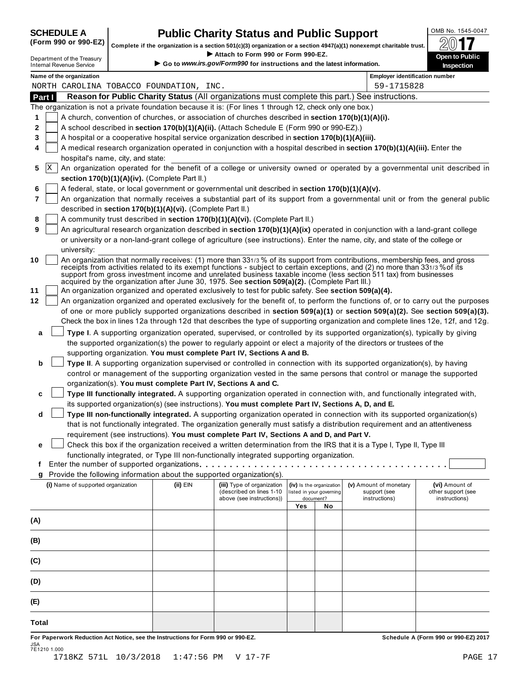| <b>SCHEDULE A</b> |  |
|-------------------|--|
|                   |  |

## **OCHEDULE A Public Charity Status and Public Support** ME AND 1545-0047

(Form 990 or 990-EZ)  $\begin{bmatrix} 1 & 0 & 0 \\ 0 & 1 & 0 \end{bmatrix}$  Complete if the organization is a section 501(c)(3) organization or a section 4947(a)(1) nonexempt charitable trust.

|         |                                                               |                                                            | Complete if the organization is a section 501(c)(3) organization or a section 4947(a)(1) nonexempt charitable trust.<br>Attach to Form 990 or Form 990-EZ. |     |                                                      |                                                                                                                                                                                                                                                   | ZV I I                                                                                                                           |
|---------|---------------------------------------------------------------|------------------------------------------------------------|------------------------------------------------------------------------------------------------------------------------------------------------------------|-----|------------------------------------------------------|---------------------------------------------------------------------------------------------------------------------------------------------------------------------------------------------------------------------------------------------------|----------------------------------------------------------------------------------------------------------------------------------|
|         | Department of the Treasury<br><b>Internal Revenue Service</b> |                                                            | Go to www.irs.gov/Form990 for instructions and the latest information.                                                                                     |     |                                                      |                                                                                                                                                                                                                                                   | <b>Open to Public</b><br>Inspection                                                                                              |
|         | Name of the organization                                      |                                                            |                                                                                                                                                            |     |                                                      | <b>Employer identification number</b>                                                                                                                                                                                                             |                                                                                                                                  |
|         |                                                               | NORTH CAROLINA TOBACCO FOUNDATION, INC.                    |                                                                                                                                                            |     |                                                      | 59-1715828                                                                                                                                                                                                                                        |                                                                                                                                  |
| Part I  |                                                               |                                                            |                                                                                                                                                            |     |                                                      | Reason for Public Charity Status (All organizations must complete this part.) See instructions.                                                                                                                                                   |                                                                                                                                  |
|         |                                                               |                                                            | The organization is not a private foundation because it is: (For lines 1 through 12, check only one box.)                                                  |     |                                                      |                                                                                                                                                                                                                                                   |                                                                                                                                  |
| 1       |                                                               |                                                            | A church, convention of churches, or association of churches described in section 170(b)(1)(A)(i).                                                         |     |                                                      |                                                                                                                                                                                                                                                   |                                                                                                                                  |
| 2       |                                                               |                                                            | A school described in section 170(b)(1)(A)(ii). (Attach Schedule E (Form 990 or 990-EZ).)                                                                  |     |                                                      |                                                                                                                                                                                                                                                   |                                                                                                                                  |
| 3       |                                                               |                                                            | A hospital or a cooperative hospital service organization described in section 170(b)(1)(A)(iii).                                                          |     |                                                      |                                                                                                                                                                                                                                                   |                                                                                                                                  |
| 4       |                                                               |                                                            |                                                                                                                                                            |     |                                                      | A medical research organization operated in conjunction with a hospital described in section 170(b)(1)(A)(iii). Enter the                                                                                                                         |                                                                                                                                  |
|         | hospital's name, city, and state:                             |                                                            |                                                                                                                                                            |     |                                                      |                                                                                                                                                                                                                                                   |                                                                                                                                  |
| ΙX<br>5 |                                                               |                                                            |                                                                                                                                                            |     |                                                      |                                                                                                                                                                                                                                                   | An organization operated for the benefit of a college or university owned or operated by a governmental unit described in        |
|         |                                                               | section 170(b)(1)(A)(iv). (Complete Part II.)              |                                                                                                                                                            |     |                                                      |                                                                                                                                                                                                                                                   |                                                                                                                                  |
| 6       |                                                               |                                                            | A federal, state, or local government or governmental unit described in section 170(b)(1)(A)(v).                                                           |     |                                                      |                                                                                                                                                                                                                                                   |                                                                                                                                  |
| 7       |                                                               |                                                            |                                                                                                                                                            |     |                                                      |                                                                                                                                                                                                                                                   | An organization that normally receives a substantial part of its support from a governmental unit or from the general public     |
|         |                                                               | described in section 170(b)(1)(A)(vi). (Complete Part II.) |                                                                                                                                                            |     |                                                      |                                                                                                                                                                                                                                                   |                                                                                                                                  |
| 8       |                                                               |                                                            | A community trust described in section 170(b)(1)(A)(vi). (Complete Part II.)                                                                               |     |                                                      |                                                                                                                                                                                                                                                   |                                                                                                                                  |
| 9       |                                                               |                                                            |                                                                                                                                                            |     |                                                      | An agricultural research organization described in section 170(b)(1)(A)(ix) operated in conjunction with a land-grant college                                                                                                                     |                                                                                                                                  |
|         |                                                               |                                                            |                                                                                                                                                            |     |                                                      | or university or a non-land-grant college of agriculture (see instructions). Enter the name, city, and state of the college or                                                                                                                    |                                                                                                                                  |
|         | university:                                                   |                                                            |                                                                                                                                                            |     |                                                      |                                                                                                                                                                                                                                                   |                                                                                                                                  |
| 10      |                                                               |                                                            |                                                                                                                                                            |     |                                                      | An organization that normally receives: (1) more than 331/3 % of its support from contributions, membership fees, and gross                                                                                                                       |                                                                                                                                  |
|         |                                                               |                                                            |                                                                                                                                                            |     |                                                      | receipts from activities related to its exempt functions - subject to certain exceptions, and (2) no more than 331/3% of its<br>support from gross investment income and unrelated business taxable income (less section 511 tax) from businesses |                                                                                                                                  |
|         |                                                               |                                                            | acquired by the organization after June 30, 1975. See section 509(a)(2). (Complete Part III.)                                                              |     |                                                      |                                                                                                                                                                                                                                                   |                                                                                                                                  |
| 11      |                                                               |                                                            | An organization organized and operated exclusively to test for public safety. See section 509(a)(4).                                                       |     |                                                      |                                                                                                                                                                                                                                                   |                                                                                                                                  |
| 12      |                                                               |                                                            |                                                                                                                                                            |     |                                                      |                                                                                                                                                                                                                                                   | An organization organized and operated exclusively for the benefit of, to perform the functions of, or to carry out the purposes |
|         |                                                               |                                                            |                                                                                                                                                            |     |                                                      |                                                                                                                                                                                                                                                   | of one or more publicly supported organizations described in section 509(a)(1) or section 509(a)(2). See section 509(a)(3).      |
|         |                                                               |                                                            |                                                                                                                                                            |     |                                                      |                                                                                                                                                                                                                                                   | Check the box in lines 12a through 12d that describes the type of supporting organization and complete lines 12e, 12f, and 12g.  |
| a       |                                                               |                                                            |                                                                                                                                                            |     |                                                      | Type I. A supporting organization operated, supervised, or controlled by its supported organization(s), typically by giving                                                                                                                       |                                                                                                                                  |
|         |                                                               |                                                            |                                                                                                                                                            |     |                                                      | the supported organization(s) the power to regularly appoint or elect a majority of the directors or trustees of the                                                                                                                              |                                                                                                                                  |
|         |                                                               |                                                            | supporting organization. You must complete Part IV, Sections A and B.                                                                                      |     |                                                      |                                                                                                                                                                                                                                                   |                                                                                                                                  |
| b       |                                                               |                                                            |                                                                                                                                                            |     |                                                      | Type II. A supporting organization supervised or controlled in connection with its supported organization(s), by having                                                                                                                           |                                                                                                                                  |
|         |                                                               |                                                            |                                                                                                                                                            |     |                                                      | control or management of the supporting organization vested in the same persons that control or manage the supported                                                                                                                              |                                                                                                                                  |
|         |                                                               |                                                            | organization(s). You must complete Part IV, Sections A and C.                                                                                              |     |                                                      |                                                                                                                                                                                                                                                   |                                                                                                                                  |
| c       |                                                               |                                                            |                                                                                                                                                            |     |                                                      | Type III functionally integrated. A supporting organization operated in connection with, and functionally integrated with,                                                                                                                        |                                                                                                                                  |
|         |                                                               |                                                            | its supported organization(s) (see instructions). You must complete Part IV, Sections A, D, and E.                                                         |     |                                                      |                                                                                                                                                                                                                                                   |                                                                                                                                  |
| d       |                                                               |                                                            |                                                                                                                                                            |     |                                                      | Type III non-functionally integrated. A supporting organization operated in connection with its supported organization(s)                                                                                                                         |                                                                                                                                  |
|         |                                                               |                                                            |                                                                                                                                                            |     |                                                      | that is not functionally integrated. The organization generally must satisfy a distribution requirement and an attentiveness                                                                                                                      |                                                                                                                                  |
|         |                                                               |                                                            | requirement (see instructions). You must complete Part IV, Sections A and D, and Part V.                                                                   |     |                                                      |                                                                                                                                                                                                                                                   |                                                                                                                                  |
| е       |                                                               |                                                            |                                                                                                                                                            |     |                                                      | Check this box if the organization received a written determination from the IRS that it is a Type I, Type II, Type III                                                                                                                           |                                                                                                                                  |
|         |                                                               |                                                            | functionally integrated, or Type III non-functionally integrated supporting organization.                                                                  |     |                                                      |                                                                                                                                                                                                                                                   |                                                                                                                                  |
| t       |                                                               |                                                            |                                                                                                                                                            |     |                                                      |                                                                                                                                                                                                                                                   |                                                                                                                                  |
| g       |                                                               |                                                            | Provide the following information about the supported organization(s).                                                                                     |     |                                                      |                                                                                                                                                                                                                                                   |                                                                                                                                  |
|         | (i) Name of supported organization                            | (ii) EIN                                                   | (iii) Type of organization<br>(described on lines 1-10                                                                                                     |     | (iv) Is the organization<br>listed in your governing | (v) Amount of monetary<br>support (see                                                                                                                                                                                                            | (vi) Amount of<br>other support (see                                                                                             |
|         |                                                               |                                                            | above (see instructions))                                                                                                                                  |     | document?                                            | instructions)                                                                                                                                                                                                                                     | instructions)                                                                                                                    |
|         |                                                               |                                                            |                                                                                                                                                            | Yes | No                                                   |                                                                                                                                                                                                                                                   |                                                                                                                                  |
| (A)     |                                                               |                                                            |                                                                                                                                                            |     |                                                      |                                                                                                                                                                                                                                                   |                                                                                                                                  |
|         |                                                               |                                                            |                                                                                                                                                            |     |                                                      |                                                                                                                                                                                                                                                   |                                                                                                                                  |
| (B)     |                                                               |                                                            |                                                                                                                                                            |     |                                                      |                                                                                                                                                                                                                                                   |                                                                                                                                  |
| (C)     |                                                               |                                                            |                                                                                                                                                            |     |                                                      |                                                                                                                                                                                                                                                   |                                                                                                                                  |
|         |                                                               |                                                            |                                                                                                                                                            |     |                                                      |                                                                                                                                                                                                                                                   |                                                                                                                                  |
| (D)     |                                                               |                                                            |                                                                                                                                                            |     |                                                      |                                                                                                                                                                                                                                                   |                                                                                                                                  |
| (E)     |                                                               |                                                            |                                                                                                                                                            |     |                                                      |                                                                                                                                                                                                                                                   |                                                                                                                                  |
| Total   |                                                               |                                                            |                                                                                                                                                            |     |                                                      |                                                                                                                                                                                                                                                   |                                                                                                                                  |
|         |                                                               |                                                            |                                                                                                                                                            |     |                                                      |                                                                                                                                                                                                                                                   |                                                                                                                                  |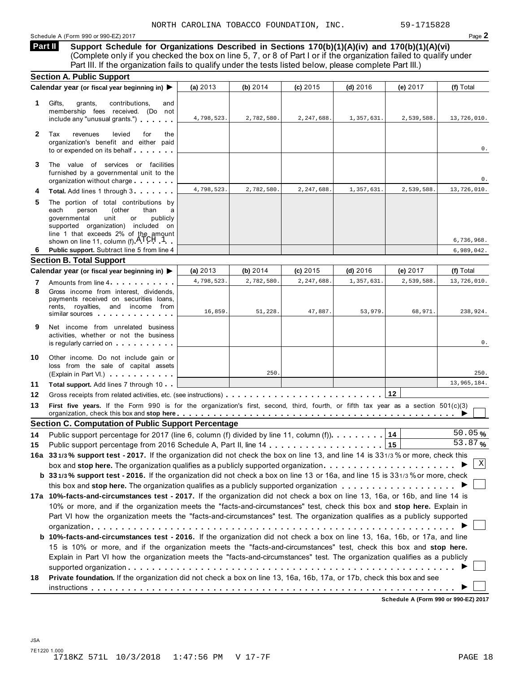#### Schedule A (Form 990 or 990-EZ) 2017 Page **2**

**Support Schedule for Organizations Described in Sections 170(b)(1)(A)(iv) and 170(b)(1)(A)(vi)** (Complete only if you checked the box on line 5, 7, or 8 of Part I or if the organization failed to qualify under **Part II** 

|              | Part III. If the organization fails to qualify under the tests listed below, please complete Part III.)                                                                                                                                                                                                                                                                              |            |            |            |            |            |             |
|--------------|--------------------------------------------------------------------------------------------------------------------------------------------------------------------------------------------------------------------------------------------------------------------------------------------------------------------------------------------------------------------------------------|------------|------------|------------|------------|------------|-------------|
|              | <b>Section A. Public Support</b>                                                                                                                                                                                                                                                                                                                                                     |            |            |            |            |            |             |
|              | Calendar year (or fiscal year beginning in)                                                                                                                                                                                                                                                                                                                                          | (a) 2013   | (b) 2014   | $(c)$ 2015 | $(d)$ 2016 | (e) 2017   | (f) Total   |
| 1.           | Gifts,<br>contributions,<br>grants,<br>and<br>membership fees received. (Do not<br>include any "unusual grants.")                                                                                                                                                                                                                                                                    | 4,798,523. | 2,782,580. | 2,247,688. | 1,357,631. | 2,539,588. | 13,726,010. |
| $\mathbf{2}$ | Tax<br>revenues<br>levied<br>for<br>the<br>organization's benefit and either paid<br>to or expended on its behalf                                                                                                                                                                                                                                                                    |            |            |            |            |            | 0.          |
| 3            | The value of services or facilities<br>furnished by a governmental unit to the<br>organization without charge                                                                                                                                                                                                                                                                        |            |            |            |            |            | 0.          |
| 4            | Total. Add lines 1 through 3.                                                                                                                                                                                                                                                                                                                                                        | 4,798,523. | 2,782,580. | 2,247,688. | 1,357,631. | 2,539,588. | 13,726,010. |
| 5            | The portion of total contributions by<br>each<br>person<br>(other<br>than<br>a<br>governmental<br>unit<br>publicly<br>or<br>supported organization) included on<br>line 1 that exceeds 2% of the amount<br>shown on line 11, column (f) $\text{ATCH}$ $\perp$                                                                                                                        |            |            |            |            |            | 6,736,968.  |
| 6            | Public support. Subtract line 5 from line 4                                                                                                                                                                                                                                                                                                                                          |            |            |            |            |            | 6,989,042.  |
|              | <b>Section B. Total Support</b>                                                                                                                                                                                                                                                                                                                                                      |            |            |            |            |            |             |
|              | Calendar year (or fiscal year beginning in)                                                                                                                                                                                                                                                                                                                                          | (a) $2013$ | (b) $2014$ | (c) 2015   | $(d)$ 2016 | (e) $2017$ | (f) Total   |
| 7            | Amounts from line 4 <b>Amounts</b> from line 4                                                                                                                                                                                                                                                                                                                                       | 4,798,523. | 2,782,580. | 2,247,688. | 1,357,631. | 2,539,588  | 13,726,010. |
| 8            | Gross income from interest, dividends,<br>payments received on securities loans,<br>rents, royalties, and income from<br>similar sources experiences                                                                                                                                                                                                                                 | 16,859.    | 51,228.    | 47,887.    | 53,979     | 68,971.    | 238,924.    |
| 9            | Net income from unrelated business<br>activities, whether or not the business<br>is regularly carried on the control of the set of the set of the set of the set of the set of the set of the s                                                                                                                                                                                      |            |            |            |            |            | 0.          |
| 10           | Other income. Do not include gain or<br>loss from the sale of capital assets<br>(Explain in Part VI.)                                                                                                                                                                                                                                                                                |            | 250.       |            |            |            | 250.        |
| 11           | <b>Total support.</b> Add lines 7 through 10                                                                                                                                                                                                                                                                                                                                         |            |            |            |            |            | 13,965,184. |
| 12           |                                                                                                                                                                                                                                                                                                                                                                                      |            |            |            |            | 12         |             |
| 13           | First five years. If the Form 990 is for the organization's first, second, third, fourth, or fifth tax year as a section 501(c)(3)<br>organization, check this box and stop here equitarian enterity or an example to the state of the state of the state or $\blacktriangleright$                                                                                                   |            |            |            |            |            |             |
|              | <b>Section C. Computation of Public Support Percentage</b>                                                                                                                                                                                                                                                                                                                           |            |            |            |            |            |             |
| 14           | Public support percentage for 2017 (line 6, column (f) divided by line 11, column (f)).                                                                                                                                                                                                                                                                                              |            |            |            |            | 14         | 50.05%      |
| 15           |                                                                                                                                                                                                                                                                                                                                                                                      |            |            |            |            |            | 53.87%      |
|              | 16a 331/3% support test - 2017. If the organization did not check the box on line 13, and line 14 is 331/3% or more, check this                                                                                                                                                                                                                                                      |            |            |            |            |            |             |
|              | box and stop here. The organization qualifies as a publicly supported organization                                                                                                                                                                                                                                                                                                   |            |            |            |            |            | Χ           |
|              | b 331/3% support test - 2016. If the organization did not check a box on line 13 or 16a, and line 15 is 331/3% or more, check                                                                                                                                                                                                                                                        |            |            |            |            |            |             |
|              |                                                                                                                                                                                                                                                                                                                                                                                      |            |            |            |            |            |             |
|              | 17a 10%-facts-and-circumstances test - 2017. If the organization did not check a box on line 13, 16a, or 16b, and line 14 is<br>10% or more, and if the organization meets the "facts-and-circumstances" test, check this box and stop here. Explain in<br>Part VI how the organization meets the "facts-and-circumstances" test. The organization qualifies as a publicly supported |            |            |            |            |            |             |
|              | <b>b</b> 10%-facts-and-circumstances test - 2016. If the organization did not check a box on line 13, 16a, 16b, or 17a, and line<br>15 is 10% or more, and if the organization meets the "facts-and-circumstances" test, check this box and stop here.                                                                                                                               |            |            |            |            |            |             |
|              | Explain in Part VI how the organization meets the "facts-and-circumstances" test. The organization qualifies as a publicly                                                                                                                                                                                                                                                           |            |            |            |            |            |             |
| 18           | Private foundation. If the organization did not check a box on line 13, 16a, 16b, 17a, or 17b, check this box and see                                                                                                                                                                                                                                                                |            |            |            |            |            |             |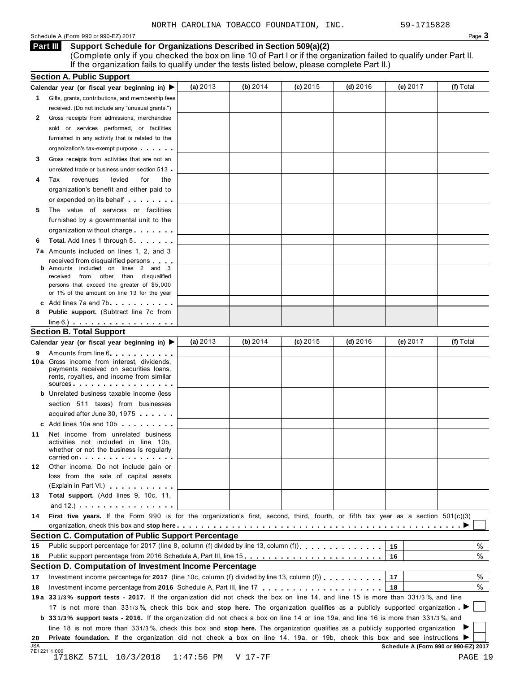#### Schedule A (Form 990 or 990-EZ) 2017 Page 3

**Support Schedule for Organizations Described in Section 509(a)(2) Part III** 

(Complete only if you checked the box on line 10 of Part I or if the organization failed to qualify under Part II. If the organization fails to qualify under the tests listed below, please complete Part II.)

|    | Section A. Public Support                                                                                                                                                                                                                                             |            |            |            |            |          |           |
|----|-----------------------------------------------------------------------------------------------------------------------------------------------------------------------------------------------------------------------------------------------------------------------|------------|------------|------------|------------|----------|-----------|
|    | Calendar year (or fiscal year beginning in) $\blacktriangleright$                                                                                                                                                                                                     | (a) 2013   | (b) $2014$ | $(c)$ 2015 | $(d)$ 2016 | (e) 2017 | (f) Total |
| 1  | Gifts, grants, contributions, and membership fees                                                                                                                                                                                                                     |            |            |            |            |          |           |
|    | received. (Do not include any "unusual grants.")                                                                                                                                                                                                                      |            |            |            |            |          |           |
| 2  | Gross receipts from admissions, merchandise                                                                                                                                                                                                                           |            |            |            |            |          |           |
|    | sold or services performed, or facilities                                                                                                                                                                                                                             |            |            |            |            |          |           |
|    | furnished in any activity that is related to the                                                                                                                                                                                                                      |            |            |            |            |          |           |
|    | organization's tax-exempt purpose                                                                                                                                                                                                                                     |            |            |            |            |          |           |
| 3  | Gross receipts from activities that are not an                                                                                                                                                                                                                        |            |            |            |            |          |           |
|    | unrelated trade or business under section 513                                                                                                                                                                                                                         |            |            |            |            |          |           |
| 4  | Tax<br>revenues<br>levied<br>for<br>the                                                                                                                                                                                                                               |            |            |            |            |          |           |
|    | organization's benefit and either paid to                                                                                                                                                                                                                             |            |            |            |            |          |           |
|    | or expended on its behalf <b>contains the set of the set of the set of the set of the set of the set of the set of the set of the set of the set of the set of the set of the set of the set of the set of the set of the set of</b>                                  |            |            |            |            |          |           |
| 5  | The value of services or facilities                                                                                                                                                                                                                                   |            |            |            |            |          |           |
|    | furnished by a governmental unit to the                                                                                                                                                                                                                               |            |            |            |            |          |           |
|    | organization without charge                                                                                                                                                                                                                                           |            |            |            |            |          |           |
| 6  | <b>Total.</b> Add lines 1 through 5                                                                                                                                                                                                                                   |            |            |            |            |          |           |
|    | 7a Amounts included on lines 1, 2, and 3                                                                                                                                                                                                                              |            |            |            |            |          |           |
|    | received from disqualified persons                                                                                                                                                                                                                                    |            |            |            |            |          |           |
|    | <b>b</b> Amounts included on lines 2 and 3                                                                                                                                                                                                                            |            |            |            |            |          |           |
|    | received from other than disqualified                                                                                                                                                                                                                                 |            |            |            |            |          |           |
|    | persons that exceed the greater of \$5,000                                                                                                                                                                                                                            |            |            |            |            |          |           |
|    | or 1% of the amount on line 13 for the year                                                                                                                                                                                                                           |            |            |            |            |          |           |
| 8  | c Add lines 7a and 7b<br><b>Public support.</b> (Subtract line 7c from                                                                                                                                                                                                |            |            |            |            |          |           |
|    | $line 6.)$                                                                                                                                                                                                                                                            |            |            |            |            |          |           |
|    | <b>Section B. Total Support</b>                                                                                                                                                                                                                                       |            |            |            |            |          |           |
|    | Calendar year (or fiscal year beginning in) >                                                                                                                                                                                                                         | (a) $2013$ | (b) $2014$ | $(c)$ 2015 | (d) $2016$ | (e) 2017 | (f) Total |
|    |                                                                                                                                                                                                                                                                       |            |            |            |            |          |           |
| 9  | Amounts from line 6<br>10 a Gross income from interest, dividends,                                                                                                                                                                                                    |            |            |            |            |          |           |
|    | payments received on securities loans,                                                                                                                                                                                                                                |            |            |            |            |          |           |
|    | rents, royalties, and income from similar                                                                                                                                                                                                                             |            |            |            |            |          |           |
|    | sources                                                                                                                                                                                                                                                               |            |            |            |            |          |           |
|    | <b>b</b> Unrelated business taxable income (less                                                                                                                                                                                                                      |            |            |            |            |          |           |
|    | section 511 taxes) from businesses                                                                                                                                                                                                                                    |            |            |            |            |          |           |
|    | acquired after June 30, 1975                                                                                                                                                                                                                                          |            |            |            |            |          |           |
|    | c Add lines 10a and 10b                                                                                                                                                                                                                                               |            |            |            |            |          |           |
| 11 | Net income from unrelated business<br>activities not included in line 10b,                                                                                                                                                                                            |            |            |            |            |          |           |
|    | whether or not the business is regularly                                                                                                                                                                                                                              |            |            |            |            |          |           |
|    | carried on the carried on the control of the care of the control of the control of the control of the control of the control of the control of the control of the control of the control of the control of the control of the                                         |            |            |            |            |          |           |
| 12 | Other income. Do not include gain or                                                                                                                                                                                                                                  |            |            |            |            |          |           |
|    | loss from the sale of capital assets                                                                                                                                                                                                                                  |            |            |            |            |          |           |
|    | (Explain in Part VI.) <b>All Accords</b>                                                                                                                                                                                                                              |            |            |            |            |          |           |
| 13 | Total support. (Add lines 9, 10c, 11,                                                                                                                                                                                                                                 |            |            |            |            |          |           |
|    | and $12.$ ) $\cdots$ $\cdots$ $\cdots$ $\cdots$                                                                                                                                                                                                                       |            |            |            |            |          |           |
| 14 | First five years. If the Form 990 is for the organization's first, second, third, fourth, or fifth tax year as a section $501(c)(3)$                                                                                                                                  |            |            |            |            |          |           |
|    |                                                                                                                                                                                                                                                                       |            |            |            |            |          |           |
|    | Section C. Computation of Public Support Percentage                                                                                                                                                                                                                   |            |            |            |            |          |           |
|    | Public support percentage for 2017 (line 8, column (f) divided by line 13, column (f) [1] [1] $\ldots$ [1] $\ldots$ [1] $\ldots$ [1] $\ldots$ [1] $\ldots$ [1] $\ldots$ [1] $\ldots$ [1] $\ldots$ [1] $\ldots$ [1] $\ldots$ [1] $\ldots$ [1] $\ldots$ [1] $\ldots$ [1 |            |            |            |            | 15       | %         |
| 16 | Public support percentage from 2016 Schedule A, Part III, line 15.                                                                                                                                                                                                    |            |            |            |            | 16       | %         |
|    | Section D. Computation of Investment Income Percentage                                                                                                                                                                                                                |            |            |            |            |          |           |
|    | Investment income percentage for 2017 (line 10c, column (f) divided by line 13, column (f) [11] [12] Independent income percentage for 2017 (line 10c, column (f) divided by line 13, column (f)                                                                      |            |            |            |            | 17       | $\%$      |
|    |                                                                                                                                                                                                                                                                       |            |            |            |            | 18       | $\%$      |
|    |                                                                                                                                                                                                                                                                       |            |            |            |            |          |           |
|    | 19a 331/3% support tests - 2017. If the organization did not check the box on line 14, and line 15 is more than 331/3%, and line                                                                                                                                      |            |            |            |            |          |           |
|    | 17 is not more than 331/3%, check this box and stop here. The organization qualifies as a publicly supported organization                                                                                                                                             |            |            |            |            |          |           |
| 18 |                                                                                                                                                                                                                                                                       |            |            |            |            |          |           |
|    | <b>b</b> 331/3% support tests - 2016. If the organization did not check a box on line 14 or line 19a, and line 16 is more than 331/3%, and                                                                                                                            |            |            |            |            |          |           |
|    | line 18 is not more than 331/3%, check this box and stop here. The organization qualifies as a publicly supported organization<br>Private foundation. If the organization did not check a box on line 14, 19a, or 19b, check this box and see instructions ▶          |            |            |            |            |          |           |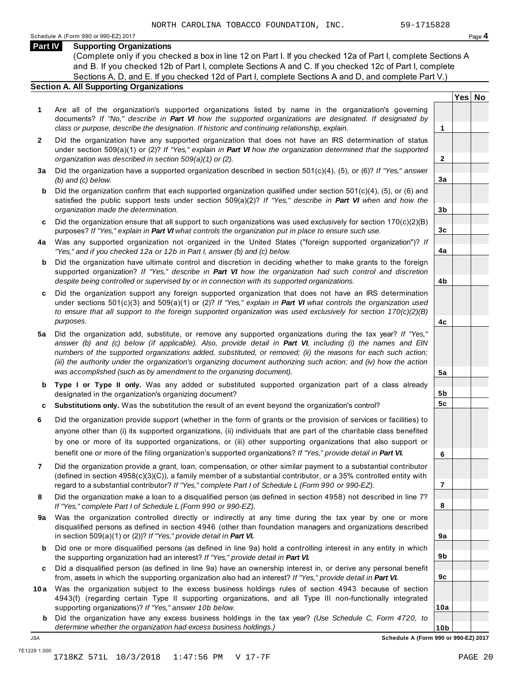**Yes No**

**2**

**3a**

**3b**

**3c**

**4a**

**4b**

**4c**

**5a**

**5b 5c**

**6**

**7**

**8**

**9a**

**9b**

**9c**

**10a**

#### **Part IV Supporting Organizations**

(Complete only if you checked a box in line 12 on Part I. If you checked 12a of Part I, complete Sections A and B. If you checked 12b of Part I, complete Sections A and C. If you checked 12c of Part I, complete Sections A, D, and E. If you checked 12d of Part I, complete Sections A and D, and complete Part V.)

#### **Section A. All Supporting Organizations**

- **1** Are all of the organization's supported organizations listed by name in the organization's governing documents? *If "No," describe in Part VI how the supported organizations are designated. If designated by class or purpose, describe the designation. If historic and continuing relationship, explain.* **1**
- **2** Did the organization have any supported organization that does not have an IRS determination of status under section 509(a)(1) or (2)? *If "Yes," explain in Part VI how the organization determined that the supported organization was described in section 509(a)(1) or (2).*
- **3 a** Did the organization have a supported organization described in section 501(c)(4), (5), or (6)? *If "Yes," answer (b) and (c) below.*
- **b** Did the organization confirm that each supported organization qualified under section 501(c)(4), (5), or (6) and  $\mid$ satisfied the public support tests under section 509(a)(2)? *If "Yes," describe in Part VI when and how the organization made the determination.*
- **c** Did the organization ensure that all support to such organizations was used exclusively for section 170(c)(2)(B) purposes? *If "Yes," explain in Part VI what controls the organization put in place to ensure such use.*
- **4 a** Was any supported organization not organized in the United States ("foreign supported organization")? *If "Yes," and if you checked 12a or 12b in Part I, answer (b) and (c) below.*
- **b** Did the organization have ultimate control and discretion in deciding whether to make grants to the foreign  $|$ supported organization? *If "Yes," describe in Part VI how the organization had such control and discretion despite being controlled or supervised by or in connection with its supported organizations.*
- **c** Did the organization support any foreign supported organization that does not have an IRS determination under sections 501(c)(3) and 509(a)(1) or (2)? *If "Yes," explain in Part VI what controls the organization used to ensure that all support to the foreign supported organization was used exclusively for section 170(c)(2)(B) purposes.*
- **5 a** Did the organization add, substitute, or remove any supported organizations during the tax year? *If "Yes," answer (b) and (c) below (if applicable). Also, provide detail in Part VI, including (i) the names and EIN numbers of the supported organizations added, substituted, or removed; (ii) the reasons for each such action; (iii) the authority under the organization's organizing document authorizing such action; and (iv) how the action was accomplished (such as by amendment to the organizing document).*
- **b Type I or Type II only.** Was any added or substituted supported organization part of a class already | designated in the organization's organizing document?
- **c Substitutions only.** Was the substitution the result of an event beyond the organization's control?
- **6** Did the organization provide support (whether in the form of grants or the provision of services or facilities) to anyone other than (i) its supported organizations, (ii) individuals that are part of the charitable class benefited by one or more of its supported organizations, or (iii) other supporting organizations that also support or benefit one or more of the filing organization's supported organizations? *If "Yes," provide detail in Part VI.*
- **7** Did the organization provide a grant, loan, compensation, or other similar payment to a substantial contributor (defined in section 4958(c)(3)(C)), a family member of a substantial contributor, or a 35% controlled entity with regard to a substantial contributor? *If "Yes," complete Part I of Schedule L (Form 990 or 990-EZ).*
- **8** Did the organization make a loan to a disqualified person (as defined in section 4958) not described in line 7? *If "Yes," complete Part I of Schedule L (Form 990 or 990-EZ).*
- **a** Was the organization controlled directly or indirectly at any time during the tax year by one or more  $|$ **9** disqualified persons as defined in section 4946 (other than foundation managers and organizations described in section 509(a)(1) or (2))? *If "Yes," provide detail in Part VI.*
- **b** Did one or more disqualified persons (as defined in line 9a) hold a controlling interest in any entity in which  $|$ the supporting organization had an interest? *If "Yes," provide detail in Part VI.*
- **c** Did a disqualified person (as defined in line 9a) have an ownership interest in, or derive any personal benefit from, assets in which the supporting organization also had an interest? *If "Yes," provide detail in Part VI.*
- **10 a** Was the organization subject to the excess business holdings rules of section 4943 because of section  $|$ 4943(f) (regarding certain Type II supporting organizations, and all Type III non-functionally integrated supporting organizations)? *If "Yes," answer 10b below.*
	- **b** Did the organization have any excess business holdings in the tax year? *(Use Schedule C, Form 4720, to determine whether the organization had excess business holdings.)*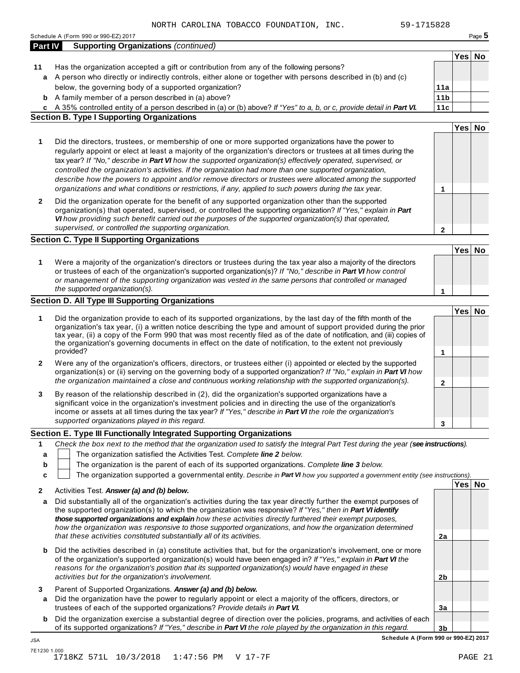|                  | Schedule A (Form 990 or 990-EZ) 2017                                                                                                                                                                                                                                                                                                                                                                                                                                                                                                                                                                                                                                         |                 |        | Page 5 |
|------------------|------------------------------------------------------------------------------------------------------------------------------------------------------------------------------------------------------------------------------------------------------------------------------------------------------------------------------------------------------------------------------------------------------------------------------------------------------------------------------------------------------------------------------------------------------------------------------------------------------------------------------------------------------------------------------|-----------------|--------|--------|
| Part IV          | <b>Supporting Organizations (continued)</b>                                                                                                                                                                                                                                                                                                                                                                                                                                                                                                                                                                                                                                  |                 |        |        |
| 11               | Has the organization accepted a gift or contribution from any of the following persons?                                                                                                                                                                                                                                                                                                                                                                                                                                                                                                                                                                                      |                 | Yes No |        |
|                  | a A person who directly or indirectly controls, either alone or together with persons described in (b) and (c)                                                                                                                                                                                                                                                                                                                                                                                                                                                                                                                                                               |                 |        |        |
|                  | below, the governing body of a supported organization?                                                                                                                                                                                                                                                                                                                                                                                                                                                                                                                                                                                                                       | 11a             |        |        |
| b                | A family member of a person described in (a) above?                                                                                                                                                                                                                                                                                                                                                                                                                                                                                                                                                                                                                          | 11 <sub>b</sub> |        |        |
|                  | c A 35% controlled entity of a person described in (a) or (b) above? If "Yes" to a, b, or c, provide detail in Part VI.                                                                                                                                                                                                                                                                                                                                                                                                                                                                                                                                                      | 11c             |        |        |
|                  | <b>Section B. Type I Supporting Organizations</b>                                                                                                                                                                                                                                                                                                                                                                                                                                                                                                                                                                                                                            |                 |        |        |
|                  |                                                                                                                                                                                                                                                                                                                                                                                                                                                                                                                                                                                                                                                                              |                 | Yes No |        |
| 1                | Did the directors, trustees, or membership of one or more supported organizations have the power to<br>regularly appoint or elect at least a majority of the organization's directors or trustees at all times during the<br>tax year? If "No," describe in Part VI how the supported organization(s) effectively operated, supervised, or<br>controlled the organization's activities. If the organization had more than one supported organization,<br>describe how the powers to appoint and/or remove directors or trustees were allocated among the supported<br>organizations and what conditions or restrictions, if any, applied to such powers during the tax year. | 1               |        |        |
| $\mathbf{2}$     | Did the organization operate for the benefit of any supported organization other than the supported<br>organization(s) that operated, supervised, or controlled the supporting organization? If "Yes," explain in Part<br>VI how providing such benefit carried out the purposes of the supported organization(s) that operated,                                                                                                                                                                                                                                                                                                                                             |                 |        |        |
|                  | supervised, or controlled the supporting organization.                                                                                                                                                                                                                                                                                                                                                                                                                                                                                                                                                                                                                       | 2               |        |        |
|                  | <b>Section C. Type II Supporting Organizations</b>                                                                                                                                                                                                                                                                                                                                                                                                                                                                                                                                                                                                                           |                 |        |        |
| 1                | Were a majority of the organization's directors or trustees during the tax year also a majority of the directors<br>or trustees of each of the organization's supported organization(s)? If "No," describe in Part VI how control<br>or management of the supporting organization was vested in the same persons that controlled or managed<br>the supported organization(s).                                                                                                                                                                                                                                                                                                | 1               | Yes No |        |
|                  | Section D. All Type III Supporting Organizations                                                                                                                                                                                                                                                                                                                                                                                                                                                                                                                                                                                                                             |                 |        |        |
| 1                | Did the organization provide to each of its supported organizations, by the last day of the fifth month of the<br>organization's tax year, (i) a written notice describing the type and amount of support provided during the prior<br>tax year, (ii) a copy of the Form 990 that was most recently filed as of the date of notification, and (iii) copies of<br>the organization's governing documents in effect on the date of notification, to the extent not previously<br>provided?                                                                                                                                                                                     | 1               | Yes No |        |
| $\mathbf{2}$     | Were any of the organization's officers, directors, or trustees either (i) appointed or elected by the supported<br>organization(s) or (ii) serving on the governing body of a supported organization? If "No," explain in Part VI how<br>the organization maintained a close and continuous working relationship with the supported organization(s).                                                                                                                                                                                                                                                                                                                        | 2               |        |        |
| 3                | By reason of the relationship described in (2), did the organization's supported organizations have a<br>significant voice in the organization's investment policies and in directing the use of the organization's<br>income or assets at all times during the tax year? If "Yes," describe in Part VI the role the organization's<br>supported organizations played in this regard.                                                                                                                                                                                                                                                                                        | 3               |        |        |
|                  | Section E. Type III Functionally Integrated Supporting Organizations                                                                                                                                                                                                                                                                                                                                                                                                                                                                                                                                                                                                         |                 |        |        |
| 1<br>a<br>b<br>c | Check the box next to the method that the organization used to satisfy the Integral Part Test during the year (see instructions).<br>The organization satisfied the Activities Test. Complete line 2 below.<br>The organization is the parent of each of its supported organizations. Complete line 3 below.<br>The organization supported a governmental entity. Describe in Part VI how you supported a government entity (see instructions).                                                                                                                                                                                                                              |                 |        |        |
|                  |                                                                                                                                                                                                                                                                                                                                                                                                                                                                                                                                                                                                                                                                              |                 | Yes No |        |
| 2<br>a           | Activities Test. Answer (a) and (b) below.<br>Did substantially all of the organization's activities during the tax year directly further the exempt purposes of<br>the supported organization(s) to which the organization was responsive? If "Yes," then in Part VI identify<br>those supported organizations and explain how these activities directly furthered their exempt purposes,<br>how the organization was responsive to those supported organizations, and how the organization determined<br>that these activities constituted substantially all of its activities.                                                                                            | 2a              |        |        |
| b                | Did the activities described in (a) constitute activities that, but for the organization's involvement, one or more<br>of the organization's supported organization(s) would have been engaged in? If "Yes," explain in Part VI the<br>reasons for the organization's position that its supported organization(s) would have engaged in these<br>activities but for the organization's involvement.                                                                                                                                                                                                                                                                          | 2 <sub>b</sub>  |        |        |
| 3<br>a           | Parent of Supported Organizations. Answer (a) and (b) below.<br>Did the organization have the power to regularly appoint or elect a majority of the officers, directors, or<br>trustees of each of the supported organizations? Provide details in Part VI.                                                                                                                                                                                                                                                                                                                                                                                                                  | 3a              |        |        |
| b                | Did the organization exercise a substantial degree of direction over the policies, programs, and activities of each<br>of its supported organizations? If "Yes," describe in Part VI the role played by the organization in this regard.                                                                                                                                                                                                                                                                                                                                                                                                                                     | 3 <sub>b</sub>  |        |        |
| <b>JSA</b>       | Schedule A (Form 990 or 990-EZ) 2017                                                                                                                                                                                                                                                                                                                                                                                                                                                                                                                                                                                                                                         |                 |        |        |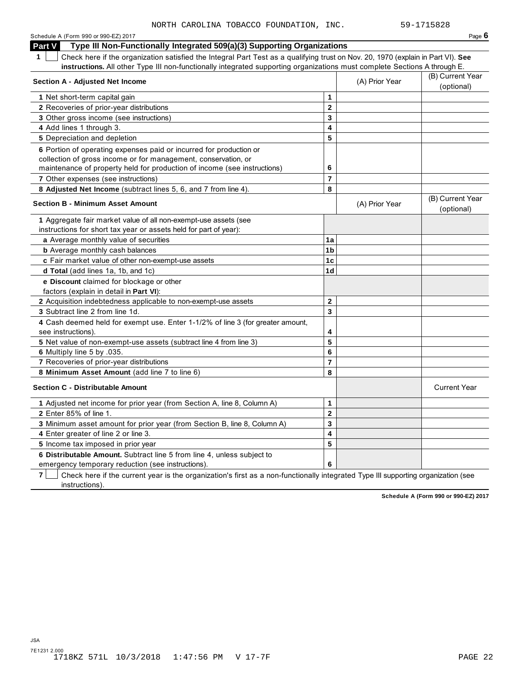| Schedule A (Form 990 or 990-EZ) 2017                                                                                                            |                         |                | Page $6$                       |
|-------------------------------------------------------------------------------------------------------------------------------------------------|-------------------------|----------------|--------------------------------|
| Type III Non-Functionally Integrated 509(a)(3) Supporting Organizations<br>Part V                                                               |                         |                |                                |
| $\mathbf 1$<br>Check here if the organization satisfied the Integral Part Test as a qualifying trust on Nov. 20, 1970 (explain in Part VI). See |                         |                |                                |
| instructions. All other Type III non-functionally integrated supporting organizations must complete Sections A through E.                       |                         |                |                                |
| <b>Section A - Adjusted Net Income</b>                                                                                                          |                         | (A) Prior Year | (B) Current Year               |
|                                                                                                                                                 |                         |                | (optional)                     |
| 1 Net short-term capital gain                                                                                                                   | $\mathbf{1}$            |                |                                |
| 2 Recoveries of prior-year distributions                                                                                                        | $\mathbf 2$             |                |                                |
| 3 Other gross income (see instructions)                                                                                                         | 3                       |                |                                |
| 4 Add lines 1 through 3.                                                                                                                        | 4                       |                |                                |
| 5 Depreciation and depletion                                                                                                                    | 5                       |                |                                |
| 6 Portion of operating expenses paid or incurred for production or                                                                              |                         |                |                                |
| collection of gross income or for management, conservation, or                                                                                  |                         |                |                                |
| maintenance of property held for production of income (see instructions)                                                                        | 6                       |                |                                |
| 7 Other expenses (see instructions)                                                                                                             | $\overline{\mathbf{r}}$ |                |                                |
| 8 Adjusted Net Income (subtract lines 5, 6, and 7 from line 4).                                                                                 | 8                       |                |                                |
| <b>Section B - Minimum Asset Amount</b>                                                                                                         |                         | (A) Prior Year | (B) Current Year<br>(optional) |
| 1 Aggregate fair market value of all non-exempt-use assets (see                                                                                 |                         |                |                                |
| instructions for short tax year or assets held for part of year):                                                                               |                         |                |                                |
| a Average monthly value of securities                                                                                                           | 1a                      |                |                                |
| <b>b</b> Average monthly cash balances                                                                                                          | 1 <sub>b</sub>          |                |                                |
| c Fair market value of other non-exempt-use assets                                                                                              | 1 <sub>c</sub>          |                |                                |
| d Total (add lines 1a, 1b, and 1c)                                                                                                              | 1 <sub>d</sub>          |                |                                |
| e Discount claimed for blockage or other                                                                                                        |                         |                |                                |
| factors (explain in detail in <b>Part VI</b> ):                                                                                                 |                         |                |                                |
| 2 Acquisition indebtedness applicable to non-exempt-use assets                                                                                  | $\mathbf{2}$            |                |                                |
| 3 Subtract line 2 from line 1d.                                                                                                                 | $\overline{3}$          |                |                                |
| 4 Cash deemed held for exempt use. Enter 1-1/2% of line 3 (for greater amount,<br>see instructions).                                            | 4                       |                |                                |
| 5 Net value of non-exempt-use assets (subtract line 4 from line 3)                                                                              | 5                       |                |                                |
| 6 Multiply line 5 by .035.                                                                                                                      | 6                       |                |                                |
| 7 Recoveries of prior-year distributions                                                                                                        | $\overline{7}$          |                |                                |
| 8 Minimum Asset Amount (add line 7 to line 6)                                                                                                   | 8                       |                |                                |
| <b>Section C - Distributable Amount</b>                                                                                                         |                         |                | <b>Current Year</b>            |
| 1 Adjusted net income for prior year (from Section A, line 8, Column A)                                                                         | $\mathbf{1}$            |                |                                |
| 2 Enter 85% of line 1.                                                                                                                          | $\mathbf 2$             |                |                                |
| 3 Minimum asset amount for prior year (from Section B, line 8, Column A)                                                                        | 3                       |                |                                |
| 4 Enter greater of line 2 or line 3.                                                                                                            | 4                       |                |                                |
| 5 Income tax imposed in prior year                                                                                                              | 5                       |                |                                |
| 6 Distributable Amount. Subtract line 5 from line 4, unless subject to                                                                          |                         |                |                                |
| emergency temporary reduction (see instructions).                                                                                               | 6                       |                |                                |

**7 Check here if the current year is the organization's first as a non-functionally integrated Type III supporting organization (see** instructions).

**Schedule A (Form 990 or 990-EZ) 2017**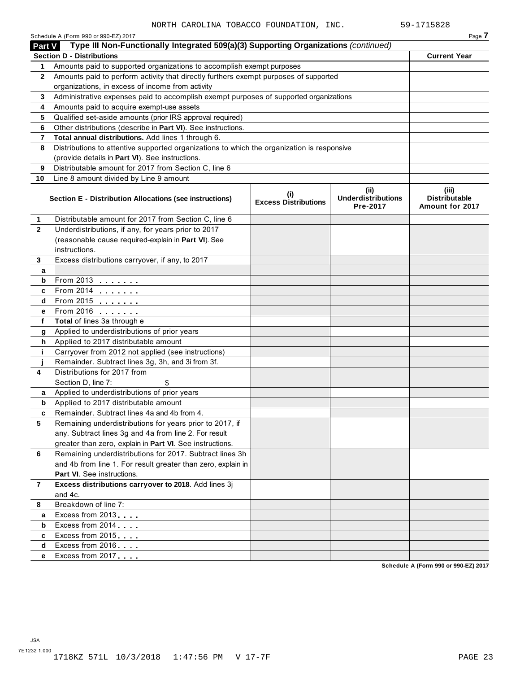|               | Schedule A (Form 990 or 990-EZ) 2017                                                       |                                    |                                               | Page 7                                           |
|---------------|--------------------------------------------------------------------------------------------|------------------------------------|-----------------------------------------------|--------------------------------------------------|
| <b>Part V</b> | Type III Non-Functionally Integrated 509(a)(3) Supporting Organizations (continued)        |                                    |                                               |                                                  |
|               | <b>Section D - Distributions</b>                                                           |                                    |                                               | <b>Current Year</b>                              |
| 1             | Amounts paid to supported organizations to accomplish exempt purposes                      |                                    |                                               |                                                  |
| $\mathbf{2}$  | Amounts paid to perform activity that directly furthers exempt purposes of supported       |                                    |                                               |                                                  |
|               | organizations, in excess of income from activity                                           |                                    |                                               |                                                  |
| 3             | Administrative expenses paid to accomplish exempt purposes of supported organizations      |                                    |                                               |                                                  |
| 4             | Amounts paid to acquire exempt-use assets                                                  |                                    |                                               |                                                  |
| 5             | Qualified set-aside amounts (prior IRS approval required)                                  |                                    |                                               |                                                  |
| 6             | Other distributions (describe in Part VI). See instructions.                               |                                    |                                               |                                                  |
| 7             | Total annual distributions. Add lines 1 through 6.                                         |                                    |                                               |                                                  |
| 8             | Distributions to attentive supported organizations to which the organization is responsive |                                    |                                               |                                                  |
|               | (provide details in Part VI). See instructions.                                            |                                    |                                               |                                                  |
| 9             | Distributable amount for 2017 from Section C, line 6                                       |                                    |                                               |                                                  |
| 10            | Line 8 amount divided by Line 9 amount                                                     |                                    |                                               |                                                  |
|               | Section E - Distribution Allocations (see instructions)                                    | (i)<br><b>Excess Distributions</b> | (ii)<br><b>Underdistributions</b><br>Pre-2017 | (iii)<br><b>Distributable</b><br>Amount for 2017 |
| 1             | Distributable amount for 2017 from Section C, line 6                                       |                                    |                                               |                                                  |
| $\mathbf{2}$  | Underdistributions, if any, for years prior to 2017                                        |                                    |                                               |                                                  |
|               | (reasonable cause required-explain in Part VI). See                                        |                                    |                                               |                                                  |
|               | instructions.                                                                              |                                    |                                               |                                                  |
| 3             | Excess distributions carryover, if any, to 2017                                            |                                    |                                               |                                                  |
| a             |                                                                                            |                                    |                                               |                                                  |
| b             | From 2013                                                                                  |                                    |                                               |                                                  |
| c             |                                                                                            |                                    |                                               |                                                  |
| d             | From 2015                                                                                  |                                    |                                               |                                                  |
| е             | From 2016                                                                                  |                                    |                                               |                                                  |
| f             | Total of lines 3a through e                                                                |                                    |                                               |                                                  |
| g             | Applied to underdistributions of prior years                                               |                                    |                                               |                                                  |
| h             | Applied to 2017 distributable amount                                                       |                                    |                                               |                                                  |
| j.            | Carryover from 2012 not applied (see instructions)                                         |                                    |                                               |                                                  |
|               | Remainder. Subtract lines 3g, 3h, and 3i from 3f.                                          |                                    |                                               |                                                  |
| 4             | Distributions for 2017 from                                                                |                                    |                                               |                                                  |
|               | Section D, line 7:                                                                         |                                    |                                               |                                                  |
| a             | Applied to underdistributions of prior years                                               |                                    |                                               |                                                  |
| b             | Applied to 2017 distributable amount                                                       |                                    |                                               |                                                  |
|               | Remainder. Subtract lines 4a and 4b from 4.                                                |                                    |                                               |                                                  |
| 5             | Remaining underdistributions for years prior to 2017, if                                   |                                    |                                               |                                                  |
|               | any. Subtract lines 3g and 4a from line 2. For result                                      |                                    |                                               |                                                  |
|               | greater than zero, explain in Part VI. See instructions.                                   |                                    |                                               |                                                  |
| 6             | Remaining underdistributions for 2017. Subtract lines 3h                                   |                                    |                                               |                                                  |
|               | and 4b from line 1. For result greater than zero, explain in                               |                                    |                                               |                                                  |
|               | Part VI. See instructions.                                                                 |                                    |                                               |                                                  |
| 7             | Excess distributions carryover to 2018. Add lines 3j                                       |                                    |                                               |                                                  |
|               | and 4c.                                                                                    |                                    |                                               |                                                  |
| 8             | Breakdown of line 7:                                                                       |                                    |                                               |                                                  |
| a             | Excess from 2013                                                                           |                                    |                                               |                                                  |
| b             | Excess from 2014                                                                           |                                    |                                               |                                                  |
| c             | Excess from 2015                                                                           |                                    |                                               |                                                  |
| d             | Excess from 2016                                                                           |                                    |                                               |                                                  |
| е             | Excess from 2017                                                                           |                                    |                                               |                                                  |
|               |                                                                                            |                                    |                                               | Schedule A (Form 990 or 990-EZ) 2017             |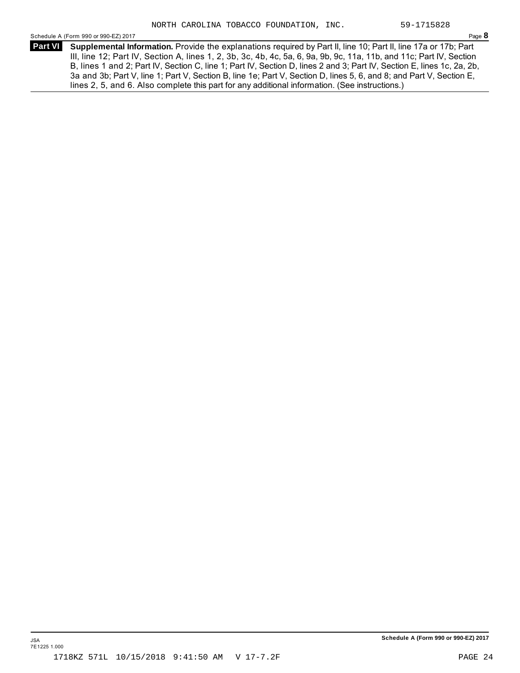Schedule <sup>A</sup> (Form <sup>990</sup> or 990-EZ) <sup>2017</sup> Page **8**

**Supplemental Information.** Provide the explanations required by Part II, line 10; Part II, line 17a or 17b; Part **Part VI** III, line 12; Part IV, Section A, lines 1, 2, 3b, 3c, 4b, 4c, 5a, 6, 9a, 9b, 9c, 11a, 11b, and 11c; Part IV, Section B, lines 1 and 2; Part IV, Section C, line 1; Part IV, Section D, lines 2 and 3; Part IV, Section E, lines 1c, 2a, 2b, 3a and 3b; Part V, line 1; Part V, Section B, line 1e; Part V, Section D, lines 5, 6, and 8; and Part V, Section E, lines 2, 5, and 6. Also complete this part for any additional information. (See instructions.)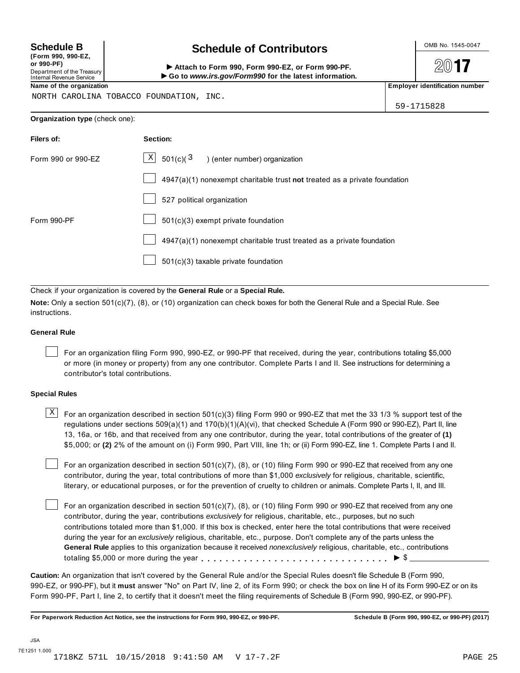**(Form 990, 990-EZ, or 990-PF)** Department of the Treasury

## **Schedule B**  $\leftarrow$  **Contributors**

(Porm 990, Form 990, Form 990-EZ, or Form 990-PF.<br>Department of the Treasury → Attach to Form 990, Form 990-EZ, or Form 990-PF.<br>Internal Revenue Service → → Go to www.irs.gov/Form990 for the latest information.<br>Name of th

 $20$ **17** 

NORTH CAROLINA TOBACCO FOUNDATION, INC.

59-1715828

|  | Organization type (check one): |  |
|--|--------------------------------|--|
|--|--------------------------------|--|

| Filers of:         | Section:                                                                    |
|--------------------|-----------------------------------------------------------------------------|
| Form 990 or 990-EZ | $\mathbb{X}$ 501(c)( $^3$ ) (enter number) organization                     |
|                    | $4947(a)(1)$ nonexempt charitable trust not treated as a private foundation |
|                    | 527 political organization                                                  |
| Form 990-PF        | $501(c)(3)$ exempt private foundation                                       |
|                    | $4947(a)(1)$ nonexempt charitable trust treated as a private foundation     |
|                    | $501(c)(3)$ taxable private foundation                                      |

Check if your organization is covered by the **General Rule** or a **Special Rule.**

**Note:** Only a section 501(c)(7), (8), or (10) organization can check boxes for both the General Rule and a Special Rule. See instructions.

#### **General Rule**

For an organization filing Form 990, 990-EZ, or 990-PF that received, during the year, contributions totaling \$5,000 or more (in money or property) from any one contributor. Complete Parts I and II. See instructions for determining a contributor's total contributions.

#### **Special Rules**

 $\text{X}\big\rfloor$  For an organization described in section 501(c)(3) filing Form 990 or 990-EZ that met the 33 1/3 % support test of the regulations under sections 509(a)(1) and 170(b)(1)(A)(vi), that checked Schedule A (Form 990 or 990-EZ), Part II, line 13, 16a, or 16b, and that received from any one contributor, during the year, total contributions of the greater of **(1)** \$5,000; or **(2)** 2% of the amount on (i) Form 990, Part VIII, line 1h; or (ii) Form 990-EZ, line 1. Complete Parts I and II.

For an organization described in section 501(c)(7), (8), or (10) filing Form 990 or 990-EZ that received from any one contributor, during the year, total contributions of more than \$1,000 *exclusively* for religious, charitable, scientific, literary, or educational purposes, or for the prevention of cruelty to children or animals. Complete Parts I, II, and III.

For an organization described in section 501(c)(7), (8), or (10) filing Form 990 or 990-EZ that received from any one contributor, during the year, contributions *exclusively* for religious, charitable, etc., purposes, but no such contributions totaled more than \$1,000. If this box is checked, enter here the total contributions that were received during the year for an *exclusively* religious, charitable, etc., purpose. Don't complete any of the parts unless the **General Rule** applies to this organization because it received *nonexclusively* religious, charitable, etc., contributions totaling \$5,000 or more during the year m m m m m m m m m m m m m m m m m m m m m m m m m m m m m m m I \$

**Caution:** An organization that isn't covered by the General Rule and/or the Special Rules doesn't file Schedule B (Form 990, 990-EZ, or 990-PF), but it **must** answer "No" on Part IV, line 2, of its Form 990; or check the box on line H of its Form 990-EZ or on its Form 990-PF, Part I, line 2, to certify that it doesn't meet the filing requirements of Schedule B (Form 990, 990-EZ, or 990-PF).

For Paperwork Reduction Act Notice, see the instructions for Form 990, 990-EZ, or 990-PF. Schedule B (Form 990, 990-EZ, or 990-PF) (2017)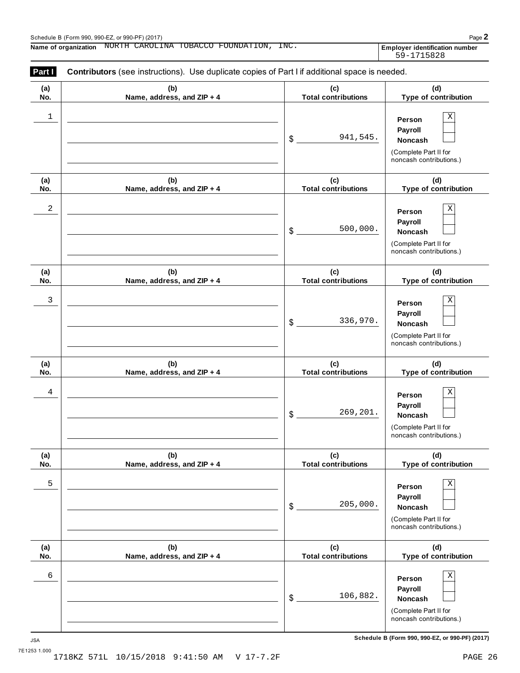**(a) No.**

|                      | Name of organization  NORTH CAROLINA  TOBACCO  FOUNDATION, INC.<br>Contributors (see instructions). Use duplicate copies of Part I if additional space is needed. |                                   | <b>Employer identification number</b><br>59-1715828                                                    |
|----------------------|-------------------------------------------------------------------------------------------------------------------------------------------------------------------|-----------------------------------|--------------------------------------------------------------------------------------------------------|
| Part I<br>(a)<br>No. | (b)<br>Name, address, and ZIP + 4                                                                                                                                 | (c)<br><b>Total contributions</b> | (d)<br>Type of contribution                                                                            |
| 1                    |                                                                                                                                                                   | 941,545.<br>\$                    | $\mathbf X$<br>Person<br>Payroll<br><b>Noncash</b><br>(Complete Part II for<br>noncash contributions.) |
| (a)<br>No.           | (b)<br>Name, address, and ZIP + 4                                                                                                                                 | (c)<br><b>Total contributions</b> | (d)<br>Type of contribution                                                                            |
| 2                    |                                                                                                                                                                   | 500,000.<br>\$                    | $\mathbf X$<br>Person<br>Payroll<br><b>Noncash</b><br>(Complete Part II for<br>noncash contributions.) |
| (a)<br>No.           | (b)<br>Name, address, and ZIP + 4                                                                                                                                 | (c)<br><b>Total contributions</b> | (d)<br>Type of contribution                                                                            |
| 3                    |                                                                                                                                                                   | 336,970.<br>\$                    | $\mathbf X$<br>Person<br>Payroll<br><b>Noncash</b><br>(Complete Part II for<br>noncash contributions.) |
| (a)<br>No.           | (b)<br>Name, address, and ZIP + 4                                                                                                                                 | (c)<br><b>Total contributions</b> | (d)<br>Type of contribution                                                                            |
| 4                    |                                                                                                                                                                   | 269,201.<br>\$                    | $\mathbf X$<br>Person<br>Payroll<br>Noncash<br>(Complete Part II for<br>noncash contributions.)        |
| (a)<br>No.           | (b)<br>Name, address, and ZIP + 4                                                                                                                                 | (c)<br><b>Total contributions</b> | (d)<br>Type of contribution                                                                            |
| 5                    |                                                                                                                                                                   | 205,000.<br>\$                    | $\mathbf X$<br>Person<br>Payroll<br>Noncash<br>(Complete Part II for<br>noncash contributions.)        |

\$ 106,882. Noncash 106,882.

6  $\vert$  **Person**  $\vert$   $X$ 

**(c) Total contributions**

> (Complete Part II for noncash contributions.)

**Person Payroll**

**(d) Type of contribution**

**(b) Name, address, and ZIP + 4**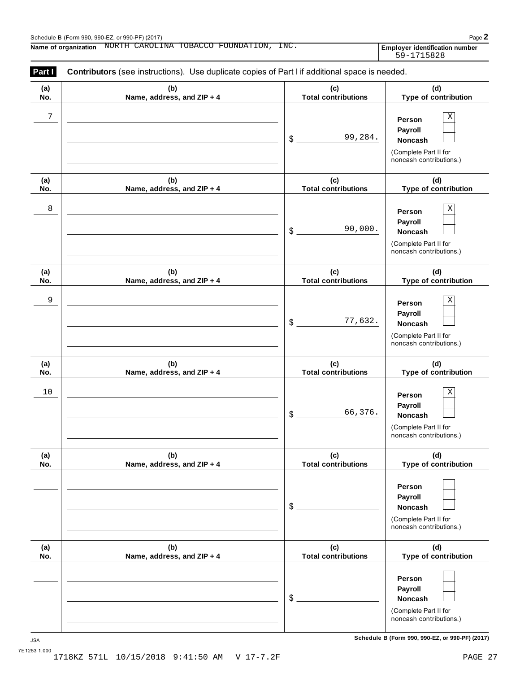**(b) Name, address, and ZIP + 4**

|            | Schedule B (Form 990, 990-EZ, or 990-PF) (2017)<br>Name of organization  NORTH CAROLINA TOBACCO FOUNDATION, INC. |               |                                   | Page 2<br>Employer identification number<br>59-1715828                                                 |
|------------|------------------------------------------------------------------------------------------------------------------|---------------|-----------------------------------|--------------------------------------------------------------------------------------------------------|
| Part I     | Contributors (see instructions). Use duplicate copies of Part I if additional space is needed.                   |               |                                   |                                                                                                        |
| (a)<br>No. | (b)<br>Name, address, and ZIP + 4                                                                                |               | (c)<br><b>Total contributions</b> | (d)<br>Type of contribution                                                                            |
| 7          |                                                                                                                  | \$            | 99,284.                           | Χ<br>Person<br>Payroll<br><b>Noncash</b><br>(Complete Part II for<br>noncash contributions.)           |
| (a)<br>No. | (b)<br>Name, address, and ZIP + 4                                                                                |               | (c)<br><b>Total contributions</b> | (d)<br>Type of contribution                                                                            |
| 8          |                                                                                                                  | \$            | 90,000.                           | Χ<br>Person<br>Payroll<br><b>Noncash</b><br>(Complete Part II for<br>noncash contributions.)           |
| (a)<br>No. | (b)<br>Name, address, and ZIP + 4                                                                                |               | (c)<br><b>Total contributions</b> | (d)<br>Type of contribution                                                                            |
| 9          |                                                                                                                  | \$            | 77,632.                           | $\mathbf X$<br>Person<br>Payroll<br><b>Noncash</b><br>(Complete Part II for<br>noncash contributions.) |
| (a)<br>No. | (b)<br>Name, address, and ZIP + 4                                                                                |               | (c)<br><b>Total contributions</b> | (d)<br>Type of contribution                                                                            |
| 10         |                                                                                                                  | $\frac{1}{2}$ | 66,376.                           | Χ<br>Person<br>Payroll<br><b>Noncash</b><br>(Complete Part II for<br>noncash contributions.)           |
| (a)<br>No. | (b)<br>Name, address, and ZIP + 4                                                                                |               | (c)<br><b>Total contributions</b> | (d)<br>Type of contribution                                                                            |

**Payroll**

**Person Payroll**

(Complete Part II for noncash contributions.)

\$ **Noncash**

\$ **Noncash**

**(c) Total contributions**

**(d) Type of contribution**

**(a) No.**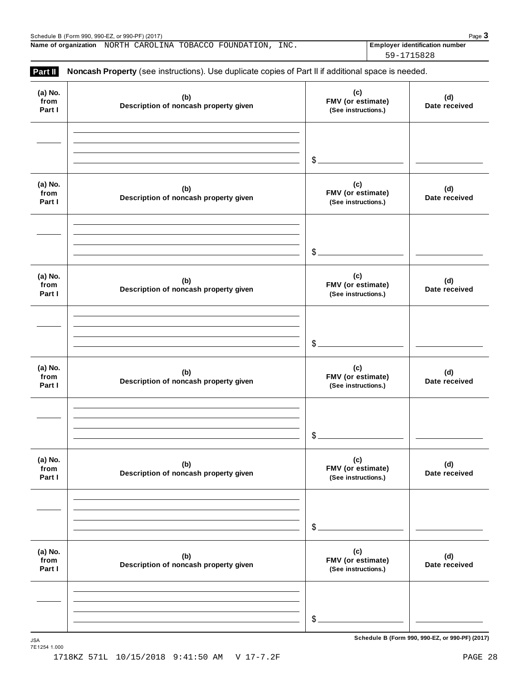|                           |                                              | $\frac{1}{2}$                                   | $\overline{a}$                                                                                                                                                                                                                       |
|---------------------------|----------------------------------------------|-------------------------------------------------|--------------------------------------------------------------------------------------------------------------------------------------------------------------------------------------------------------------------------------------|
| (a) No.<br>from<br>Part I | (b)<br>Description of noncash property given | (c)<br>FMV (or estimate)<br>(See instructions.) | (d)<br>Date received                                                                                                                                                                                                                 |
|                           |                                              | $\frac{1}{2}$                                   | ÷                                                                                                                                                                                                                                    |
| (a) No.<br>from<br>Part I | (b)<br>Description of noncash property given | (c)<br>FMV (or estimate)<br>(See instructions.) | (d)<br>Date received                                                                                                                                                                                                                 |
|                           |                                              | $\frac{1}{2}$                                   | <u> The Common School (1989)</u>                                                                                                                                                                                                     |
| (a) No.<br>from<br>Part I | (b)<br>Description of noncash property given | (c)<br>FMV (or estimate)<br>(See instructions.) | (d)<br>Date received                                                                                                                                                                                                                 |
|                           |                                              | $\frac{1}{2}$                                   | <u> The Common State of the Common State of the Common State of the Common State of the Common State of the Common State of the Common State of the Common State of the Common State of the Common State of the Common State of </u> |
| (a) No.<br>from<br>Part I | (b)<br>Description of noncash property given | (c)<br>FMV (or estimate)<br>(See instructions.) | (d)<br>Date received                                                                                                                                                                                                                 |
|                           |                                              | \$                                              |                                                                                                                                                                                                                                      |
| (a) No.<br>from<br>Part I | (b)<br>Description of noncash property given | (c)<br>FMV (or estimate)<br>(See instructions.) | (d)<br>Date received                                                                                                                                                                                                                 |
|                           |                                              | \$                                              |                                                                                                                                                                                                                                      |

 $S$ chedule B (Form 990, 990-EZ, or 990-PF) (2017)

**(d) Date received**

| Schedul<br>(2017)<br>DE)<br>$-990-$<br>990-E<br>990.<br>$F$ orm.<br>. טו<br>. | $P_{2C}$ |
|-------------------------------------------------------------------------------|----------|
|                                                                               |          |

**(a) No. from Part I**

**Name of organization Employer identification number** NORTH CAROLINA TOBACCO FOUNDATION, INC.

**(b) Description of noncash property given**

**Part II Noncash Property** (see instructions). Use duplicate copies of Part II if additional space is needed.

59-1715828

**(c) FMV (or estimate) (See instructions.)**

7E1254 1.000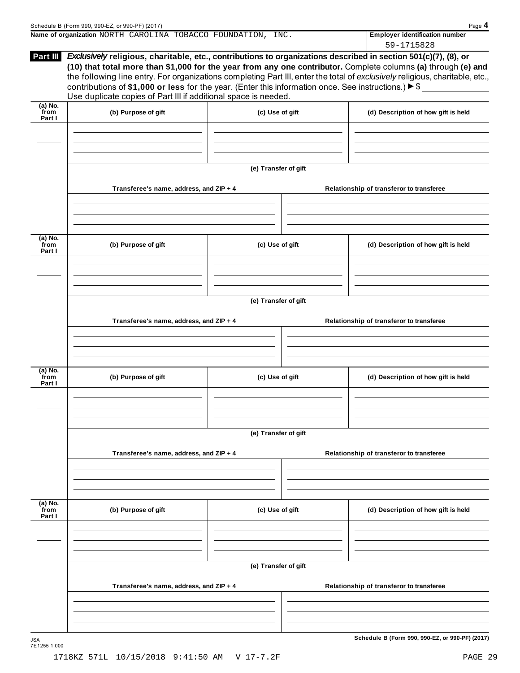| Schedule B (Form 990, 990-EZ, or 990-PF) (2017)                                                                                                                                                                                                                                                                                                                                                                                                                                                                        | Page 4                                |
|------------------------------------------------------------------------------------------------------------------------------------------------------------------------------------------------------------------------------------------------------------------------------------------------------------------------------------------------------------------------------------------------------------------------------------------------------------------------------------------------------------------------|---------------------------------------|
| Name of organization NORTH CAROLINA TOBACCO FOUNDATION, INC.                                                                                                                                                                                                                                                                                                                                                                                                                                                           | <b>Employer identification number</b> |
|                                                                                                                                                                                                                                                                                                                                                                                                                                                                                                                        | 59-1715828                            |
| <b>Part III</b><br><i>Exclusively</i> religious, charitable, etc., contributions to organizations described in section 501(c)(7), (8), or<br>(10) that total more than \$1,000 for the year from any one contributor. Complete columns (a) through (e) and<br>the following line entry. For organizations completing Part III, enter the total of exclusively religious, charitable, etc.,<br>contributions of \$1,000 or less for the year. (Enter this information once. See instructions.) $\blacktriangleright$ \$ |                                       |

| Use duplicate copies of Part III if additional space is needed. |  |  |  |
|-----------------------------------------------------------------|--|--|--|
|                                                                 |  |  |  |
|                                                                 |  |  |  |
|                                                                 |  |  |  |
|                                                                 |  |  |  |

| $(a)$ No.<br>from<br>Part I | (b) Purpose of gift                     | (c) Use of gift      | (d) Description of how gift is held      |
|-----------------------------|-----------------------------------------|----------------------|------------------------------------------|
|                             |                                         |                      |                                          |
|                             |                                         |                      |                                          |
|                             |                                         | (e) Transfer of gift |                                          |
|                             | Transferee's name, address, and ZIP + 4 |                      | Relationship of transferor to transferee |
|                             |                                         |                      |                                          |
|                             |                                         |                      |                                          |
| $(a)$ No.<br>from<br>Part I | (b) Purpose of gift                     | (c) Use of gift      | (d) Description of how gift is held      |
|                             |                                         |                      |                                          |
|                             |                                         | (e) Transfer of gift |                                          |
|                             |                                         |                      | Relationship of transferor to transferee |
|                             | Transferee's name, address, and ZIP + 4 |                      |                                          |
|                             |                                         |                      |                                          |
| $(a)$ No.<br>from<br>Part I | (b) Purpose of gift                     | (c) Use of gift      | (d) Description of how gift is held      |
|                             |                                         |                      |                                          |
|                             |                                         | (e) Transfer of gift |                                          |
|                             | Transferee's name, address, and ZIP + 4 |                      | Relationship of transferor to transferee |
|                             |                                         |                      |                                          |
| $(a)$ No.<br>from<br>Part I | (b) Purpose of gift                     | (c) Use of gift      | (d) Description of how gift is held      |
|                             |                                         |                      |                                          |
|                             |                                         | (e) Transfer of gift |                                          |
|                             | Transferee's name, address, and ZIP + 4 |                      | Relationship of transferor to transferee |
|                             |                                         |                      |                                          |
|                             |                                         |                      |                                          |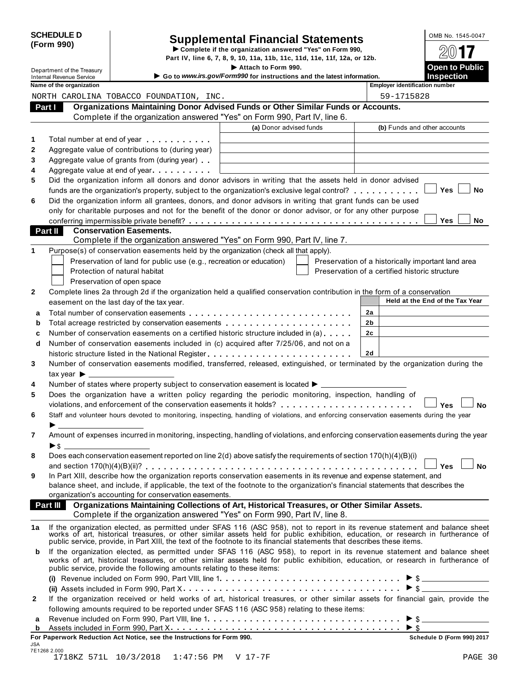| <b>SCHEDULE D</b> |  |
|-------------------|--|
| (Form 990)        |  |

# SCHEDULE D<br>
Supplemental Financial Statements<br>
Form 990) Part IV, line 6, 7, 8, 9, 10, 11a, 11b, 11c, 11d, 11e, 11f, 12a, or 12b.

Department of the Treasury<br>Department of the Treasury<br>Co to *Harry is Co to Harry is Covic Form* 990.

| Department of the Treasury                                  |                                                                                                                 | Attach to Form 990.<br>Go to www.irs.gov/Form990 for instructions and the latest information.                                                                                                                                 |                                                    | <b>Open to Public</b><br><b>Inspection</b> |
|-------------------------------------------------------------|-----------------------------------------------------------------------------------------------------------------|-------------------------------------------------------------------------------------------------------------------------------------------------------------------------------------------------------------------------------|----------------------------------------------------|--------------------------------------------|
| <b>Internal Revenue Service</b><br>Name of the organization |                                                                                                                 |                                                                                                                                                                                                                               | <b>Employer identification number</b>              |                                            |
|                                                             | NORTH CAROLINA TOBACCO FOUNDATION, INC.                                                                         |                                                                                                                                                                                                                               | 59-1715828                                         |                                            |
| Part I                                                      |                                                                                                                 | Organizations Maintaining Donor Advised Funds or Other Similar Funds or Accounts.                                                                                                                                             |                                                    |                                            |
|                                                             |                                                                                                                 | Complete if the organization answered "Yes" on Form 990, Part IV, line 6.                                                                                                                                                     |                                                    |                                            |
|                                                             |                                                                                                                 | (a) Donor advised funds                                                                                                                                                                                                       | (b) Funds and other accounts                       |                                            |
|                                                             |                                                                                                                 |                                                                                                                                                                                                                               |                                                    |                                            |
|                                                             | Total number at end of year                                                                                     |                                                                                                                                                                                                                               |                                                    |                                            |
|                                                             | Aggregate value of contributions to (during year)                                                               |                                                                                                                                                                                                                               |                                                    |                                            |
|                                                             | Aggregate value of grants from (during year)                                                                    |                                                                                                                                                                                                                               |                                                    |                                            |
|                                                             | Aggregate value at end of year example and all the set of the set of the set of the set of the set of the set o |                                                                                                                                                                                                                               |                                                    |                                            |
|                                                             |                                                                                                                 | Did the organization inform all donors and donor advisors in writing that the assets held in donor advised                                                                                                                    |                                                    | Yes<br>No                                  |
|                                                             |                                                                                                                 | funds are the organization's property, subject to the organization's exclusive legal control?<br>Did the organization inform all grantees, donors, and donor advisors in writing that grant funds can be used                 |                                                    |                                            |
|                                                             |                                                                                                                 | only for charitable purposes and not for the benefit of the donor or donor advisor, or for any other purpose                                                                                                                  |                                                    |                                            |
|                                                             |                                                                                                                 |                                                                                                                                                                                                                               |                                                    | Yes<br>No                                  |
| Part II                                                     | <b>Conservation Easements.</b>                                                                                  |                                                                                                                                                                                                                               |                                                    |                                            |
|                                                             |                                                                                                                 | Complete if the organization answered "Yes" on Form 990, Part IV, line 7.                                                                                                                                                     |                                                    |                                            |
|                                                             |                                                                                                                 | Purpose(s) of conservation easements held by the organization (check all that apply).                                                                                                                                         |                                                    |                                            |
|                                                             | Preservation of land for public use (e.g., recreation or education)                                             |                                                                                                                                                                                                                               | Preservation of a historically important land area |                                            |
|                                                             | Protection of natural habitat                                                                                   |                                                                                                                                                                                                                               | Preservation of a certified historic structure     |                                            |
|                                                             | Preservation of open space                                                                                      |                                                                                                                                                                                                                               |                                                    |                                            |
|                                                             |                                                                                                                 | Complete lines 2a through 2d if the organization held a qualified conservation contribution in the form of a conservation                                                                                                     |                                                    |                                            |
|                                                             | easement on the last day of the tax year.                                                                       |                                                                                                                                                                                                                               |                                                    | Held at the End of the Tax Year            |
| a                                                           |                                                                                                                 | Total number of conservation easements entitled your enterpretation of the set of the set of the set of the set of the set of the set of the set of the set of the set of the set of the set of the set of the set of the set | 2a                                                 |                                            |
| b                                                           |                                                                                                                 |                                                                                                                                                                                                                               | 2 <sub>b</sub>                                     |                                            |
| c                                                           |                                                                                                                 | Number of conservation easements on a certified historic structure included in (a)                                                                                                                                            | 2c                                                 |                                            |
| d                                                           |                                                                                                                 | Number of conservation easements included in (c) acquired after 7/25/06, and not on a                                                                                                                                         |                                                    |                                            |
|                                                             |                                                                                                                 |                                                                                                                                                                                                                               | 2d                                                 |                                            |
|                                                             |                                                                                                                 | Number of conservation easements modified, transferred, released, extinguished, or terminated by the organization during the                                                                                                  |                                                    |                                            |
| $\mathsf{tax}$ year $\blacktriangleright$ _______________   |                                                                                                                 |                                                                                                                                                                                                                               |                                                    |                                            |
|                                                             |                                                                                                                 | Number of states where property subject to conservation easement is located $\blacktriangleright$ _________                                                                                                                   |                                                    |                                            |
|                                                             |                                                                                                                 | Does the organization have a written policy regarding the periodic monitoring, inspection, handling of                                                                                                                        |                                                    |                                            |
|                                                             |                                                                                                                 | violations, and enforcement of the conservation easements it holds?                                                                                                                                                           |                                                    | <b>No</b><br><b>Yes</b>                    |
|                                                             |                                                                                                                 | Staff and volunteer hours devoted to monitoring, inspecting, handling of violations, and enforcing conservation easements during the year                                                                                     |                                                    |                                            |
|                                                             |                                                                                                                 |                                                                                                                                                                                                                               |                                                    |                                            |
|                                                             |                                                                                                                 | Amount of expenses incurred in monitoring, inspecting, handling of violations, and enforcing conservation easements during the year                                                                                           |                                                    |                                            |
| $\triangleright$ \$                                         |                                                                                                                 |                                                                                                                                                                                                                               |                                                    |                                            |
|                                                             |                                                                                                                 | Does each conservation easement reported on line 2(d) above satisfy the requirements of section 170(h)(4)(B)(i)                                                                                                               |                                                    |                                            |
|                                                             |                                                                                                                 |                                                                                                                                                                                                                               |                                                    | <b>No</b><br>Yes l                         |
|                                                             |                                                                                                                 | In Part XIII, describe how the organization reports conservation easements in its revenue and expense statement, and                                                                                                          |                                                    |                                            |
|                                                             |                                                                                                                 | balance sheet, and include, if applicable, the text of the footnote to the organization's financial statements that describes the                                                                                             |                                                    |                                            |
|                                                             | organization's accounting for conservation easements.                                                           |                                                                                                                                                                                                                               |                                                    |                                            |
| Part III                                                    |                                                                                                                 | Organizations Maintaining Collections of Art, Historical Treasures, or Other Similar Assets.                                                                                                                                  |                                                    |                                            |
|                                                             |                                                                                                                 | Complete if the organization answered "Yes" on Form 990, Part IV, line 8.                                                                                                                                                     |                                                    |                                            |
| 1a                                                          |                                                                                                                 | If the organization elected, as permitted under SFAS 116 (ASC 958), not to report in its revenue statement and balance sheet                                                                                                  |                                                    |                                            |
|                                                             |                                                                                                                 | works of art, historical treasures, or other similar assets held for public exhibition, education, or research in furtherance of                                                                                              |                                                    |                                            |
|                                                             |                                                                                                                 | public service, provide, in Part XIII, the text of the footnote to its financial statements that describes these items.                                                                                                       |                                                    |                                            |
| b                                                           |                                                                                                                 | If the organization elected, as permitted under SFAS 116 (ASC 958), to report in its revenue statement and balance sheet                                                                                                      |                                                    |                                            |
|                                                             | public service, provide the following amounts relating to these items:                                          | works of art, historical treasures, or other similar assets held for public exhibition, education, or research in furtherance of                                                                                              |                                                    |                                            |
|                                                             |                                                                                                                 |                                                                                                                                                                                                                               |                                                    | $\triangleright$ \$                        |
|                                                             |                                                                                                                 |                                                                                                                                                                                                                               |                                                    |                                            |
|                                                             |                                                                                                                 | If the organization received or held works of art, historical treasures, or other similar assets for financial gain, provide the                                                                                              |                                                    |                                            |
| $\mathbf{2}$                                                |                                                                                                                 | following amounts required to be reported under SFAS 116 (ASC 958) relating to these items:                                                                                                                                   |                                                    |                                            |
|                                                             |                                                                                                                 |                                                                                                                                                                                                                               |                                                    |                                            |
| a                                                           |                                                                                                                 |                                                                                                                                                                                                                               |                                                    | $\triangleright$ \$                        |
| b                                                           |                                                                                                                 |                                                                                                                                                                                                                               |                                                    |                                            |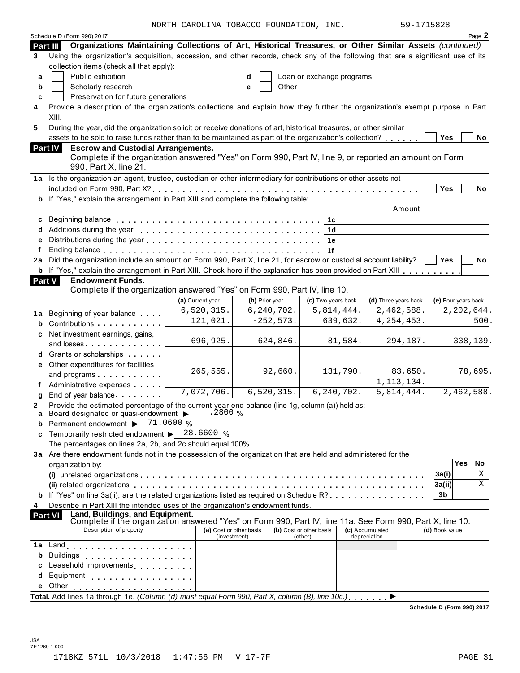NORTH CAROLINA TOBACCO FOUNDATION, INC. 59-1719

| 59-1715828 |  |
|------------|--|
|------------|--|

|                | Schedule D (Form 990) 2017                                                                                                                           |                                         |                |                                    |                           |                                 | Page 2              |
|----------------|------------------------------------------------------------------------------------------------------------------------------------------------------|-----------------------------------------|----------------|------------------------------------|---------------------------|---------------------------------|---------------------|
| Part III       | Organizations Maintaining Collections of Art, Historical Treasures, or Other Similar Assets (continued)                                              |                                         |                |                                    |                           |                                 |                     |
| 3              | Using the organization's acquisition, accession, and other records, check any of the following that are a significant use of its                     |                                         |                |                                    |                           |                                 |                     |
|                | collection items (check all that apply):                                                                                                             |                                         |                |                                    |                           |                                 |                     |
| a              | Public exhibition                                                                                                                                    |                                         | d              |                                    | Loan or exchange programs |                                 |                     |
| b              | Scholarly research                                                                                                                                   |                                         | Other<br>е     |                                    |                           |                                 |                     |
| c              | Preservation for future generations                                                                                                                  |                                         |                |                                    |                           |                                 |                     |
| 4              | Provide a description of the organization's collections and explain how they further the organization's exempt purpose in Part                       |                                         |                |                                    |                           |                                 |                     |
| XIII.          |                                                                                                                                                      |                                         |                |                                    |                           |                                 |                     |
| 5              | During the year, did the organization solicit or receive donations of art, historical treasures, or other similar                                    |                                         |                |                                    |                           |                                 |                     |
|                | assets to be sold to raise funds rather than to be maintained as part of the organization's collection?                                              |                                         |                |                                    |                           |                                 | No<br>Yes           |
| <b>Part IV</b> | <b>Escrow and Custodial Arrangements.</b><br>Complete if the organization answered "Yes" on Form 990, Part IV, line 9, or reported an amount on Form |                                         |                |                                    |                           |                                 |                     |
|                | 990, Part X, line 21.                                                                                                                                |                                         |                |                                    |                           |                                 |                     |
|                | 1a Is the organization an agent, trustee, custodian or other intermediary for contributions or other assets not                                      |                                         |                |                                    |                           |                                 |                     |
|                |                                                                                                                                                      |                                         |                |                                    |                           |                                 | <b>Yes</b><br>No    |
|                | b If "Yes," explain the arrangement in Part XIII and complete the following table:                                                                   |                                         |                |                                    |                           |                                 |                     |
|                |                                                                                                                                                      |                                         |                |                                    |                           | Amount                          |                     |
| c              |                                                                                                                                                      |                                         |                |                                    | 1c                        |                                 |                     |
|                |                                                                                                                                                      |                                         |                |                                    | 1 <sub>d</sub>            |                                 |                     |
| е              |                                                                                                                                                      |                                         |                |                                    | 1е                        |                                 |                     |
| f              |                                                                                                                                                      |                                         |                |                                    | 1f                        |                                 |                     |
|                | 2a Did the organization include an amount on Form 990, Part X, line 21, for escrow or custodial account liability?                                   |                                         |                |                                    |                           |                                 | Yes<br>No           |
|                | <b>b</b> If "Yes," explain the arrangement in Part XIII. Check here if the explanation has been provided on Part XIII                                |                                         |                |                                    |                           |                                 |                     |
| <b>Part V</b>  | <b>Endowment Funds.</b>                                                                                                                              |                                         |                |                                    |                           |                                 |                     |
|                | Complete if the organization answered "Yes" on Form 990, Part IV, line 10.                                                                           |                                         |                |                                    |                           |                                 |                     |
|                |                                                                                                                                                      | (a) Current year                        | (b) Prior year |                                    | (c) Two years back        | (d) Three years back            | (e) Four years back |
|                | 1a Beginning of year balance                                                                                                                         | 6,520,315.                              | 6,240,702.     |                                    | 5,814,444.                | 2,462,588.                      | 2,202,644.          |
| b              | Contributions                                                                                                                                        | 121,021.                                | $-252,573.$    |                                    | 639,632.                  | 4, 254, 453.                    | 500.                |
|                | <b>c</b> Net investment earnings, gains,                                                                                                             |                                         |                |                                    |                           |                                 |                     |
|                | and losses                                                                                                                                           | 696,925.                                | 624,846.       |                                    | $-81,584.$                | 294,187.                        | 338,139.            |
|                | d Grants or scholarships                                                                                                                             |                                         |                |                                    |                           |                                 |                     |
|                | e Other expenditures for facilities                                                                                                                  |                                         |                |                                    |                           |                                 |                     |
|                | and programs                                                                                                                                         | 265,555.                                | 92,660.        |                                    | 131,790.                  | 83,650.                         | 78,695.             |
|                | f Administrative expenses                                                                                                                            |                                         |                |                                    |                           | 1, 113, 134.                    |                     |
| g              | End of year balance entitled to the set of the set of the set of the set of the set of the set of the set of the                                     | 7,072,706.                              | 6,520,315.     |                                    | 6, 240, 702.              | 5,814,444.                      | 2,462,588.          |
|                | Provide the estimated percentage of the current year end balance (line 1g, column (a)) held as:                                                      |                                         |                |                                    |                           |                                 |                     |
| a              | Board designated or quasi-endowment ▶                                                                                                                | .2800%                                  |                |                                    |                           |                                 |                     |
| b              | Permanent endowment > 71.0600 %                                                                                                                      |                                         |                |                                    |                           |                                 |                     |
| c              | Temporarily restricted endowment ▶ 28.6600 %                                                                                                         |                                         |                |                                    |                           |                                 |                     |
|                | The percentages on lines 2a, 2b, and 2c should equal 100%.                                                                                           |                                         |                |                                    |                           |                                 |                     |
|                | 3a Are there endowment funds not in the possession of the organization that are held and administered for the                                        |                                         |                |                                    |                           |                                 |                     |
|                | organization by:                                                                                                                                     |                                         |                |                                    |                           |                                 | <b>Yes</b><br>No    |
|                |                                                                                                                                                      |                                         |                |                                    |                           |                                 | Χ<br>3a(i)          |
|                |                                                                                                                                                      |                                         |                |                                    |                           |                                 | X<br>3a(ii)         |
|                | If "Yes" on line 3a(ii), are the related organizations listed as required on Schedule R?                                                             |                                         |                |                                    |                           |                                 | 3b                  |
| 4              | Describe in Part XIII the intended uses of the organization's endowment funds.                                                                       |                                         |                |                                    |                           |                                 |                     |
| <b>Part VI</b> | Land, Buildings, and Equipment.<br>Complete if the organization answered "Yes" on Form 990, Part IV, line 11a. See Form 990, Part X, line 10.        |                                         |                |                                    |                           |                                 |                     |
|                | Description of property                                                                                                                              | (a) Cost or other basis<br>(investment) |                | (b) Cost or other basis<br>(other) |                           | (c) Accumulated<br>depreciation | (d) Book value      |
| 1a             |                                                                                                                                                      |                                         |                |                                    |                           |                                 |                     |
| b              | Buildings                                                                                                                                            |                                         |                |                                    |                           |                                 |                     |
|                | Leasehold improvements [1, 1, 1, 1, 1, 1]                                                                                                            |                                         |                |                                    |                           |                                 |                     |
| d              | Equipment                                                                                                                                            |                                         |                |                                    |                           |                                 |                     |
| Other<br>е     |                                                                                                                                                      |                                         |                |                                    |                           |                                 |                     |
|                | Total. Add lines 1a through 1e. (Column (d) must equal Form 990, Part X, column (B), line 10c.)                                                      |                                         |                |                                    |                           |                                 |                     |
|                |                                                                                                                                                      |                                         |                |                                    |                           |                                 |                     |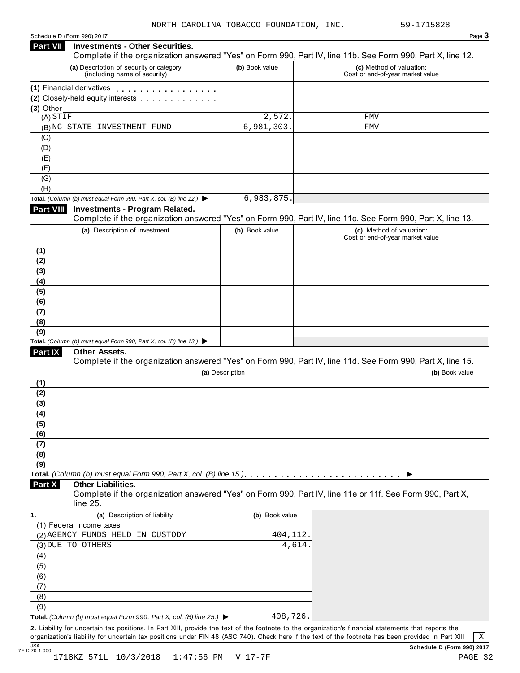| Schedule D (Form 990) 2017<br><b>Part VII</b><br><b>Investments - Other Securities.</b>                |                 | Page 3<br>Complete if the organization answered "Yes" on Form 990, Part IV, line 11b. See Form 990, Part X, line 12. |
|--------------------------------------------------------------------------------------------------------|-----------------|----------------------------------------------------------------------------------------------------------------------|
| (a) Description of security or category<br>(including name of security)                                | (b) Book value  | (c) Method of valuation:<br>Cost or end-of-year market value                                                         |
| (1) Financial derivatives                                                                              |                 |                                                                                                                      |
| (2) Closely-held equity interests                                                                      |                 |                                                                                                                      |
| (3) Other                                                                                              |                 |                                                                                                                      |
| (A) STIF                                                                                               | 2,572.          | FMV                                                                                                                  |
| (B) NC STATE INVESTMENT FUND                                                                           | 6,981,303.      | <b>FMV</b>                                                                                                           |
| (C)                                                                                                    |                 |                                                                                                                      |
| (D)                                                                                                    |                 |                                                                                                                      |
| (E)                                                                                                    |                 |                                                                                                                      |
| (F)<br>(G)                                                                                             |                 |                                                                                                                      |
| (H)                                                                                                    |                 |                                                                                                                      |
| Total. (Column (b) must equal Form 990, Part X, col. (B) line 12.) $\blacktriangleright$               | 6,983,875.      |                                                                                                                      |
| <b>Investments - Program Related.</b><br><b>Part VIII</b>                                              |                 |                                                                                                                      |
|                                                                                                        |                 | Complete if the organization answered "Yes" on Form 990, Part IV, line 11c. See Form 990, Part X, line 13.           |
| (a) Description of investment                                                                          | (b) Book value  | (c) Method of valuation:<br>Cost or end-of-year market value                                                         |
| (1)                                                                                                    |                 |                                                                                                                      |
| (2)                                                                                                    |                 |                                                                                                                      |
| (3)                                                                                                    |                 |                                                                                                                      |
| (4)                                                                                                    |                 |                                                                                                                      |
| (5)                                                                                                    |                 |                                                                                                                      |
| (6)                                                                                                    |                 |                                                                                                                      |
| (7)                                                                                                    |                 |                                                                                                                      |
| (8)                                                                                                    |                 |                                                                                                                      |
| (9)<br>Total. (Column (b) must equal Form 990, Part X, col. (B) line 13.) $\blacktriangleright$        |                 |                                                                                                                      |
| <b>Other Assets.</b><br><b>Part IX</b>                                                                 |                 |                                                                                                                      |
|                                                                                                        |                 | Complete if the organization answered "Yes" on Form 990, Part IV, line 11d. See Form 990, Part X, line 15.           |
|                                                                                                        | (a) Description | (b) Book value                                                                                                       |
| (1)                                                                                                    |                 |                                                                                                                      |
| (2)                                                                                                    |                 |                                                                                                                      |
| (3)                                                                                                    |                 |                                                                                                                      |
| (4)                                                                                                    |                 |                                                                                                                      |
| (5)                                                                                                    |                 |                                                                                                                      |
| (6)                                                                                                    |                 |                                                                                                                      |
| (7)                                                                                                    |                 |                                                                                                                      |
| (8)                                                                                                    |                 |                                                                                                                      |
| (9)                                                                                                    |                 |                                                                                                                      |
| <b>Other Liabilities.</b><br>Part X                                                                    |                 | Complete if the organization answered "Yes" on Form 990, Part IV, line 11e or 11f. See Form 990, Part X,             |
| line 25.                                                                                               |                 |                                                                                                                      |
| (a) Description of liability                                                                           | (b) Book value  |                                                                                                                      |
| (1) Federal income taxes                                                                               |                 |                                                                                                                      |
| (2) AGENCY FUNDS HELD IN CUSTODY                                                                       | 404,112.        |                                                                                                                      |
| (3) DUE TO OTHERS                                                                                      | 4,614           |                                                                                                                      |
| (4)                                                                                                    |                 |                                                                                                                      |
| (5)                                                                                                    |                 |                                                                                                                      |
| (6)                                                                                                    |                 |                                                                                                                      |
| (7)                                                                                                    |                 |                                                                                                                      |
|                                                                                                        |                 |                                                                                                                      |
|                                                                                                        |                 |                                                                                                                      |
| (8)<br>(9)<br>Total. (Column (b) must equal Form 990, Part X, col. (B) line 25.) $\blacktriangleright$ | 408,726.        |                                                                                                                      |

organization's liability for uncertain tax positions under FIN 48 (ASC 740). Check here if the text of the footnote has been provided in Part XIII<br>
Schedule D (Form 9)<br>
Schedule D (Form 9)

 $\boxed{\text{X}}$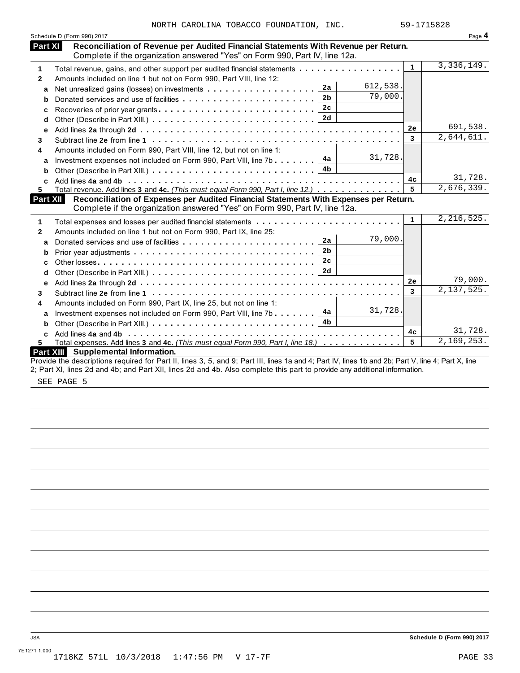| NORTH CAROLINA TOBACCO FOUNDATION, INC.                                                                                                                              |                |          | 59-1715828                                                                       |                                                                                                                                                                                                                                                                                  |
|----------------------------------------------------------------------------------------------------------------------------------------------------------------------|----------------|----------|----------------------------------------------------------------------------------|----------------------------------------------------------------------------------------------------------------------------------------------------------------------------------------------------------------------------------------------------------------------------------|
|                                                                                                                                                                      |                |          |                                                                                  | Page 4                                                                                                                                                                                                                                                                           |
| Reconciliation of Revenue per Audited Financial Statements With Revenue per Return.<br>Complete if the organization answered "Yes" on Form 990, Part IV, line 12a.   |                |          |                                                                                  |                                                                                                                                                                                                                                                                                  |
| Total revenue, gains, and other support per audited financial statements                                                                                             |                |          | $\mathbf{1}$                                                                     | 3,336,149.                                                                                                                                                                                                                                                                       |
| Amounts included on line 1 but not on Form 990, Part VIII, line 12:                                                                                                  |                |          |                                                                                  |                                                                                                                                                                                                                                                                                  |
|                                                                                                                                                                      | 2a             | 612,538. |                                                                                  |                                                                                                                                                                                                                                                                                  |
| Donated services and use of facilities                                                                                                                               | 2 <sub>b</sub> | 79,000.  |                                                                                  |                                                                                                                                                                                                                                                                                  |
|                                                                                                                                                                      | 2c             |          |                                                                                  |                                                                                                                                                                                                                                                                                  |
|                                                                                                                                                                      | 2d             |          |                                                                                  |                                                                                                                                                                                                                                                                                  |
|                                                                                                                                                                      |                |          | <b>2e</b>                                                                        | 691,538.                                                                                                                                                                                                                                                                         |
|                                                                                                                                                                      |                |          | 3                                                                                | 2,644,611.                                                                                                                                                                                                                                                                       |
| Amounts included on Form 990, Part VIII, line 12, but not on line 1:                                                                                                 |                |          |                                                                                  |                                                                                                                                                                                                                                                                                  |
| Investment expenses not included on Form 990, Part VIII, line 7b                                                                                                     | 4a             | 31,728.  |                                                                                  |                                                                                                                                                                                                                                                                                  |
|                                                                                                                                                                      | 4b.            |          |                                                                                  |                                                                                                                                                                                                                                                                                  |
|                                                                                                                                                                      |                |          | 4c                                                                               | 31,728.                                                                                                                                                                                                                                                                          |
| Total revenue. Add lines 3 and 4c. (This must equal Form 990, Part I, line 12.)                                                                                      |                |          | 5                                                                                | 2,676,339.                                                                                                                                                                                                                                                                       |
| Reconciliation of Expenses per Audited Financial Statements With Expenses per Return.<br>Complete if the organization answered "Yes" on Form 990, Part IV, line 12a. |                |          |                                                                                  |                                                                                                                                                                                                                                                                                  |
|                                                                                                                                                                      |                |          | $\blacktriangleleft$                                                             | 2, 216, 525.                                                                                                                                                                                                                                                                     |
| Amounts included on line 1 but not on Form 990, Part IX, line 25:                                                                                                    |                |          |                                                                                  |                                                                                                                                                                                                                                                                                  |
|                                                                                                                                                                      | 2a             | 79,000.  |                                                                                  |                                                                                                                                                                                                                                                                                  |
|                                                                                                                                                                      | 2 <sub>b</sub> |          |                                                                                  |                                                                                                                                                                                                                                                                                  |
|                                                                                                                                                                      | 2c             |          |                                                                                  |                                                                                                                                                                                                                                                                                  |
|                                                                                                                                                                      | 2d             |          |                                                                                  |                                                                                                                                                                                                                                                                                  |
|                                                                                                                                                                      |                |          | 2e                                                                               | 79,000.                                                                                                                                                                                                                                                                          |
|                                                                                                                                                                      |                |          | 3                                                                                | 2, 137, 525.                                                                                                                                                                                                                                                                     |
| Amounts included on Form 990, Part IX, line 25, but not on line 1:                                                                                                   |                |          |                                                                                  |                                                                                                                                                                                                                                                                                  |
| Investment expenses not included on Form 990, Part VIII, line 7b                                                                                                     | 4a             | 31,728.  |                                                                                  |                                                                                                                                                                                                                                                                                  |
|                                                                                                                                                                      | 4 <sub>b</sub> |          |                                                                                  |                                                                                                                                                                                                                                                                                  |
|                                                                                                                                                                      |                |          | 4c                                                                               | 31,728.                                                                                                                                                                                                                                                                          |
|                                                                                                                                                                      |                |          | 5                                                                                | 2,169,253.                                                                                                                                                                                                                                                                       |
|                                                                                                                                                                      |                |          |                                                                                  |                                                                                                                                                                                                                                                                                  |
|                                                                                                                                                                      |                |          | Total expenses. Add lines 3 and 4c. (This must equal Form 990, Part I, line 18.) | Provide the descriptions required for Part II, lines 3, 5, and 9; Part III, lines 1a and 4; Part IV, lines 1b and 2b; Part V, line 4; Part X, line<br>2; Part XI, lines 2d and 4b; and Part XII, lines 2d and 4b. Also complete this part to provide any additional information. |

SEE PAGE 5

JSA **Schedule D (Form 990) 2017**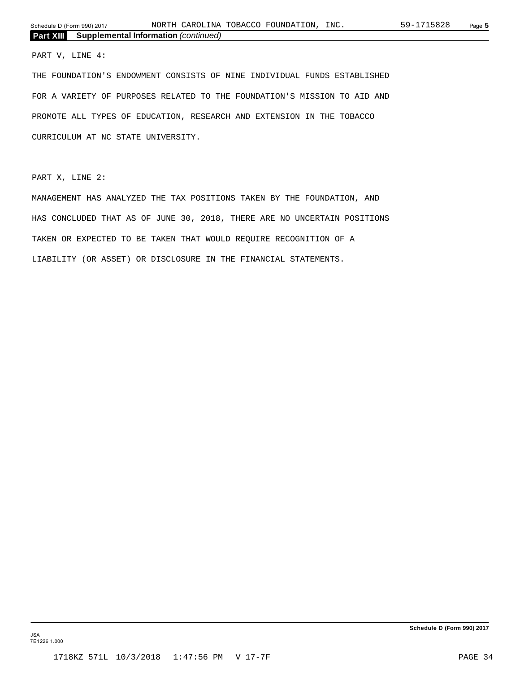#### PART V, LINE 4:

THE FOUNDATION'S ENDOWMENT CONSISTS OF NINE INDIVIDUAL FUNDS ESTABLISHED FOR A VARIETY OF PURPOSES RELATED TO THE FOUNDATION'S MISSION TO AID AND PROMOTE ALL TYPES OF EDUCATION, RESEARCH AND EXTENSION IN THE TOBACCO CURRICULUM AT NC STATE UNIVERSITY.

PART X, LINE 2:

MANAGEMENT HAS ANALYZED THE TAX POSITIONS TAKEN BY THE FOUNDATION, AND HAS CONCLUDED THAT AS OF JUNE 30, 2018, THERE ARE NO UNCERTAIN POSITIONS TAKEN OR EXPECTED TO BE TAKEN THAT WOULD REQUIRE RECOGNITION OF A LIABILITY (OR ASSET) OR DISCLOSURE IN THE FINANCIAL STATEMENTS.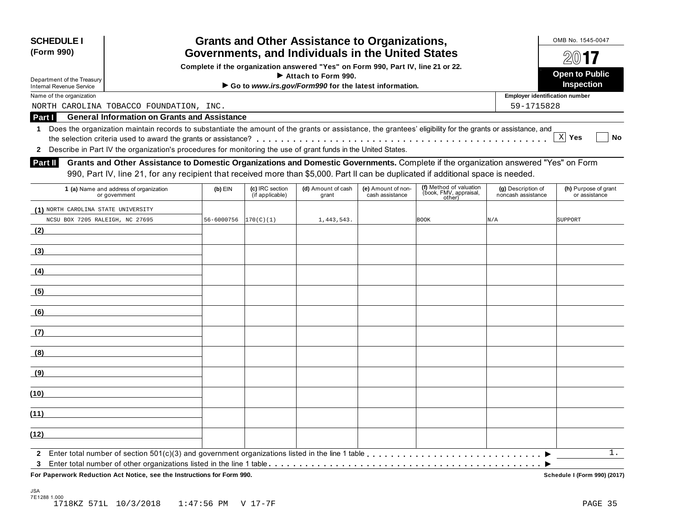| Department of the Treasury                           |                                                                                                                                                                                                                                                                           |            |                                    | Governments, and Individuals in the United States                                | <b>Grants and Other Assistance to Organizations,</b> |                                                             |                                          | OMB No. 1545-0047                          |
|------------------------------------------------------|---------------------------------------------------------------------------------------------------------------------------------------------------------------------------------------------------------------------------------------------------------------------------|------------|------------------------------------|----------------------------------------------------------------------------------|------------------------------------------------------|-------------------------------------------------------------|------------------------------------------|--------------------------------------------|
|                                                      |                                                                                                                                                                                                                                                                           |            |                                    | Complete if the organization answered "Yes" on Form 990, Part IV, line 21 or 22. |                                                      |                                                             |                                          |                                            |
|                                                      |                                                                                                                                                                                                                                                                           |            |                                    | Attach to Form 990.                                                              |                                                      |                                                             |                                          | <b>Open to Public</b><br><b>Inspection</b> |
| Internal Revenue Service<br>Name of the organization |                                                                                                                                                                                                                                                                           |            |                                    | Go to www.irs.gov/Form990 for the latest information.                            |                                                      |                                                             | <b>Employer identification number</b>    |                                            |
|                                                      | NORTH CAROLINA TOBACCO FOUNDATION, INC.                                                                                                                                                                                                                                   |            |                                    |                                                                                  |                                                      |                                                             | 59-1715828                               |                                            |
| Part I                                               | <b>General Information on Grants and Assistance</b>                                                                                                                                                                                                                       |            |                                    |                                                                                  |                                                      |                                                             |                                          |                                            |
| 1                                                    | Does the organization maintain records to substantiate the amount of the grants or assistance, the grantees' eligibility for the grants or assistance, and                                                                                                                |            |                                    |                                                                                  |                                                      |                                                             |                                          |                                            |
|                                                      |                                                                                                                                                                                                                                                                           |            |                                    |                                                                                  |                                                      |                                                             |                                          | X Yes<br>No                                |
| $\mathbf{2}$                                         | Describe in Part IV the organization's procedures for monitoring the use of grant funds in the United States.                                                                                                                                                             |            |                                    |                                                                                  |                                                      |                                                             |                                          |                                            |
| Part II                                              | Grants and Other Assistance to Domestic Organizations and Domestic Governments. Complete if the organization answered "Yes" on Form<br>990, Part IV, line 21, for any recipient that received more than \$5,000. Part II can be duplicated if additional space is needed. |            |                                    |                                                                                  |                                                      |                                                             |                                          |                                            |
|                                                      | 1 (a) Name and address of organization<br>or government                                                                                                                                                                                                                   | $(b)$ EIN  | (c) IRC section<br>(if applicable) | (d) Amount of cash<br>grant                                                      | (e) Amount of non-<br>cash assistance                | (f) Method of valuation<br>(book, FMV, appraisal,<br>other) | (g) Description of<br>noncash assistance | (h) Purpose of grant<br>or assistance      |
| (1) NORTH CAROLINA STATE UNIVERSITY                  |                                                                                                                                                                                                                                                                           |            |                                    |                                                                                  |                                                      |                                                             |                                          |                                            |
| NCSU BOX 7205 RALEIGH, NC 27695                      |                                                                                                                                                                                                                                                                           | 56-6000756 | 170(C)(1)                          | 1,443,543.                                                                       |                                                      | <b>BOOK</b>                                                 | N/A                                      | SUPPORT                                    |
| (2)                                                  |                                                                                                                                                                                                                                                                           |            |                                    |                                                                                  |                                                      |                                                             |                                          |                                            |
| (3)                                                  |                                                                                                                                                                                                                                                                           |            |                                    |                                                                                  |                                                      |                                                             |                                          |                                            |
| (4)                                                  |                                                                                                                                                                                                                                                                           |            |                                    |                                                                                  |                                                      |                                                             |                                          |                                            |
| (5)                                                  |                                                                                                                                                                                                                                                                           |            |                                    |                                                                                  |                                                      |                                                             |                                          |                                            |
| (6)                                                  |                                                                                                                                                                                                                                                                           |            |                                    |                                                                                  |                                                      |                                                             |                                          |                                            |
| (7)                                                  |                                                                                                                                                                                                                                                                           |            |                                    |                                                                                  |                                                      |                                                             |                                          |                                            |
| (8)                                                  |                                                                                                                                                                                                                                                                           |            |                                    |                                                                                  |                                                      |                                                             |                                          |                                            |
| (9)                                                  |                                                                                                                                                                                                                                                                           |            |                                    |                                                                                  |                                                      |                                                             |                                          |                                            |
| (10)                                                 |                                                                                                                                                                                                                                                                           |            |                                    |                                                                                  |                                                      |                                                             |                                          |                                            |
| (11)                                                 |                                                                                                                                                                                                                                                                           |            |                                    |                                                                                  |                                                      |                                                             |                                          |                                            |
| (12)                                                 |                                                                                                                                                                                                                                                                           |            |                                    |                                                                                  |                                                      |                                                             |                                          |                                            |
| 2<br>3                                               |                                                                                                                                                                                                                                                                           |            |                                    |                                                                                  |                                                      |                                                             |                                          | $1$ .                                      |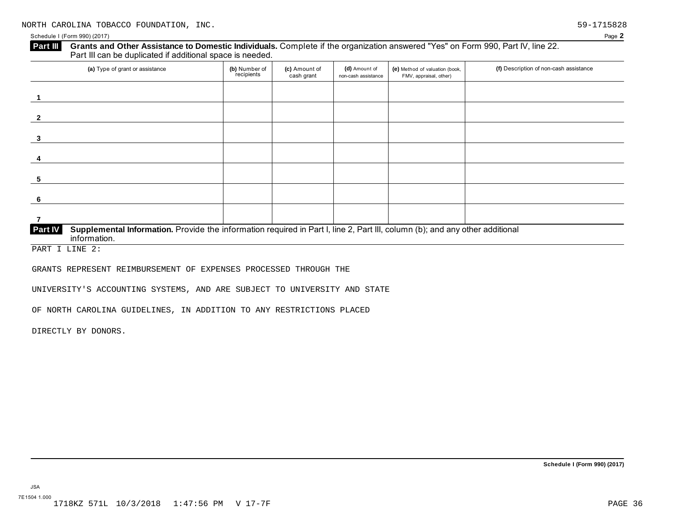#### **Grants and Other Assistance to Domestic Individuals.** Complete if the organization answered "Yes" on Form 990, Part IV, line 22. Part III can be duplicated if additional space is needed. **Part III**

| (a) Type of grant or assistance                                                                                                                         | (b) Number of<br>recipients | (c) Amount of<br>cash grant | (d) Amount of<br>non-cash assistance | (e) Method of valuation (book,<br>FMV, appraisal, other) | (f) Description of non-cash assistance |  |  |  |  |
|---------------------------------------------------------------------------------------------------------------------------------------------------------|-----------------------------|-----------------------------|--------------------------------------|----------------------------------------------------------|----------------------------------------|--|--|--|--|
|                                                                                                                                                         |                             |                             |                                      |                                                          |                                        |  |  |  |  |
| $\overline{2}$                                                                                                                                          |                             |                             |                                      |                                                          |                                        |  |  |  |  |
| 3                                                                                                                                                       |                             |                             |                                      |                                                          |                                        |  |  |  |  |
| 4                                                                                                                                                       |                             |                             |                                      |                                                          |                                        |  |  |  |  |
| -5                                                                                                                                                      |                             |                             |                                      |                                                          |                                        |  |  |  |  |
| -6                                                                                                                                                      |                             |                             |                                      |                                                          |                                        |  |  |  |  |
|                                                                                                                                                         |                             |                             |                                      |                                                          |                                        |  |  |  |  |
| Supplemental Information. Provide the information required in Part I, line 2, Part III, column (b); and any other additional<br>Part IV<br>information. |                             |                             |                                      |                                                          |                                        |  |  |  |  |

PART I LINE 2:

GRANTS REPRESENT REIMBURSEMENT OF EXPENSES PROCESSED THROUGH THE

UNIVERSITY'S ACCOUNTING SYSTEMS, AND ARE SUBJECT TO UNIVERSITY AND STATE

OF NORTH CAROLINA GUIDELINES, IN ADDITION TO ANY RESTRICTIONS PLACED

DIRECTLY BY DONORS.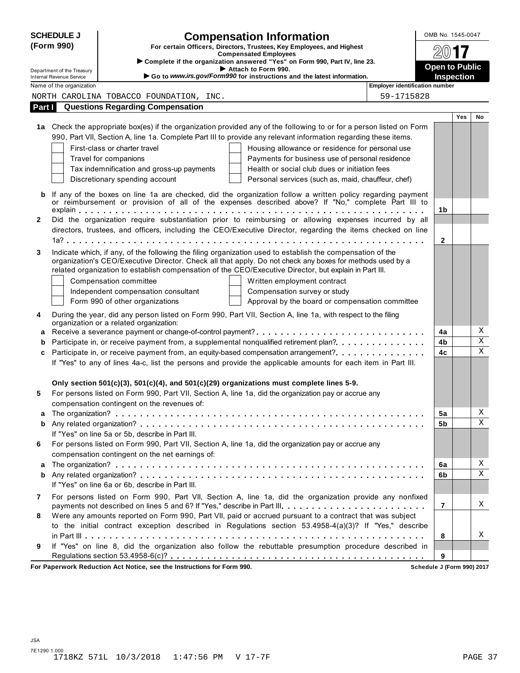|              | <b>SCHEDULE J</b><br>(Form 990)                                                                            |                                                                                                                                                                                                                         | <b>Compensation Information</b><br>For certain Officers, Directors, Trustees, Key Employees, and Highest |                                       | OMB No. 1545-0047          |            |                         |  |  |
|--------------|------------------------------------------------------------------------------------------------------------|-------------------------------------------------------------------------------------------------------------------------------------------------------------------------------------------------------------------------|----------------------------------------------------------------------------------------------------------|---------------------------------------|----------------------------|------------|-------------------------|--|--|
|              | <b>Compensated Employees</b><br>Complete if the organization answered "Yes" on Form 990, Part IV, line 23. |                                                                                                                                                                                                                         |                                                                                                          |                                       |                            |            |                         |  |  |
|              | Department of the Treasury                                                                                 |                                                                                                                                                                                                                         | Attach to Form 990.                                                                                      |                                       | <b>Open to Public</b>      |            |                         |  |  |
|              | Internal Revenue Service                                                                                   |                                                                                                                                                                                                                         | Go to www.irs.gov/Form990 for instructions and the latest information.                                   |                                       | <b>Inspection</b>          |            |                         |  |  |
|              | Name of the organization                                                                                   |                                                                                                                                                                                                                         |                                                                                                          | <b>Employer identification number</b> |                            |            |                         |  |  |
|              |                                                                                                            | NORTH CAROLINA TOBACCO FOUNDATION, INC.                                                                                                                                                                                 |                                                                                                          | 59-1715828                            |                            |            |                         |  |  |
| Part I       |                                                                                                            | <b>Questions Regarding Compensation</b>                                                                                                                                                                                 |                                                                                                          |                                       |                            |            |                         |  |  |
|              |                                                                                                            | 1a Check the appropriate box(es) if the organization provided any of the following to or for a person listed on Form                                                                                                    |                                                                                                          |                                       |                            | <b>Yes</b> | No                      |  |  |
|              |                                                                                                            | 990, Part VII, Section A, line 1a. Complete Part III to provide any relevant information regarding these items.                                                                                                         |                                                                                                          |                                       |                            |            |                         |  |  |
|              |                                                                                                            |                                                                                                                                                                                                                         |                                                                                                          |                                       |                            |            |                         |  |  |
|              |                                                                                                            | First-class or charter travel                                                                                                                                                                                           | Housing allowance or residence for personal use                                                          |                                       |                            |            |                         |  |  |
|              |                                                                                                            | Travel for companions                                                                                                                                                                                                   | Payments for business use of personal residence<br>Health or social club dues or initiation fees         |                                       |                            |            |                         |  |  |
|              |                                                                                                            | Tax indemnification and gross-up payments                                                                                                                                                                               |                                                                                                          |                                       |                            |            |                         |  |  |
|              |                                                                                                            | Discretionary spending account                                                                                                                                                                                          | Personal services (such as, maid, chauffeur, chef)                                                       |                                       |                            |            |                         |  |  |
| b            |                                                                                                            | If any of the boxes on line 1a are checked, did the organization follow a written policy regarding payment<br>or reimbursement or provision of all of the expenses described above? If "No," complete Part III to       |                                                                                                          |                                       |                            |            |                         |  |  |
|              |                                                                                                            |                                                                                                                                                                                                                         |                                                                                                          |                                       | 1 <sub>b</sub>             |            |                         |  |  |
| $\mathbf{2}$ |                                                                                                            | Did the organization require substantiation prior to reimbursing or allowing expenses incurred by all<br>directors, trustees, and officers, including the CEO/Executive Director, regarding the items checked on line   |                                                                                                          |                                       |                            |            |                         |  |  |
|              |                                                                                                            |                                                                                                                                                                                                                         |                                                                                                          |                                       | $\mathbf{2}$               |            |                         |  |  |
|              |                                                                                                            |                                                                                                                                                                                                                         |                                                                                                          |                                       |                            |            |                         |  |  |
| 3            |                                                                                                            | Indicate which, if any, of the following the filing organization used to establish the compensation of the<br>organization's CEO/Executive Director. Check all that apply. Do not check any boxes for methods used by a |                                                                                                          |                                       |                            |            |                         |  |  |
|              |                                                                                                            | related organization to establish compensation of the CEO/Executive Director, but explain in Part III.                                                                                                                  |                                                                                                          |                                       |                            |            |                         |  |  |
|              |                                                                                                            | Compensation committee                                                                                                                                                                                                  | Written employment contract                                                                              |                                       |                            |            |                         |  |  |
|              |                                                                                                            | Independent compensation consultant                                                                                                                                                                                     | Compensation survey or study                                                                             |                                       |                            |            |                         |  |  |
|              |                                                                                                            | Form 990 of other organizations                                                                                                                                                                                         | Approval by the board or compensation committee                                                          |                                       |                            |            |                         |  |  |
|              |                                                                                                            |                                                                                                                                                                                                                         |                                                                                                          |                                       |                            |            |                         |  |  |
| 4            |                                                                                                            | During the year, did any person listed on Form 990, Part VII, Section A, line 1a, with respect to the filing<br>organization or a related organization:                                                                 |                                                                                                          |                                       |                            |            |                         |  |  |
| a            |                                                                                                            |                                                                                                                                                                                                                         |                                                                                                          |                                       | 4a                         |            | Χ                       |  |  |
| b            |                                                                                                            | Participate in, or receive payment from, a supplemental nonqualified retirement plan?                                                                                                                                   |                                                                                                          |                                       | 4b                         |            | $\overline{\mathbf{x}}$ |  |  |
| c            |                                                                                                            | Participate in, or receive payment from, an equity-based compensation arrangement?                                                                                                                                      |                                                                                                          |                                       | 4c                         |            | $\mathbf{X}$            |  |  |
|              |                                                                                                            | If "Yes" to any of lines 4a-c, list the persons and provide the applicable amounts for each item in Part III.                                                                                                           |                                                                                                          |                                       |                            |            |                         |  |  |
|              |                                                                                                            | Only section 501(c)(3), 501(c)(4), and 501(c)(29) organizations must complete lines 5-9.                                                                                                                                |                                                                                                          |                                       |                            |            |                         |  |  |
| 5            |                                                                                                            | For persons listed on Form 990, Part VII, Section A, line 1a, did the organization pay or accrue any                                                                                                                    |                                                                                                          |                                       |                            |            |                         |  |  |
|              |                                                                                                            | compensation contingent on the revenues of:                                                                                                                                                                             |                                                                                                          |                                       |                            |            |                         |  |  |
| а            |                                                                                                            |                                                                                                                                                                                                                         |                                                                                                          |                                       | 5a                         |            | Χ                       |  |  |
| b            |                                                                                                            |                                                                                                                                                                                                                         |                                                                                                          |                                       | 5b                         |            | Χ                       |  |  |
|              |                                                                                                            | If "Yes" on line 5a or 5b, describe in Part III.                                                                                                                                                                        |                                                                                                          |                                       |                            |            |                         |  |  |
| 6            |                                                                                                            | For persons listed on Form 990, Part VII, Section A, line 1a, did the organization pay or accrue any                                                                                                                    |                                                                                                          |                                       |                            |            |                         |  |  |
|              |                                                                                                            | compensation contingent on the net earnings of:                                                                                                                                                                         |                                                                                                          |                                       |                            |            |                         |  |  |
| а            |                                                                                                            |                                                                                                                                                                                                                         |                                                                                                          |                                       | 6a                         |            | Χ                       |  |  |
| b            |                                                                                                            |                                                                                                                                                                                                                         |                                                                                                          |                                       | 6b                         |            | Χ                       |  |  |
|              |                                                                                                            | If "Yes" on line 6a or 6b, describe in Part III.                                                                                                                                                                        |                                                                                                          |                                       |                            |            |                         |  |  |
| 7            |                                                                                                            | For persons listed on Form 990, Part VII, Section A, line 1a, did the organization provide any nonfixed                                                                                                                 |                                                                                                          |                                       |                            |            |                         |  |  |
|              |                                                                                                            | payments not described on lines 5 and 6? If "Yes," describe in Part III.                                                                                                                                                |                                                                                                          |                                       | 7                          |            | X                       |  |  |
| 8            |                                                                                                            | Were any amounts reported on Form 990, Part VII, paid or accrued pursuant to a contract that was subject                                                                                                                |                                                                                                          |                                       |                            |            |                         |  |  |
|              |                                                                                                            | to the initial contract exception described in Regulations section 53.4958-4(a)(3)? If "Yes," describe                                                                                                                  |                                                                                                          |                                       |                            |            |                         |  |  |
|              |                                                                                                            |                                                                                                                                                                                                                         |                                                                                                          |                                       | 8                          |            | Χ                       |  |  |
| 9            |                                                                                                            | If "Yes" on line 8, did the organization also follow the rebuttable presumption procedure described in                                                                                                                  |                                                                                                          |                                       |                            |            |                         |  |  |
|              |                                                                                                            |                                                                                                                                                                                                                         |                                                                                                          |                                       | 9                          |            |                         |  |  |
|              |                                                                                                            | For Paperwork Reduction Act Notice, see the Instructions for Form 990.                                                                                                                                                  |                                                                                                          |                                       | Schedule J (Form 990) 2017 |            |                         |  |  |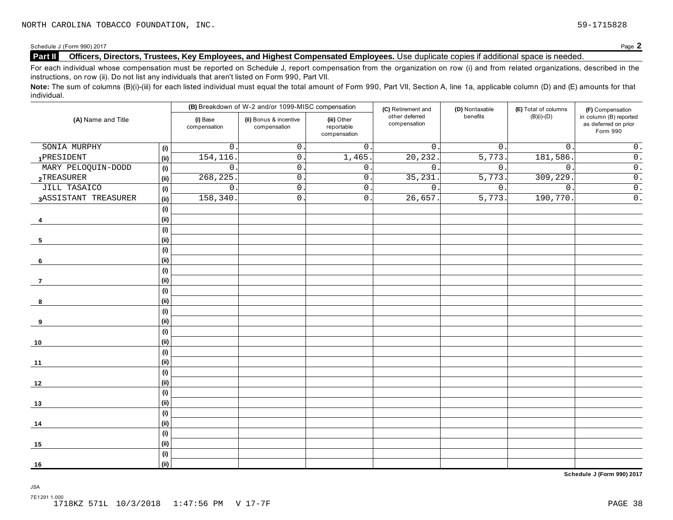#### **Part II** Officers, Directors, Trustees, Key Employees, and Highest Compensated Employees. Use duplicate copies if additional space is needed.

For each individual whose compensation must be reported on Schedule J, report compensation from the organization on row (i) and from related organizations, described in the instructions, on row (ii). Do not list any individuals that aren't listed on Form 990, Part VII.

Note: The sum of columns (B)(i)-(iii) for each listed individual must equal the total amount of Form 990, Part VII, Section A, line 1a, applicable column (D) and (E) amounts for that individual.

| (A) Name and Title   |                              |                          | (B) Breakdown of W-2 and/or 1099-MISC compensation |                                           | (C) Retirement and             | (D) Nontaxable   | (E) Total of columns | (F) Compensation                                           |
|----------------------|------------------------------|--------------------------|----------------------------------------------------|-------------------------------------------|--------------------------------|------------------|----------------------|------------------------------------------------------------|
|                      |                              | (i) Base<br>compensation | (ii) Bonus & incentive<br>compensation             | (iii) Other<br>reportable<br>compensation | other deferred<br>compensation | benefits         | $(B)(i)-(D)$         | in column (B) reported<br>as deferred on prior<br>Form 990 |
| SONIA MURPHY         | (i)                          | $\overline{0}$           | $\mathsf{O}\xspace$                                | $\mathsf{0}$ .                            | $\overline{0}$ .               | $\overline{0}$ . | $\mathsf{0}$ .       | $\overline{0}$ .                                           |
| 1PRESIDENT           | (i)                          | 154, 116                 | 0.                                                 | 1,465.                                    | 20, 232.                       | 5,773.           | 181,586.             | $\overline{0}$ .                                           |
| MARY PELOQUIN-DODD   | (i)                          | $\mathsf{O}$             | $\mathbf{0}$                                       | $\mathbf 0$ .                             | $\overline{0}$ .               | $\overline{0}$ . | $\mathbf{0}$         | $\overline{0}$ .                                           |
| 2TREASURER           | (i)                          | 268, 225                 | $0$ .                                              | $\mathsf{0}$ .                            | 35,231                         | 5,773.           | 309,229              | $\overline{0}$ .                                           |
| <b>JILL TASAICO</b>  | (i)                          | $\overline{0}$           | $\mathsf{O}$ .                                     | $\mathbf 0$ .                             | $\overline{0}$ .               | 0.               | $\mathbf 0$ .        | $\overline{0}$ .                                           |
| 3ASSISTANT TREASURER | (i)                          | 158,340                  | $\mathsf{O}$ .                                     | $\mathsf{0}$ .                            | 26,657.                        | 5,773.           | 190,770.             | $\overline{0}$ .                                           |
|                      | (i)                          |                          |                                                    |                                           |                                |                  |                      |                                                            |
| 4                    | (i)                          |                          |                                                    |                                           |                                |                  |                      |                                                            |
|                      | (i)                          |                          |                                                    |                                           |                                |                  |                      |                                                            |
| 5                    | (ii)                         |                          |                                                    |                                           |                                |                  |                      |                                                            |
|                      | $\qquad \qquad \textbf{(i)}$ |                          |                                                    |                                           |                                |                  |                      |                                                            |
| 6                    | (i)                          |                          |                                                    |                                           |                                |                  |                      |                                                            |
|                      | (i)                          |                          |                                                    |                                           |                                |                  |                      |                                                            |
| 7                    | (i)                          |                          |                                                    |                                           |                                |                  |                      |                                                            |
|                      | (i)                          |                          |                                                    |                                           |                                |                  |                      |                                                            |
| 8                    | (i)                          |                          |                                                    |                                           |                                |                  |                      |                                                            |
|                      | (i)                          |                          |                                                    |                                           |                                |                  |                      |                                                            |
| 9                    | (i)                          |                          |                                                    |                                           |                                |                  |                      |                                                            |
|                      | (i)                          |                          |                                                    |                                           |                                |                  |                      |                                                            |
| 10                   | (i)                          |                          |                                                    |                                           |                                |                  |                      |                                                            |
|                      | (i)                          |                          |                                                    |                                           |                                |                  |                      |                                                            |
| 11                   | (i)                          |                          |                                                    |                                           |                                |                  |                      |                                                            |
|                      | (i)                          |                          |                                                    |                                           |                                |                  |                      |                                                            |
| 12                   | (i)                          |                          |                                                    |                                           |                                |                  |                      |                                                            |
|                      | (i)                          |                          |                                                    |                                           |                                |                  |                      |                                                            |
| 13                   | (ii)                         |                          |                                                    |                                           |                                |                  |                      |                                                            |
|                      | (i)                          |                          |                                                    |                                           |                                |                  |                      |                                                            |
| 14                   | (i)                          |                          |                                                    |                                           |                                |                  |                      |                                                            |
|                      | (i)                          |                          |                                                    |                                           |                                |                  |                      |                                                            |
| 15                   | (i)                          |                          |                                                    |                                           |                                |                  |                      |                                                            |
|                      | (i)                          |                          |                                                    |                                           |                                |                  |                      |                                                            |
| 16                   | (ii)                         |                          |                                                    |                                           |                                |                  |                      |                                                            |

**Schedule J (Form 990) 2017**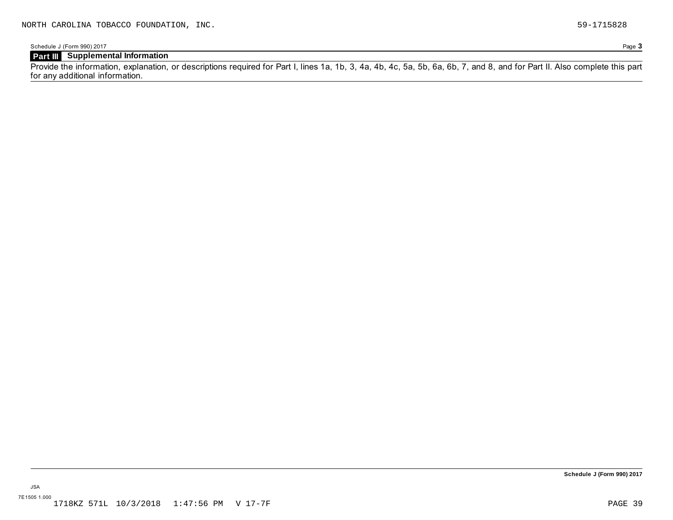Schedule J (Form 990) 2017 Page **3**

### **Part III Supplemental Information**

Provide the information, explanation, or descriptions required for Part I, lines 1a, 1b, 3, 4a, 4b, 4c, 5a, 5b, 6a, 6b, 7, and 8, and for Part II. Also complete this part for any additional information.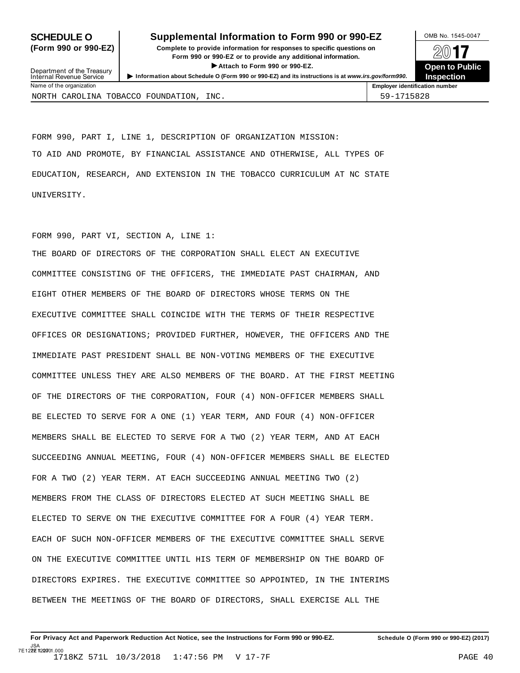#### **SCHEDULE O** Supplemental Information to Form 990 or 990-EZ MB No. 1545-0047

**(Form 990 or 990-EZ) Complete to provide information for responses to specific questions on** Form 990 or 990-EZ or to provide any additional information. ▶ Attach to Form 990 or 990-EZ. **Discrimination of Public Contract of Public and Attach to Public and Attachment of Public and Attachment of Public and Attachment of Public and Attachment of Public and Attachment of Publi** 



| Department of the Treasury<br>Internal Revenue Service | <b>PALLAGE LOT FOLLED 330 OF 330-EZ.</b><br>Latiormation about Schedule O (Form 990 or 990-EZ) and its instructions is at www.irs.gov/form990. | <b>Open to Publi</b><br><b>Inspection</b> |
|--------------------------------------------------------|------------------------------------------------------------------------------------------------------------------------------------------------|-------------------------------------------|
| Name of the organization                               |                                                                                                                                                | <b>Employer identification number</b>     |
|                                                        | NORTH CAROLINA TOBACCO FOUNDATION, INC.                                                                                                        | 59-1715828                                |

FORM 990, PART I, LINE 1, DESCRIPTION OF ORGANIZATION MISSION: TO AID AND PROMOTE, BY FINANCIAL ASSISTANCE AND OTHERWISE, ALL TYPES OF EDUCATION, RESEARCH, AND EXTENSION IN THE TOBACCO CURRICULUM AT NC STATE UNIVERSITY.

#### FORM 990, PART VI, SECTION A, LINE 1:

THE BOARD OF DIRECTORS OF THE CORPORATION SHALL ELECT AN EXECUTIVE COMMITTEE CONSISTING OF THE OFFICERS, THE IMMEDIATE PAST CHAIRMAN, AND EIGHT OTHER MEMBERS OF THE BOARD OF DIRECTORS WHOSE TERMS ON THE EXECUTIVE COMMITTEE SHALL COINCIDE WITH THE TERMS OF THEIR RESPECTIVE OFFICES OR DESIGNATIONS; PROVIDED FURTHER, HOWEVER, THE OFFICERS AND THE IMMEDIATE PAST PRESIDENT SHALL BE NON-VOTING MEMBERS OF THE EXECUTIVE COMMITTEE UNLESS THEY ARE ALSO MEMBERS OF THE BOARD. AT THE FIRST MEETING OF THE DIRECTORS OF THE CORPORATION, FOUR (4) NON-OFFICER MEMBERS SHALL BE ELECTED TO SERVE FOR A ONE (1) YEAR TERM, AND FOUR (4) NON-OFFICER MEMBERS SHALL BE ELECTED TO SERVE FOR A TWO (2) YEAR TERM, AND AT EACH SUCCEEDING ANNUAL MEETING, FOUR (4) NON-OFFICER MEMBERS SHALL BE ELECTED FOR A TWO (2) YEAR TERM. AT EACH SUCCEEDING ANNUAL MEETING TWO (2) MEMBERS FROM THE CLASS OF DIRECTORS ELECTED AT SUCH MEETING SHALL BE ELECTED TO SERVE ON THE EXECUTIVE COMMITTEE FOR A FOUR (4) YEAR TERM. EACH OF SUCH NON-OFFICER MEMBERS OF THE EXECUTIVE COMMITTEE SHALL SERVE ON THE EXECUTIVE COMMITTEE UNTIL HIS TERM OF MEMBERSHIP ON THE BOARD OF DIRECTORS EXPIRES. THE EXECUTIVE COMMITTEE SO APPOINTED, IN THE INTERIMS BETWEEN THE MEETINGS OF THE BOARD OF DIRECTORS, SHALL EXERCISE ALL THE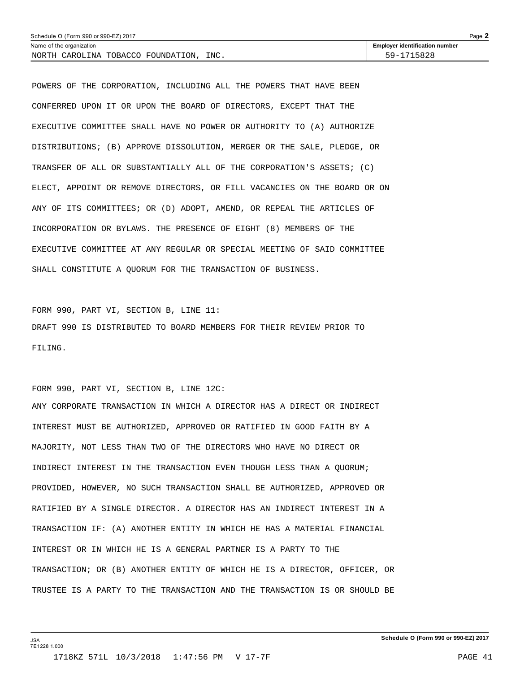| Schedule O (Form 990 or 990-EZ) 2017       |                                       |  |
|--------------------------------------------|---------------------------------------|--|
| Name of the organization                   | <b>Employer identification number</b> |  |
| INC.<br>NORTH CAROLINA TOBACCO FOUNDATION. | 59-1715828                            |  |

POWERS OF THE CORPORATION, INCLUDING ALL THE POWERS THAT HAVE BEEN CONFERRED UPON IT OR UPON THE BOARD OF DIRECTORS, EXCEPT THAT THE EXECUTIVE COMMITTEE SHALL HAVE NO POWER OR AUTHORITY TO (A) AUTHORIZE DISTRIBUTIONS; (B) APPROVE DISSOLUTION, MERGER OR THE SALE, PLEDGE, OR TRANSFER OF ALL OR SUBSTANTIALLY ALL OF THE CORPORATION'S ASSETS; (C) ELECT, APPOINT OR REMOVE DIRECTORS, OR FILL VACANCIES ON THE BOARD OR ON ANY OF ITS COMMITTEES; OR (D) ADOPT, AMEND, OR REPEAL THE ARTICLES OF INCORPORATION OR BYLAWS. THE PRESENCE OF EIGHT (8) MEMBERS OF THE EXECUTIVE COMMITTEE AT ANY REGULAR OR SPECIAL MEETING OF SAID COMMITTEE SHALL CONSTITUTE A QUORUM FOR THE TRANSACTION OF BUSINESS.

FORM 990, PART VI, SECTION B, LINE 11: DRAFT 990 IS DISTRIBUTED TO BOARD MEMBERS FOR THEIR REVIEW PRIOR TO FILING.

#### FORM 990, PART VI, SECTION B, LINE 12C:

ANY CORPORATE TRANSACTION IN WHICH A DIRECTOR HAS A DIRECT OR INDIRECT INTEREST MUST BE AUTHORIZED, APPROVED OR RATIFIED IN GOOD FAITH BY A MAJORITY, NOT LESS THAN TWO OF THE DIRECTORS WHO HAVE NO DIRECT OR INDIRECT INTEREST IN THE TRANSACTION EVEN THOUGH LESS THAN A QUORUM; PROVIDED, HOWEVER, NO SUCH TRANSACTION SHALL BE AUTHORIZED, APPROVED OR RATIFIED BY A SINGLE DIRECTOR. A DIRECTOR HAS AN INDIRECT INTEREST IN A TRANSACTION IF: (A) ANOTHER ENTITY IN WHICH HE HAS A MATERIAL FINANCIAL INTEREST OR IN WHICH HE IS A GENERAL PARTNER IS A PARTY TO THE TRANSACTION; OR (B) ANOTHER ENTITY OF WHICH HE IS A DIRECTOR, OFFICER, OR TRUSTEE IS A PARTY TO THE TRANSACTION AND THE TRANSACTION IS OR SHOULD BE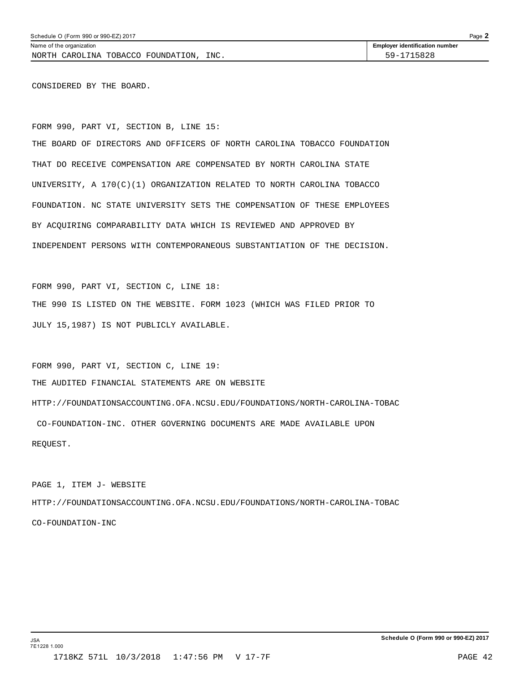Name of the organization **Employer identification number Employer identification number** NORTH CAROLINA TOBACCO FOUNDATION, INC.  $\vert$  59-1715828

CONSIDERED BY THE BOARD.

FORM 990, PART VI, SECTION B, LINE 15: THE BOARD OF DIRECTORS AND OFFICERS OF NORTH CAROLINA TOBACCO FOUNDATION THAT DO RECEIVE COMPENSATION ARE COMPENSATED BY NORTH CAROLINA STATE UNIVERSITY, A 170(C)(1) ORGANIZATION RELATED TO NORTH CAROLINA TOBACCO FOUNDATION. NC STATE UNIVERSITY SETS THE COMPENSATION OF THESE EMPLOYEES BY ACQUIRING COMPARABILITY DATA WHICH IS REVIEWED AND APPROVED BY INDEPENDENT PERSONS WITH CONTEMPORANEOUS SUBSTANTIATION OF THE DECISION.

FORM 990, PART VI, SECTION C, LINE 18: THE 990 IS LISTED ON THE WEBSITE. FORM 1023 (WHICH WAS FILED PRIOR TO JULY 15,1987) IS NOT PUBLICLY AVAILABLE.

FORM 990, PART VI, SECTION C, LINE 19: THE AUDITED FINANCIAL STATEMENTS ARE ON WEBSITE HTTP://FOUNDATIONSACCOUNTING.OFA.NCSU.EDU/FOUNDATIONS/NORTH-CAROLINA-TOBAC CO-FOUNDATION-INC. OTHER GOVERNING DOCUMENTS ARE MADE AVAILABLE UPON REQUEST.

PAGE 1, ITEM J- WEBSITE HTTP://FOUNDATIONSACCOUNTING.OFA.NCSU.EDU/FOUNDATIONS/NORTH-CAROLINA-TOBAC CO-FOUNDATION-INC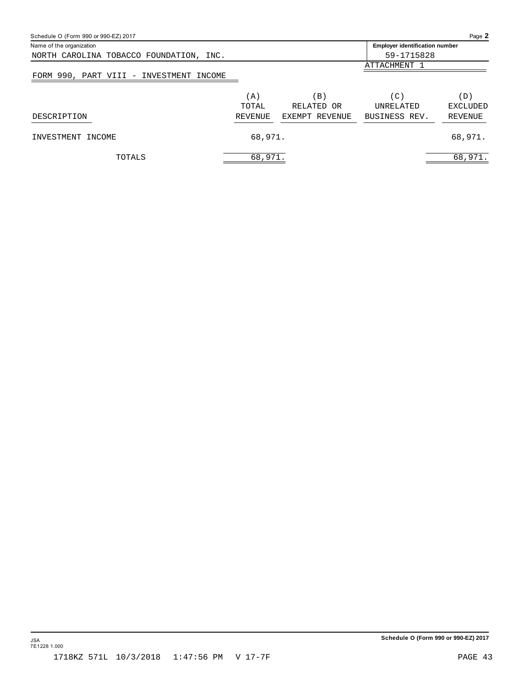<span id="page-43-0"></span>

| Schedule O (Form 990 or 990-EZ) 2017    |         |                |                                       | Page 2          |
|-----------------------------------------|---------|----------------|---------------------------------------|-----------------|
| Name of the organization                |         |                | <b>Employer identification number</b> |                 |
| NORTH CAROLINA TOBACCO FOUNDATION, INC. |         |                | 59-1715828                            |                 |
|                                         |         |                | ATTACHMENT 1                          |                 |
| FORM 990, PART VIII - INVESTMENT INCOME |         |                |                                       |                 |
|                                         | (A)     | (B)            | (C)                                   | (D)             |
|                                         | TOTAL   | RELATED OR     | UNRELATED                             | <b>EXCLUDED</b> |
| DESCRIPTION                             | REVENUE | EXEMPT REVENUE | BUSINESS REV.                         | <b>REVENUE</b>  |
| INVESTMENT INCOME                       | 68,971. |                |                                       | 68,971.         |
| TOTALS                                  | 68,971. |                |                                       | 68,971.         |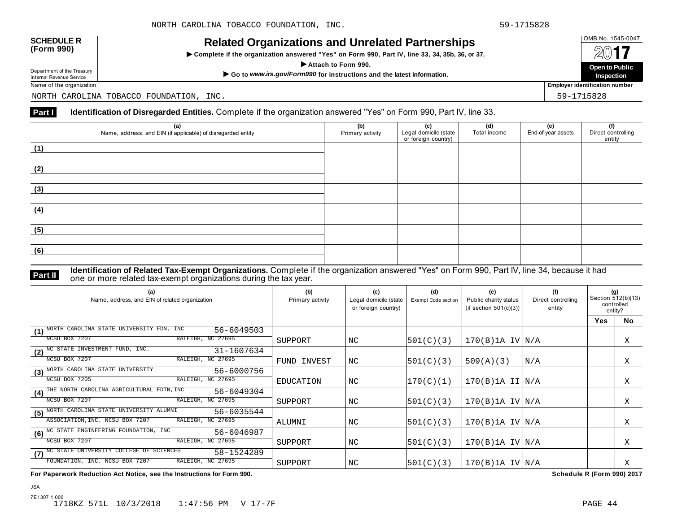| <b>SCHEDULE R</b> |  |
|-------------------|--|
| (Form 990)        |  |

## OMB No. 1545-0047 **SCHEDULE R (Form 990) Related Organizations and Unrelated Partnerships**

**INCIALCO OF GATTIZATIONS AND ONFERACE THAT AND SET ON PART IV, Inc. 31, 34, 35b, 36, or 37.**  $2017$ 



Name of the organization **Employer identification number Employer identification number** 

NORTH CAROLINA TOBACCO FOUNDATION, INC. 59-1715828

#### **Part I** Identification of Disregarded Entities. Complete if the organization answered "Yes" on Form 990, Part IV, line 33.

| (a)<br>Name, address, and EIN (if applicable) of disregarded entity | (b)<br>Primary activity | (c)<br>Legal domicile (state<br>or foreign country) | (d)<br>Total income | <b>(e)</b><br>End-of-year assets | (f)<br>Direct controlling<br>entity |
|---------------------------------------------------------------------|-------------------------|-----------------------------------------------------|---------------------|----------------------------------|-------------------------------------|
| (1)                                                                 |                         |                                                     |                     |                                  |                                     |
| (2)                                                                 |                         |                                                     |                     |                                  |                                     |
| (3)                                                                 |                         |                                                     |                     |                                  |                                     |
| (4)                                                                 |                         |                                                     |                     |                                  |                                     |
| (5)                                                                 |                         |                                                     |                     |                                  |                                     |
| (6)                                                                 |                         |                                                     |                     |                                  |                                     |

**Identification of Related Tax-Exempt Organizations.** Complete if the organization answered "Yes" on Form 990, Part IV, line 34, because it had **Part II one or more related tax-exempt organizations during the tax year. Part II one or more related tax-exempt organizations during the tax year.** 

| (a)<br>Name, address, and EIN of related organization          | (b)<br>Primary activity | (c)<br>Legal domicile (state<br>or foreign country) | (d)<br>Exempt Code section | (e)<br>Public charity status<br>(if section $501(c)(3)$ ) | (f)<br>Direct controlling<br>entity | (g)<br>Section 512(b)(13)<br>controlled<br>entity? |           |
|----------------------------------------------------------------|-------------------------|-----------------------------------------------------|----------------------------|-----------------------------------------------------------|-------------------------------------|----------------------------------------------------|-----------|
|                                                                |                         |                                                     |                            |                                                           |                                     | <b>Yes</b>                                         | <b>No</b> |
| NORTH CAROLINA STATE UNIVERSITY FDN, INC<br>56-6049503<br>(1)  |                         |                                                     |                            |                                                           |                                     |                                                    |           |
| RALEIGH, NC 27695<br>NCSU BOX 7207                             | SUPPORT                 | NC                                                  | 501(C)(3)                  | $170(B)$ 1A IV $ N/A$                                     |                                     |                                                    | Χ         |
| (2) <sup>NC</sup> STATE INVESTMENT FUND, INC.<br>31-1607634    |                         |                                                     |                            |                                                           |                                     |                                                    |           |
| RALEIGH, NC 27695<br>NCSU BOX 7207                             | FUND INVEST             | NC                                                  | 501(C)(3)                  | 509(A)(3)                                                 | N/A                                 |                                                    | Χ         |
| (3) NORTH CAROLINA STATE UNIVERSITY<br>56-6000756              |                         |                                                     |                            |                                                           |                                     |                                                    |           |
| RALEIGH, NC 27695<br>NCSU BOX 7205                             | EDUCATION               | NC                                                  | 170(C)(1)                  | $170(B)$ 1A II $\vert N/A \vert$                          |                                     |                                                    | Χ         |
| THE NORTH CAROLINA AGRICULTURAL FDTN, INC<br>56-6049304<br>(4) |                         |                                                     |                            |                                                           |                                     |                                                    |           |
| NCSU BOX 7207<br>RALEIGH, NC 27695                             | SUPPORT                 | NC                                                  | 501(C)(3)                  | 170(B)1A IV/N/A                                           |                                     |                                                    | Χ         |
| NORTH CAROLINA STATE UNIVERSITY ALUMNI<br>56-6035544<br>(5)    |                         |                                                     |                            |                                                           |                                     |                                                    |           |
| ASSOCIATION, INC. NCSU BOX 7207<br>RALEIGH, NC 27695           | ALUMNI                  | NC                                                  | 501(C)(3)                  | 170(B)1A IV/N/A                                           |                                     |                                                    | X         |
| (6) NC STATE ENGINEERING FOUNDATION, INC<br>56-6046987         |                         |                                                     |                            |                                                           |                                     |                                                    |           |
| NCSU BOX 7207<br>RALEIGH, NC 27695                             | SUPPORT                 | NC                                                  | 501(C)(3)                  | $170(B)$ 1A IV $ N/A$                                     |                                     |                                                    | Χ         |
| (7) NC STATE UNIVERSITY COLLEGE OF SCIENCES<br>58-1524289      |                         |                                                     |                            |                                                           |                                     |                                                    |           |
| RALEIGH, NC 27695<br>FOUNDATION, INC. NCSU BOX 7207            | SUPPORT                 | NC.                                                 | 501(C)(3)                  | 170(B)1A IV/N/A                                           |                                     |                                                    | Χ         |

**For Paperwork Reduction Act Notice, see the Instructions for Form 990. Schedule R (Form 990) 2017**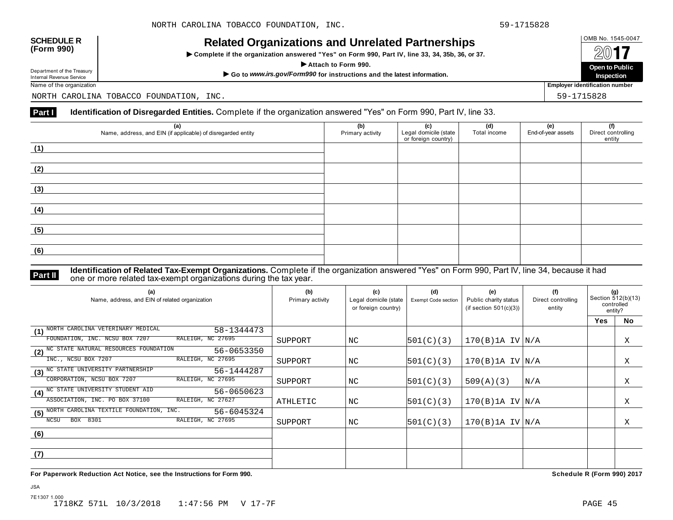| <b>SCHEDULE R</b> |  |
|-------------------|--|
| (Form 990)        |  |

## OMB No. 1545-0047 **SCHEDULE R (Form 990) Related Organizations and Unrelated Partnerships**

**INCIALCO OF GATTIZATIONS AND ONFERACE THAT AND SET ON PART IV, Inc. 31, 34, 35b, 36, or 37.**  $2017$ 



Name of the organization **Employer identification number Employer identification number** 

NORTH CAROLINA TOBACCO FOUNDATION, INC. 59-1715828

#### **Part I** Identification of Disregarded Entities. Complete if the organization answered "Yes" on Form 990, Part IV, line 33.

| (a)<br>Name, address, and EIN (if applicable) of disregarded entity | (b)<br>Primary activity | (c)<br>Legal domicile (state<br>or foreign country) | (d)<br>Total income | (e)<br>End-of-year assets | (f)<br>Direct controlling<br>entity |
|---------------------------------------------------------------------|-------------------------|-----------------------------------------------------|---------------------|---------------------------|-------------------------------------|
| (1)                                                                 |                         |                                                     |                     |                           |                                     |
| (2)                                                                 |                         |                                                     |                     |                           |                                     |
| (3)                                                                 |                         |                                                     |                     |                           |                                     |
| (4)                                                                 |                         |                                                     |                     |                           |                                     |
| (5)                                                                 |                         |                                                     |                     |                           |                                     |
| (6)                                                                 |                         |                                                     |                     |                           |                                     |

JSA

**Identification of Related Tax-Exempt Organizations.** Complete if the organization answered "Yes" on Form 990, Part IV, line 34, because it had **Part II** one or more related tax-exempt organizations during the tax year.

| (a)<br>Name, address, and EIN of related organization        | (b)<br>Primary activity | (c)<br>Legal domicile (state<br>or foreign country) | (d)<br><b>Exempt Code section</b> | (e)<br>Public charity status<br>(if section $501(c)(3)$ ) | (f)<br>Direct controlling<br>entity | (g)<br>Section 512(b)(13)<br>controlled<br>entity? |    |
|--------------------------------------------------------------|-------------------------|-----------------------------------------------------|-----------------------------------|-----------------------------------------------------------|-------------------------------------|----------------------------------------------------|----|
|                                                              |                         |                                                     |                                   |                                                           |                                     | <b>Yes</b>                                         | No |
| NORTH CAROLINA VETERINARY MEDICAL<br>58-1344473<br>(1)       |                         |                                                     |                                   |                                                           |                                     |                                                    |    |
| RALEIGH, NC 27695<br>FOUNDATION, INC. NCSU BOX 7207          | SUPPORT                 | ΝC                                                  | 501(C)(3)                         | 170(B)1A IV/N/A                                           |                                     |                                                    | Χ  |
| (2) NC STATE NATURAL RESOURCES FOUNDATION<br>56-0653350      |                         |                                                     |                                   |                                                           |                                     |                                                    |    |
| RALEIGH, NC 27695<br>INC., NCSU BOX 7207                     | SUPPORT                 | NC                                                  | 501(C)(3)                         | 170(B)1A IV/N/A                                           |                                     |                                                    | X  |
| NC STATE UNIVERSITY PARTNERSHIP<br>56-1444287<br>(3)         |                         |                                                     |                                   |                                                           |                                     |                                                    |    |
| RALEIGH, NC 27695<br>CORPORATION, NCSU BOX 7207              | SUPPORT                 | NC                                                  | 501(C)(3)                         | 509(A)(3)                                                 | N/A                                 |                                                    | Χ  |
| (4) NC STATE UNIVERSITY STUDENT AID<br>56-0650623            |                         |                                                     |                                   |                                                           |                                     |                                                    |    |
| ASSOCIATION, INC. PO BOX 37100<br>RALEIGH, NC 27627          | ATHLETIC                | NC                                                  | 501(C)(3)                         | 170(B)1A IV/N/A                                           |                                     |                                                    | X  |
| NORTH CAROLINA TEXTILE FOUNDATION, INC.<br>56-6045324<br>(5) |                         |                                                     |                                   |                                                           |                                     |                                                    |    |
| BOX 8301<br>RALEIGH, NC 27695<br><b>NCSU</b>                 | SUPPORT                 | ΝC                                                  | 501(C)(3)                         | 170(B)1A IV/N/A                                           |                                     |                                                    | Χ  |
| (6)                                                          |                         |                                                     |                                   |                                                           |                                     |                                                    |    |
|                                                              |                         |                                                     |                                   |                                                           |                                     |                                                    |    |
| (7)                                                          |                         |                                                     |                                   |                                                           |                                     |                                                    |    |
|                                                              |                         |                                                     |                                   |                                                           |                                     |                                                    |    |

**For Paperwork Reduction Act Notice, see the Instructions for Form 990. Schedule R (Form 990) 2017**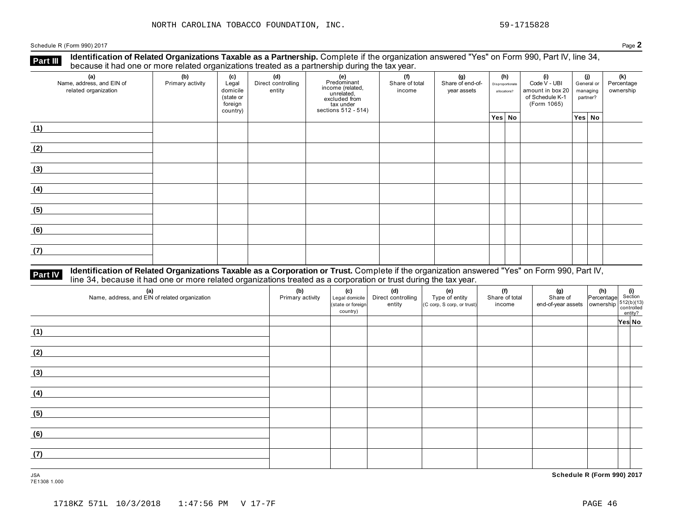Schedule R (Form 990) 2017 Page **2**

**Identification of Related Organizations Taxable as a Partnership.** Complete if the organization answered "Yes" on Form 990, Part IV, line 34, **because it had one or more related organizations Taxable as a Partnership.** Complete it the organization of Recause it had one or more related organizations treated as a partnership during the tax year.

| (a)<br>Name, address, and EIN of<br>related organization | (b)<br>Primary activity | (c)<br>Legal<br>domicile<br>(state or<br>foreign<br>country) | (d)<br>Direct controlling<br>entity | (e)<br>Predominant<br>income (related,<br>unrelated,<br>excluded from<br>tax under<br>sections 512 - 514) | (f)<br>Share of total<br>income | (g)<br>Share of end-of-<br>year assets | Disproportionate<br>allocations? | (h) | (i)<br>Code V - UBI<br>amount in box 20<br>of Schedule K-1<br>(Form 1065) | (j)<br>General or<br>managing<br>partner? | (k)<br>Percentage<br>ownership |
|----------------------------------------------------------|-------------------------|--------------------------------------------------------------|-------------------------------------|-----------------------------------------------------------------------------------------------------------|---------------------------------|----------------------------------------|----------------------------------|-----|---------------------------------------------------------------------------|-------------------------------------------|--------------------------------|
|                                                          |                         |                                                              |                                     |                                                                                                           |                                 |                                        | Yes No                           |     |                                                                           | Yes No                                    |                                |
| (1)                                                      |                         |                                                              |                                     |                                                                                                           |                                 |                                        |                                  |     |                                                                           |                                           |                                |
| (2)                                                      |                         |                                                              |                                     |                                                                                                           |                                 |                                        |                                  |     |                                                                           |                                           |                                |
| (3)                                                      |                         |                                                              |                                     |                                                                                                           |                                 |                                        |                                  |     |                                                                           |                                           |                                |
| (4)                                                      |                         |                                                              |                                     |                                                                                                           |                                 |                                        |                                  |     |                                                                           |                                           |                                |
| (5)                                                      |                         |                                                              |                                     |                                                                                                           |                                 |                                        |                                  |     |                                                                           |                                           |                                |
| (6)                                                      |                         |                                                              |                                     |                                                                                                           |                                 |                                        |                                  |     |                                                                           |                                           |                                |
| (7)                                                      |                         |                                                              |                                     |                                                                                                           |                                 |                                        |                                  |     |                                                                           |                                           |                                |

## Part IV Identification of Related Organizations Taxable as a Corporation or Trust. Complete if the organization answered "Yes" on Form 990, Part IV,<br>line 34, because it had one or more related organizations treated as a co

| (a)<br>Name, address, and EIN of related organization | (b)<br>Primary activity | (c)<br>Legal domicile<br>(state or foreign<br>country) | (d)<br>Direct controlling<br>entity | (e)<br>Type of entity<br>(C corp, S corp, or trust) | (f)<br>Share of total<br>income | (g)<br>Share of<br>end-of-year assets<br>whership<br>controlled<br>entity? | $\begin{vmatrix} \n\textbf{(h)} \\ \n\text{Percentage} \n\end{vmatrix}$ Section |        |
|-------------------------------------------------------|-------------------------|--------------------------------------------------------|-------------------------------------|-----------------------------------------------------|---------------------------------|----------------------------------------------------------------------------|---------------------------------------------------------------------------------|--------|
|                                                       |                         |                                                        |                                     |                                                     |                                 |                                                                            |                                                                                 | Yes No |
| (1)                                                   |                         |                                                        |                                     |                                                     |                                 |                                                                            |                                                                                 |        |
| (2)                                                   |                         |                                                        |                                     |                                                     |                                 |                                                                            |                                                                                 |        |
| (3)                                                   |                         |                                                        |                                     |                                                     |                                 |                                                                            |                                                                                 |        |
| (4)                                                   |                         |                                                        |                                     |                                                     |                                 |                                                                            |                                                                                 |        |
| (5)                                                   |                         |                                                        |                                     |                                                     |                                 |                                                                            |                                                                                 |        |
| (6)                                                   |                         |                                                        |                                     |                                                     |                                 |                                                                            |                                                                                 |        |
| (7)                                                   |                         |                                                        |                                     |                                                     |                                 |                                                                            |                                                                                 |        |

7E1308 1.000

JSA **Schedule R (Form 990) 2017**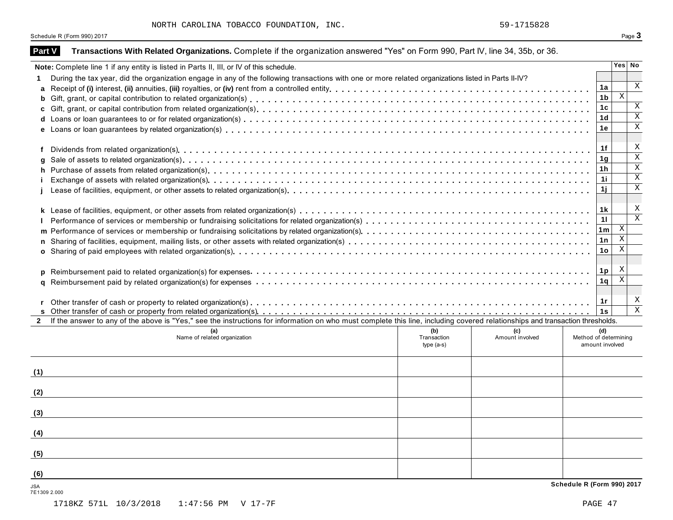NORTH CAROLINA TOBACCO FOUNDATION, INC. 59-1715828

|                     | Schedule R (Form 990) 2017                                                                                                                                                   |                |                         | Page 3                       |
|---------------------|------------------------------------------------------------------------------------------------------------------------------------------------------------------------------|----------------|-------------------------|------------------------------|
| <b>Part V</b>       | Transactions With Related Organizations. Complete if the organization answered "Yes" on Form 990, Part IV, line 34, 35b, or 36.                                              |                |                         |                              |
|                     | Note: Complete line 1 if any entity is listed in Parts II, III, or IV of this schedule.                                                                                      |                | Yes No                  |                              |
|                     | During the tax year, did the organization engage in any of the following transactions with one or more related organizations listed in Parts II-IV?                          |                |                         |                              |
| a                   |                                                                                                                                                                              | 1a             |                         | X                            |
| b                   |                                                                                                                                                                              | 1 <sub>b</sub> | $\mathbf X$             |                              |
| c                   |                                                                                                                                                                              | 1 <sub>c</sub> |                         | X<br>$\overline{\mathbf{x}}$ |
| d                   |                                                                                                                                                                              | 1 <sub>d</sub> |                         | $\mathbf X$                  |
|                     |                                                                                                                                                                              | 1е             |                         |                              |
| f                   |                                                                                                                                                                              | 1f             |                         | Χ<br>$\overline{\mathbf{x}}$ |
|                     |                                                                                                                                                                              | 1 <sub>g</sub> |                         | $\overline{\mathbf{x}}$      |
| h                   |                                                                                                                                                                              | 1h             |                         | $\overline{\mathbf{x}}$      |
|                     |                                                                                                                                                                              | 1i.            |                         | $\mathbf X$                  |
|                     |                                                                                                                                                                              | 1j             |                         |                              |
|                     |                                                                                                                                                                              | 1 k            |                         | X                            |
|                     |                                                                                                                                                                              | 11             |                         | $\overline{\mathbf{x}}$      |
|                     |                                                                                                                                                                              | 1 <sub>m</sub> | X                       |                              |
| n                   |                                                                                                                                                                              | 1n             | $\mathbf x$             |                              |
|                     |                                                                                                                                                                              | 1 <sub>o</sub> | $\mathbf X$             |                              |
|                     |                                                                                                                                                                              |                |                         |                              |
|                     |                                                                                                                                                                              | 1 <sub>p</sub> | X                       |                              |
| a                   |                                                                                                                                                                              | 1q             | $\overline{\mathbf{x}}$ |                              |
|                     |                                                                                                                                                                              |                |                         |                              |
|                     |                                                                                                                                                                              | 1r             |                         | X<br>$\overline{\mathbf{x}}$ |
| $\mathbf{2}$        | If the answer to any of the above is "Yes," see the instructions for information on who must complete this line, including covered relationships and transaction thresholds. | 1s             |                         |                              |
|                     | (b)<br>(a)<br>(c)                                                                                                                                                            | (d)            |                         |                              |
|                     | Name of related organization<br>Transaction<br>Method of determining<br>Amount involved<br>amount involved<br>$type(a-s)$                                                    |                |                         |                              |
|                     |                                                                                                                                                                              |                |                         |                              |
| (1)                 |                                                                                                                                                                              |                |                         |                              |
| (2)                 |                                                                                                                                                                              |                |                         |                              |
|                     |                                                                                                                                                                              |                |                         |                              |
| (3)                 |                                                                                                                                                                              |                |                         |                              |
| (4)                 |                                                                                                                                                                              |                |                         |                              |
| (5)                 |                                                                                                                                                                              |                |                         |                              |
| (6)                 |                                                                                                                                                                              |                |                         |                              |
| JSA<br>7E1309 2.000 | Schedule R (Form 990) 2017                                                                                                                                                   |                |                         |                              |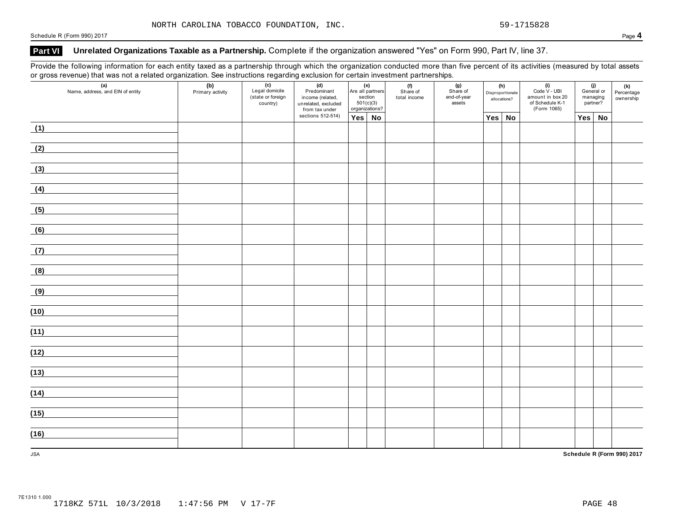Schedule R (Form 990) 2017 Page **4**

### Part VI Unrelated Organizations Taxable as a Partnership. Complete if the organization answered "Yes" on Form 990, Part IV, line 37.

Provide the following information for each entity taxed as a partnership through which the organization conducted more than five percent of its activities (measured by total assets or gross revenue) that was not a related organization. See instructions regarding exclusion for certain investment partnerships.

| $\overline{\phantom{a}}$ | $\mathcal{L}$<br>(a)<br>Name, address, and EIN of entity | ັ<br>ັ<br>ັ<br>$\overline{(c)}$<br>(b)<br>Primary activity<br>(d)<br>(e)<br>Legal domicile<br>(state or foreign<br>Predominant<br>Are all partners<br>income (related,<br>section<br>country)<br>501(c)(3)<br>unrelated, excluded |  | (f)<br>Share of<br>total income<br>organizations?<br>from tax under |  |        |  | (g)<br>Share of<br>end-of-year<br>assets |        | (h)<br>Disproportionate<br>allocations? | (i)<br>Code V - UBI<br>amount in box 20<br>of Schedule K-1<br>(Form 1065) | managing<br>partner? | (j)<br>General or | <b>(k)</b><br>Percentage<br>ownership |
|--------------------------|----------------------------------------------------------|-----------------------------------------------------------------------------------------------------------------------------------------------------------------------------------------------------------------------------------|--|---------------------------------------------------------------------|--|--------|--|------------------------------------------|--------|-----------------------------------------|---------------------------------------------------------------------------|----------------------|-------------------|---------------------------------------|
|                          |                                                          |                                                                                                                                                                                                                                   |  | sections 512-514)                                                   |  | Yes No |  |                                          | Yes No |                                         |                                                                           | Yes                  | No                |                                       |
| (1)                      |                                                          |                                                                                                                                                                                                                                   |  |                                                                     |  |        |  |                                          |        |                                         |                                                                           |                      |                   |                                       |
| (2)                      |                                                          |                                                                                                                                                                                                                                   |  |                                                                     |  |        |  |                                          |        |                                         |                                                                           |                      |                   |                                       |
| (3)                      |                                                          |                                                                                                                                                                                                                                   |  |                                                                     |  |        |  |                                          |        |                                         |                                                                           |                      |                   |                                       |
| (4)                      |                                                          |                                                                                                                                                                                                                                   |  |                                                                     |  |        |  |                                          |        |                                         |                                                                           |                      |                   |                                       |
| (5)                      |                                                          |                                                                                                                                                                                                                                   |  |                                                                     |  |        |  |                                          |        |                                         |                                                                           |                      |                   |                                       |
| (6)                      |                                                          |                                                                                                                                                                                                                                   |  |                                                                     |  |        |  |                                          |        |                                         |                                                                           |                      |                   |                                       |
| (7)                      |                                                          |                                                                                                                                                                                                                                   |  |                                                                     |  |        |  |                                          |        |                                         |                                                                           |                      |                   |                                       |
| (8)                      |                                                          |                                                                                                                                                                                                                                   |  |                                                                     |  |        |  |                                          |        |                                         |                                                                           |                      |                   |                                       |
| (9)                      |                                                          |                                                                                                                                                                                                                                   |  |                                                                     |  |        |  |                                          |        |                                         |                                                                           |                      |                   |                                       |
| (10)                     |                                                          |                                                                                                                                                                                                                                   |  |                                                                     |  |        |  |                                          |        |                                         |                                                                           |                      |                   |                                       |
| (11)                     |                                                          |                                                                                                                                                                                                                                   |  |                                                                     |  |        |  |                                          |        |                                         |                                                                           |                      |                   |                                       |
| (12)                     |                                                          |                                                                                                                                                                                                                                   |  |                                                                     |  |        |  |                                          |        |                                         |                                                                           |                      |                   |                                       |
| (13)                     |                                                          |                                                                                                                                                                                                                                   |  |                                                                     |  |        |  |                                          |        |                                         |                                                                           |                      |                   |                                       |
| (14)                     |                                                          |                                                                                                                                                                                                                                   |  |                                                                     |  |        |  |                                          |        |                                         |                                                                           |                      |                   |                                       |
| (15)                     |                                                          |                                                                                                                                                                                                                                   |  |                                                                     |  |        |  |                                          |        |                                         |                                                                           |                      |                   |                                       |
| (16)                     |                                                          |                                                                                                                                                                                                                                   |  |                                                                     |  |        |  |                                          |        |                                         |                                                                           |                      |                   |                                       |
| ${\sf JSA}$              |                                                          |                                                                                                                                                                                                                                   |  |                                                                     |  |        |  |                                          |        |                                         |                                                                           |                      |                   | Schedule R (Form 990) 2017            |